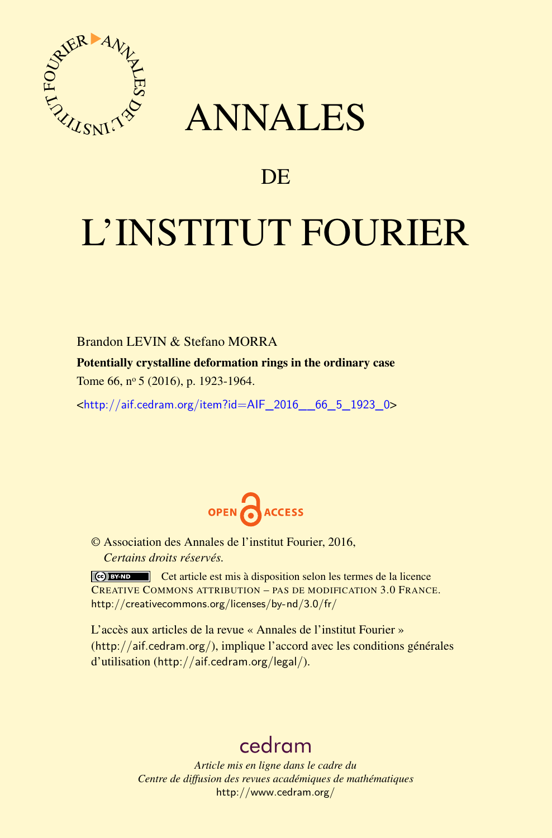

## ANNALES

## **DE**

# L'INSTITUT FOURIER

Brandon LEVIN & Stefano MORRA

Potentially crystalline deformation rings in the ordinary case

Tome 66, nº 5 (2016), p. 1923-1964.

 $\kappa$ http://aif.cedram.org/item?id=AIF 2016 66 5 1923 0>



© Association des Annales de l'institut Fourier, 2016, *Certains droits réservés.*

Cet article est mis à disposition selon les termes de la licence CREATIVE COMMONS ATTRIBUTION – PAS DE MODIFICATION 3.0 FRANCE. <http://creativecommons.org/licenses/by-nd/3.0/fr/>

L'accès aux articles de la revue « Annales de l'institut Fourier » (<http://aif.cedram.org/>), implique l'accord avec les conditions générales d'utilisation (<http://aif.cedram.org/legal/>).

## [cedram](http://www.cedram.org/)

*Article mis en ligne dans le cadre du Centre de diffusion des revues académiques de mathématiques* <http://www.cedram.org/>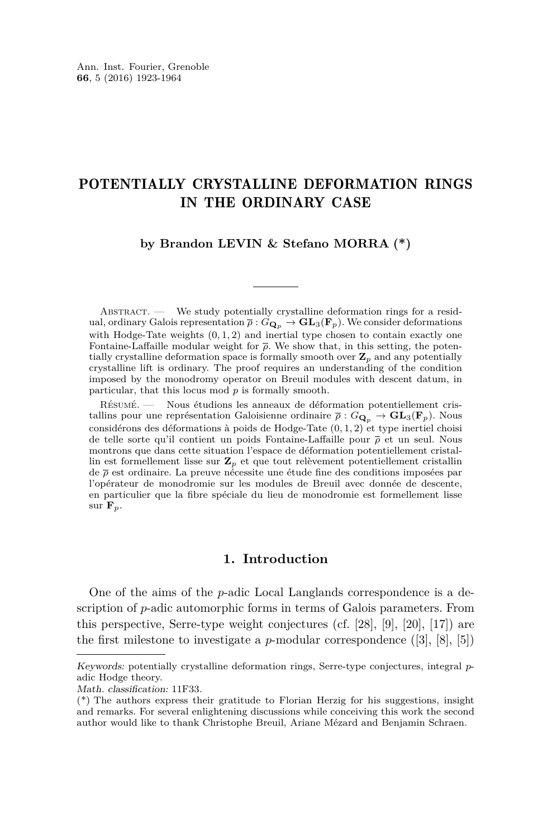### POTENTIALLY CRYSTALLINE DEFORMATION RINGS IN THE ORDINARY CASE

#### **by Brandon LEVIN & Stefano MORRA (\*)**

ABSTRACT. — We study potentially crystalline deformation rings for a residual, ordinary Galois representation  $\overline{\rho}: G_{\mathbf{Q}_p} \to \mathbf{GL}_3(\mathbf{F}_p)$ . We consider deformations with Hodge-Tate weights  $(0, 1, 2)$  and inertial type chosen to contain exactly one Fontaine-Laffaille modular weight for *ρ*. We show that, in this setting, the potentially crystalline deformation space is formally smooth over  $\mathbf{Z}_p$  and any potentially crystalline lift is ordinary. The proof requires an understanding of the condition imposed by the monodromy operator on Breuil modules with descent datum, in particular, that this locus mod *p* is formally smooth.

Résumé. — Nous étudions les anneaux de déformation potentiellement cristallins pour une représentation Galoisienne ordinaire  $\bar{\rho}: G_{\mathbf{Q}_p} \to \mathbf{GL}_3(\mathbf{F}_p)$ . Nous considérons des déformations à poids de Hodge-Tate (0*,* 1*,* 2) et type inertiel choisi de telle sorte qu'il contient un poids Fontaine-Laffaille pour *ρ* et un seul. Nous montrons que dans cette situation l'espace de déformation potentiellement cristallin est formellement lisse sur **Z***<sup>p</sup>* et que tout relèvement potentiellement cristallin de *ρ* est ordinaire. La preuve nécessite une étude fine des conditions imposées par l'opérateur de monodromie sur les modules de Breuil avec donnée de descente, en particulier que la fibre spéciale du lieu de monodromie est formellement lisse sur  $\mathbf{F}_p$ .

#### **1. Introduction**

One of the aims of the *p*-adic Local Langlands correspondence is a description of *p*-adic automorphic forms in terms of Galois parameters. From this perspective, Serre-type weight conjectures (cf. [\[28\]](#page-42-0), [\[9\]](#page-41-0), [\[20\]](#page-42-1), [\[17\]](#page-42-2)) are the first milestone to investigate a *p*-modular correspondence  $([3], [8], [5])$  $([3], [8], [5])$  $([3], [8], [5])$  $([3], [8], [5])$  $([3], [8], [5])$  $([3], [8], [5])$  $([3], [8], [5])$ 

Keywords: potentially crystalline deformation rings, Serre-type conjectures, integral *p*adic Hodge theory.

Math. classification: 11F33.

<sup>(\*)</sup> The authors express their gratitude to Florian Herzig for his suggestions, insight and remarks. For several enlightening discussions while conceiving this work the second author would like to thank Christophe Breuil, Ariane Mézard and Benjamin Schraen.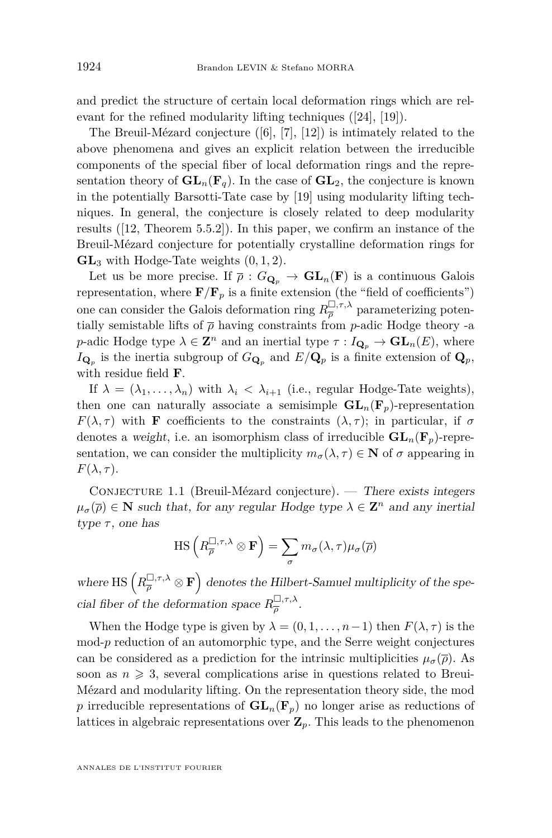and predict the structure of certain local deformation rings which are relevant for the refined modularity lifting techniques ([\[24\]](#page-42-3), [\[19\]](#page-42-4)).

The Breuil-Mézard conjecture ([\[6\]](#page-41-4), [\[7\]](#page-41-5), [\[12\]](#page-41-6)) is intimately related to the above phenomena and gives an explicit relation between the irreducible components of the special fiber of local deformation rings and the representation theory of  $\mathbf{GL}_n(\mathbf{F}_q)$ . In the case of  $\mathbf{GL}_2$ , the conjecture is known in the potentially Barsotti-Tate case by [\[19\]](#page-42-4) using modularity lifting techniques. In general, the conjecture is closely related to deep modularity results ([\[12,](#page-41-6) Theorem 5.5.2]). In this paper, we confirm an instance of the Breuil-Mézard conjecture for potentially crystalline deformation rings for **GL**<sup>3</sup> with Hodge-Tate weights (0*,* 1*,* 2).

Let us be more precise. If  $\overline{\rho}: G_{\mathbf{Q}_p} \to \mathbf{GL}_n(\mathbf{F})$  is a continuous Galois representation, where  $\mathbf{F}/\mathbf{F}_p$  is a finite extension (the "field of coefficients") one can consider the Galois deformation ring  $R_{\overline{\rho}}^{\square,\tau,\lambda}$  parameterizing potentially semistable lifts of  $\bar{\rho}$  having constraints from *p*-adic Hodge theory -a *p*-adic Hodge type  $\lambda \in \mathbb{Z}^n$  and an inertial type  $\tau: I_{\mathbf{Q}_p} \to \mathbf{GL}_n(E)$ , where  $I_{\mathbf{Q}_p}$  is the inertia subgroup of  $G_{\mathbf{Q}_p}$  and  $E/\mathbf{Q}_p$  is a finite extension of  $\mathbf{Q}_p$ , with residue field **F**.

If  $\lambda = (\lambda_1, \ldots, \lambda_n)$  with  $\lambda_i < \lambda_{i+1}$  (i.e., regular Hodge-Tate weights), then one can naturally associate a semisimple  $GL_n(\mathbf{F}_p)$ -representation *F*( $\lambda$ ,  $\tau$ ) with **F** coefficients to the constraints  $(\lambda, \tau)$ ; in particular, if  $\sigma$ denotes a weight, i.e. an isomorphism class of irreducible  $\mathbf{GL}_n(\mathbf{F}_p)$ -representation, we can consider the multiplicity  $m_{\sigma}(\lambda, \tau) \in \mathbf{N}$  of  $\sigma$  appearing in  $F(\lambda, \tau)$ .

CONJECTURE 1.1 (Breuil-Mézard conjecture). — There exists integers  $\mu_{\sigma}(\overline{\rho}) \in \mathbb{N}$  such that, for any regular Hodge type  $\lambda \in \mathbb{Z}^n$  and any inertial type  $\tau$ , one has

$$
\mathrm{HS}\left(R_{\overline{\rho}}^{\square,\tau,\lambda}\otimes\mathbf{F}\right)=\sum_{\sigma}m_{\sigma}(\lambda,\tau)\mu_{\sigma}(\overline{\rho})
$$

where HS  $\left(R_{\overline{\rho}}^{\square,\tau,\lambda}\otimes\mathbf{F}\right)$  denotes the Hilbert-Samuel multiplicity of the special fiber of the deformation space  $R_{\overline{\rho}}^{\square,\tau,\lambda}$ .

When the Hodge type is given by  $\lambda = (0, 1, \ldots, n-1)$  then  $F(\lambda, \tau)$  is the mod-p reduction of an automorphic type, and the Serre weight conjectures can be considered as a prediction for the intrinsic multiplicities  $\mu_{\sigma}(\overline{\rho})$ . As soon as  $n \geqslant 3$ , several complications arise in questions related to Breui-Mézard and modularity lifting. On the representation theory side, the mod *p* irreducible representations of  $GL_n(\mathbf{F}_p)$  no longer arise as reductions of lattices in algebraic representations over **Z***p*. This leads to the phenomenon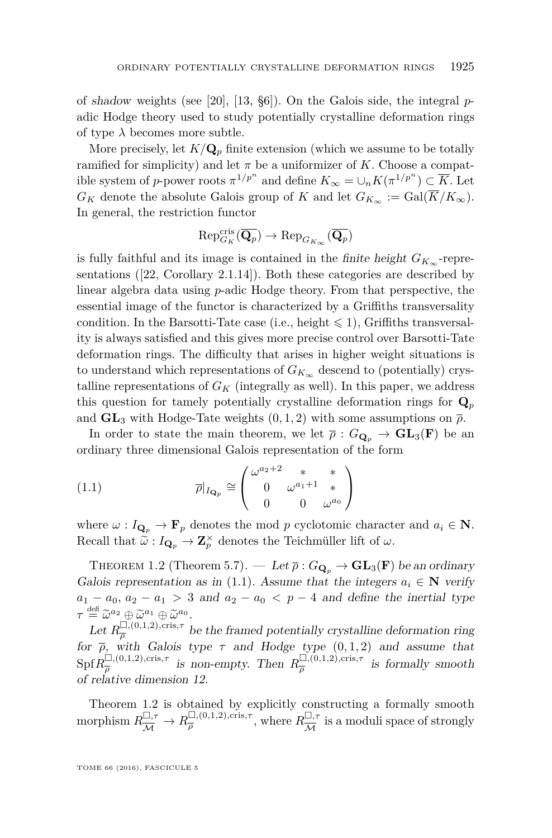of shadow weights (see [\[20\]](#page-42-1), [\[13,](#page-41-7) §6]). On the Galois side, the integral *p*adic Hodge theory used to study potentially crystalline deformation rings of type  $\lambda$  becomes more subtle.

More precisely, let  $K/\mathbf{Q}_p$  finite extension (which we assume to be totally ramified for simplicity) and let  $\pi$  be a uniformizer of *K*. Choose a compatible system of *p*-power roots  $\pi^{1/p^n}$  and define  $K_{\infty} = \cup_n K(\pi^{1/p^n}) \subset \overline{K}$ . Let  $G_K$  denote the absolute Galois group of *K* and let  $G_{K_\infty} := \text{Gal}(\overline{K}/K_\infty)$ . In general, the restriction functor

$$
\mathrm{Rep}_{G_K}^{\mathrm{cris}}(\overline{\mathbf{Q}_p}) \to \mathrm{Rep}_{G_{K_\infty}}(\overline{\mathbf{Q}_p})
$$

is fully faithful and its image is contained in the *finite height*  $G_{K_{\infty}}$ -representations ([\[22,](#page-42-5) Corollary 2.1.14]). Both these categories are described by linear algebra data using *p*-adic Hodge theory. From that perspective, the essential image of the functor is characterized by a Griffiths transversality condition. In the Barsotti-Tate case (i.e., height  $\leq 1$ ), Griffiths transversality is always satisfied and this gives more precise control over Barsotti-Tate deformation rings. The difficulty that arises in higher weight situations is to understand which representations of  $G_{K_{\infty}}$  descend to (potentially) crystalline representations of  $G_K$  (integrally as well). In this paper, we address this question for tamely potentially crystalline deformation rings for  $\mathbf{Q}_p$ and  $GL_3$  with Hodge-Tate weights  $(0, 1, 2)$  with some assumptions on  $\overline{\rho}$ .

In order to state the main theorem, we let  $\bar{\rho}: G_{\mathbf{Q}_p} \to \mathbf{GL}_3(\mathbf{F})$  be an ordinary three dimensional Galois representation of the form

<span id="page-3-0"></span>(1.1) 
$$
\overline{\rho}|_{I_{\mathbf{Q}_p}} \cong \begin{pmatrix} \omega^{a_2+2} & * & * \\ 0 & \omega^{a_1+1} & * \\ 0 & 0 & \omega^{a_0} \end{pmatrix}
$$

where  $\omega: I_{\mathbf{Q}_p} \to \mathbf{F}_p$  denotes the mod p cyclotomic character and  $a_i \in \mathbf{N}$ . Recall that  $\widetilde{\omega}: I_{\mathbf{Q}_p} \to \mathbf{Z}_p^{\times}$  denotes the Teichmüller lift of  $\omega$ .

<span id="page-3-1"></span>THEOREM 1.2 (Theorem [5.7\)](#page-40-0). — Let  $\bar{\rho}: G_{\mathbf{Q}_p} \to \mathbf{GL}_3(\mathbf{F})$  be an ordinary Galois representation as in [\(1.1\)](#page-3-0). Assume that the integers  $a_i \in \mathbb{N}$  verify  $a_1 - a_0$ ,  $a_2 - a_1 > 3$  and  $a_2 - a_0 < p - 4$  and define the inertial type  $\tau \stackrel{\text{def}}{=} \widetilde{\omega}^{a_2} \oplus \widetilde{\omega}^{a_1} \oplus \widetilde{\omega}^{a_0}.$ <br> *L*<sub>ot</sub>  $p^{\Box,(0,1,2),\text{cris},\tau}$ 

Let  $R_{\overline{a}}^{\square, (0,1,2), \text{cris}, \tau}$  $\frac{\mu}{\rho}$ , (0,1,2), cris,<sup>*T*</sup> be the framed potentially crystalline deformation ring for  $\bar{\rho}$ , with Galois type  $\tau$  and Hodge type  $(0, 1, 2)$  and assume that  $\text{Spf} R_{\overline{a}}^{\square, (0,1,2), \text{cris}, \tau}$  $\frac{\Box,(0,1,2),\mathrm{cris},\tau}{\overline{\rho}}$  *is non-empty. Then*  $R_{\overline{\rho}}^{\Box,(0,1,2),\mathrm{cris},\tau}$  $\frac{\Box_{\gamma}(0,1,2),\mathrm{cris},\tau}{\overline{\rho}}$  is formally smooth of relative dimension 12.

Theorem [1.2](#page-3-1) is obtained by explicitly constructing a formally smooth morphism  $R_{\overline{\mathcal{M}}}^{\square, \tau} \to R_{\overline{\rho}}^{\square, (0,1,2), \text{cris}, \tau}$  $\frac{\Box,(0,1,2),\mathrm{cris},\tau}{\overline{\rho}}$ , where  $R\frac{\Box,\tau}{\overline{\mathcal{M}}}$  $\frac{\Box, \tau}{\mathcal{M}}$  is a moduli space of strongly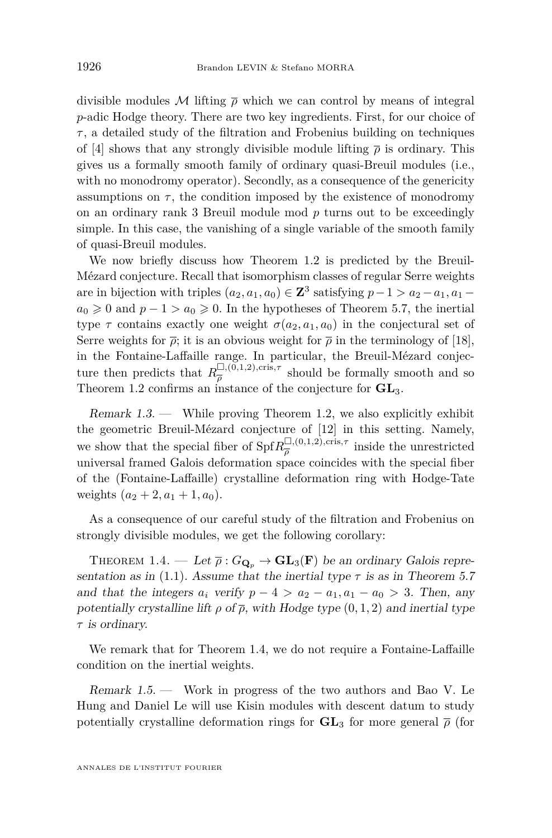divisible modules M lifting  $\bar{\rho}$  which we can control by means of integral *p*-adic Hodge theory. There are two key ingredients. First, for our choice of *τ* , a detailed study of the filtration and Frobenius building on techniques of [\[4\]](#page-41-8) shows that any strongly divisible module lifting  $\bar{\rho}$  is ordinary. This gives us a formally smooth family of ordinary quasi-Breuil modules (i.e., with no monodromy operator). Secondly, as a consequence of the genericity assumptions on  $\tau$ , the condition imposed by the existence of monodromy on an ordinary rank 3 Breuil module mod *p* turns out to be exceedingly simple. In this case, the vanishing of a single variable of the smooth family of quasi-Breuil modules.

We now briefly discuss how Theorem [1.2](#page-3-1) is predicted by the Breuil-Mézard conjecture. Recall that isomorphism classes of regular Serre weights are in bijection with triples  $(a_2, a_1, a_0) \in \mathbb{Z}^3$  satisfying  $p-1 > a_2 - a_1, a_1 - a_2$  $a_0 \geq 0$  and  $p-1 > a_0 \geq 0$ . In the hypotheses of Theorem [5.7,](#page-40-0) the inertial type  $\tau$  contains exactly one weight  $\sigma(a_2, a_1, a_0)$  in the conjectural set of Serre weights for  $\bar{\rho}$ ; it is an obvious weight for  $\bar{\rho}$  in the terminology of [\[18\]](#page-42-6), in the Fontaine-Laffaille range. In particular, the Breuil-Mézard conjecture then predicts that  $R_{\overline{o}}^{\square,(\tilde{0},1,2),\text{cris},\tau}$  $\frac{\omega_{\gamma}(0,1,2),\text{cris},\gamma}{\overline{\rho}}$  should be formally smooth and so Theorem [1.2](#page-3-1) confirms an instance of the conjecture for **GL**3.

Remark  $1.3$ . — While proving Theorem [1.2,](#page-3-1) we also explicitly exhibit the geometric Breuil-Mézard conjecture of [\[12\]](#page-41-6) in this setting. Namely, we show that the special fiber of  $\text{Spf} R_{\overline{a}}^{\square, (0,1,2), \text{cris}, \tau}$  $\frac{\Box_{\gamma}(0,1,2),\mathrm{cris},\gamma}{\overline{\rho}}$  inside the unrestricted universal framed Galois deformation space coincides with the special fiber of the (Fontaine-Laffaille) crystalline deformation ring with Hodge-Tate weights  $(a_2 + 2, a_1 + 1, a_0)$ .

As a consequence of our careful study of the filtration and Frobenius on strongly divisible modules, we get the following corollary:

<span id="page-4-0"></span>THEOREM 1.4. — Let  $\bar{\rho}: G_{\mathbf{Q}_p} \to \mathbf{GL}_3(\mathbf{F})$  be an ordinary Galois repre-sentation as in [\(1.1\)](#page-3-0). Assume that the inertial type  $\tau$  is as in Theorem [5.7](#page-40-0) and that the integers  $a_i$  verify  $p - 4 > a_2 - a_1, a_1 - a_0 > 3$ . Then, any potentially crystalline lift  $\rho$  of  $\bar{\rho}$ , with Hodge type  $(0, 1, 2)$  and inertial type *τ* is ordinary.

We remark that for Theorem [1.4,](#page-4-0) we do not require a Fontaine-Laffaille condition on the inertial weights.

Remark 1.5. — Work in progress of the two authors and Bao V. Le Hung and Daniel Le will use Kisin modules with descent datum to study potentially crystalline deformation rings for  $GL_3$  for more general  $\bar{\rho}$  (for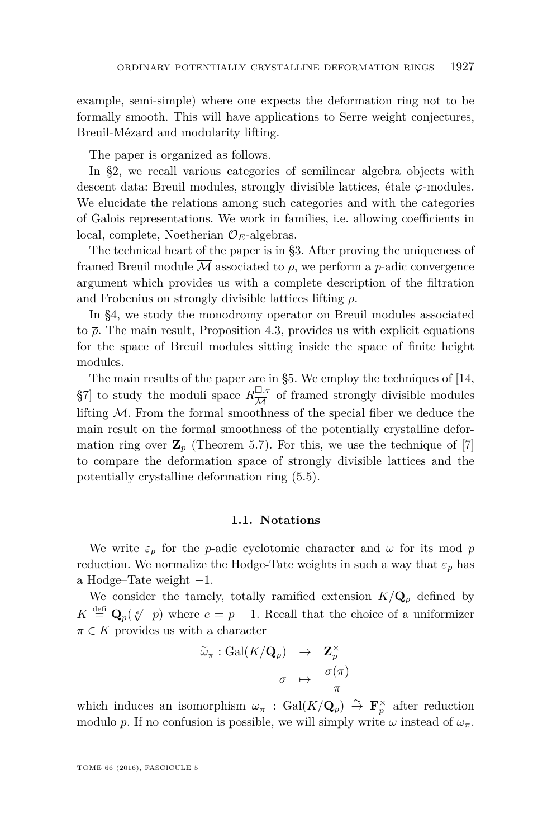example, semi-simple) where one expects the deformation ring not to be formally smooth. This will have applications to Serre weight conjectures, Breuil-Mézard and modularity lifting.

The paper is organized as follows.

In §2, we recall various categories of semilinear algebra objects with descent data: Breuil modules, strongly divisible lattices, étale *ϕ*-modules. We elucidate the relations among such categories and with the categories of Galois representations. We work in families, i.e. allowing coefficients in local, complete, Noetherian O*E*-algebras.

The technical heart of the paper is in §3. After proving the uniqueness of framed Breuil module M associated to *ρ*, we perform a *p*-adic convergence argument which provides us with a complete description of the filtration and Frobenius on strongly divisible lattices lifting *ρ*.

In §4, we study the monodromy operator on Breuil modules associated to  $\bar{\rho}$ . The main result, Proposition [4.3,](#page-31-0) provides us with explicit equations for the space of Breuil modules sitting inside the space of finite height modules.

The main results of the paper are in §5. We employ the techniques of [\[14,](#page-41-9) §7] to study the moduli space  $R_{\overline{11}}^{\square,\tau}$  $\frac{\Box, \tau}{\mathcal{M}}$  of framed strongly divisible modules lifting  $\overline{\mathcal{M}}$ . From the formal smoothness of the special fiber we deduce the main result on the formal smoothness of the potentially crystalline deformation ring over  $\mathbf{Z}_p$  (Theorem [5.7\)](#page-40-0). For this, we use the technique of  $|7|$ to compare the deformation space of strongly divisible lattices and the potentially crystalline deformation ring [\(5.5\)](#page-39-0).

#### **1.1. Notations**

<span id="page-5-0"></span>We write  $\varepsilon_p$  for the *p*-adic cyclotomic character and  $\omega$  for its mod *p* reduction. We normalize the Hodge-Tate weights in such a way that  $\varepsilon_p$  has a Hodge–Tate weight −1.

We consider the tamely, totally ramified extension  $K/\mathbf{Q}_p$  defined by  $K \stackrel{\text{def}}{=} \mathbf{Q}_p(\sqrt[e]{-p})$  where  $e = p - 1$ . Recall that the choice of a uniformizer  $\pi \in K$  provides us with a character

$$
\begin{array}{rcl} \widetilde{\omega}_{\pi} : \text{Gal}(K / \mathbf{Q}_p) & \to & \mathbf{Z}_p^{\times} \\ & & \\ \sigma & \mapsto & \frac{\sigma(\pi)}{\pi} \end{array}
$$

which induces an isomorphism  $\omega_{\pi}$  : Gal( $K/\mathbf{Q}_p$ )  $\stackrel{\sim}{\to}$   $\mathbf{F}_p^{\times}$  after reduction modulo *p*. If no confusion is possible, we will simply write  $\omega$  instead of  $\omega_{\pi}$ .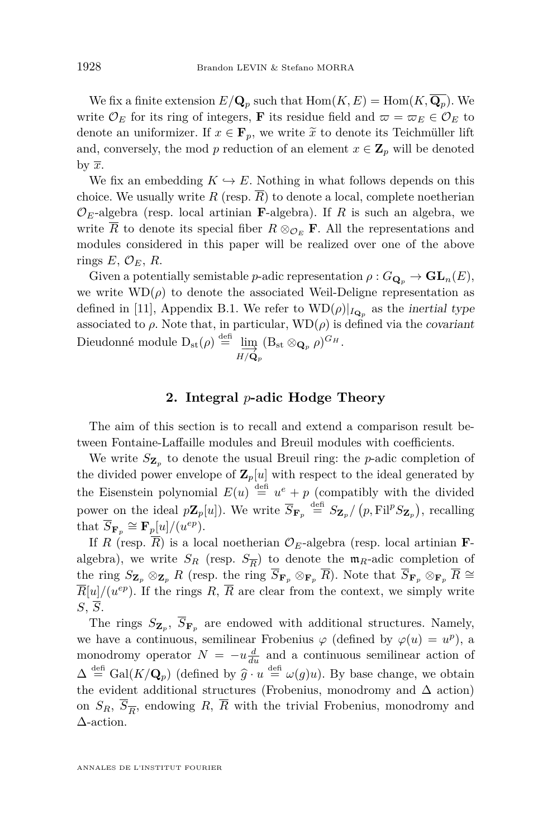We fix a finite extension  $E/\mathbf{Q}_p$  such that  $\text{Hom}(K, E) = \text{Hom}(K, \overline{\mathbf{Q}_p})$ . We write  $\mathcal{O}_E$  for its ring of integers, **F** its residue field and  $\varpi = \varpi_E \in \mathcal{O}_E$  to denote an uniformizer. If  $x \in \mathbf{F}_p$ , we write  $\tilde{x}$  to denote its Teichmüller lift and, conversely, the mod *p* reduction of an element  $x \in \mathbb{Z}_p$  will be denoted by  $\overline{x}$ .

We fix an embedding  $K \hookrightarrow E$ . Nothing in what follows depends on this choice. We usually write *R* (resp.  $\overline{R}$ ) to denote a local, complete noetherian  $\mathcal{O}_E$ -algebra (resp. local artinian **F**-algebra). If *R* is such an algebra, we write  $\overline{R}$  to denote its special fiber  $R \otimes_{\mathcal{O}_F} \mathbf{F}$ . All the representations and modules considered in this paper will be realized over one of the above rings  $E, \mathcal{O}_E, R$ .

Given a potentially semistable *p*-adic representation  $\rho: G_{\mathbf{Q}_p} \to \mathbf{GL}_n(E)$ , we write  $WD(\rho)$  to denote the associated Weil-Deligne representation as defined in [\[11\]](#page-41-10), Appendix B.1. We refer to  $WD(\rho)|_{I_{\mathbf{Q}_p}}$  as the inertial type associated to  $\rho$ . Note that, in particular,  $WD(\rho)$  is defined via the covariant Dieudonné module  $D_{st}(\rho) \stackrel{\text{def}}{=} \lim_{\substack{\longrightarrow \longrightarrow \infty}} (B_{st} \otimes_{\mathbf{Q}_p} \rho)^{G_H}.$ 

$$
H/\dot{\mathbf{Q}}_p
$$

#### **2. Integral** *p***-adic Hodge Theory**

<span id="page-6-0"></span>The aim of this section is to recall and extend a comparison result between Fontaine-Laffaille modules and Breuil modules with coefficients.

We write *S***Z***<sup>p</sup>* to denote the usual Breuil ring: the *p*-adic completion of the divided power envelope of  $\mathbf{Z}_p[u]$  with respect to the ideal generated by the Eisenstein polynomial  $E(u) \stackrel{\text{def}}{=} u^e + p$  (compatibly with the divided power on the ideal  $p\mathbf{Z}_p[u]$ ). We write  $\overline{S}_{\mathbf{F}_p} \stackrel{\text{def}}{=} S_{\mathbf{Z}_p}/(p, \text{Fil}^p S_{\mathbf{Z}_p}),$  recalling that  $\overline{S}_{\mathbf{F}_p} \cong \mathbf{F}_p[u]/(u^{ep}).$ 

If *R* (resp.  $\overline{R}$ ) is a local noetherian  $\mathcal{O}_E$ -algebra (resp. local artinian **F**algebra), we write  $S_R$  (resp.  $S_{\overline{R}}$ ) to denote the  $\mathfrak{m}_R$ -adic completion of the ring  $S_{\mathbf{Z}_p} \otimes_{\mathbf{Z}_p} R$  (resp. the ring  $\overline{S}_{\mathbf{F}_p} \otimes_{\mathbf{F}_p} \overline{R}$ ). Note that  $\overline{S}_{\mathbf{F}_p} \otimes_{\mathbf{F}_p} \overline{R} \cong$  $\overline{R}[u]/(u^{ep})$ . If the rings  $R, \overline{R}$  are clear from the context, we simply write *S*, *S*.

The rings  $S_{\mathbf{Z}_p}$ ,  $S_{\mathbf{F}_p}$  are endowed with additional structures. Namely, we have a continuous, semilinear Frobenius  $\varphi$  (defined by  $\varphi(u) = u^p$ ), a monodromy operator  $N = -u \frac{d}{du}$  and a continuous semilinear action of  $\Delta \stackrel{\text{def}}{=} \text{Gal}(K/\mathbf{Q}_p)$  (defined by  $\hat{g} \cdot u \stackrel{\text{def}}{=} \omega(g)u$ ). By base change, we obtain the evident additional structures (Frobenius, monodromy and  $\Delta$  action) on  $S_R$ ,  $S_{\overline{R}}$ , endowing *R*, *R* with the trivial Frobenius, monodromy and ∆-action.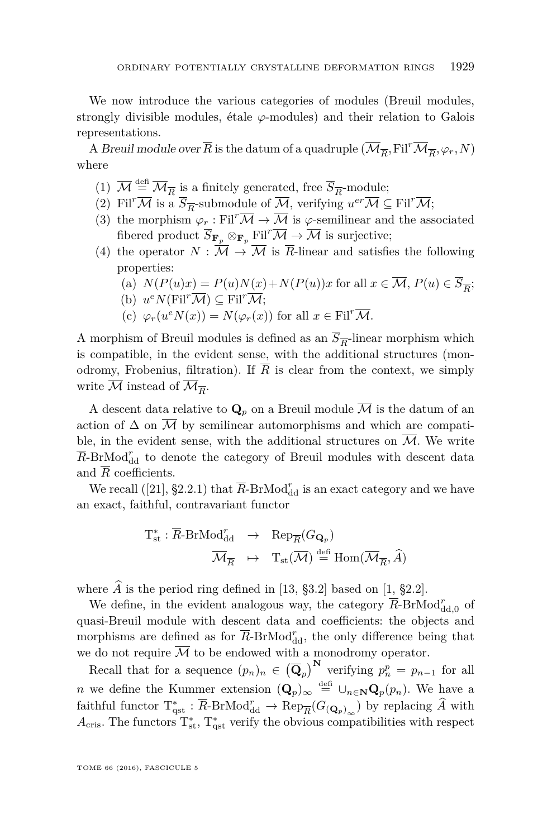We now introduce the various categories of modules (Breuil modules, strongly divisible modules, étale  $\varphi$ -modules) and their relation to Galois representations.

A *Breuil module over*  $\overline{R}$  is the datum of a quadruple  $(\overline{\mathcal{M}}_{\overline{R}},\mathrm{Fil}^r\overline{\mathcal{M}}_{\overline{R}},\varphi_r,N)$ where

- (1)  $\overline{\mathcal{M}} \stackrel{\text{def}}{=} \overline{\mathcal{M}}_{\overline{R}}$  is a finitely generated, free  $\overline{S}_{\overline{R}}$ -module;
- (2) Fil<sup>*r*</sup> $\overline{\mathcal{M}}$  is a  $\overline{S}_{\overline{R}}$ -submodule of  $\overline{\mathcal{M}}$ , verifying  $u^{er}\overline{\mathcal{M}} \subseteq$  Fil<sup>*r*</sup> $\overline{\mathcal{M}}$ ;
- (3) the morphism  $\varphi_r : \mathrm{Fil}^r \overline{\mathcal{M}} \to \overline{\mathcal{M}}$  is  $\varphi$ -semilinear and the associated fibered product  $\overline{S}_{\mathbf{F}_p} \otimes_{\mathbf{F}_p} \text{Fil}^r \overline{\mathcal{M}} \to \overline{\mathcal{M}}$  is surjective;
- (4) the operator  $N : \overline{M} \to \overline{M}$  is  $\overline{R}$ -linear and satisfies the following properties:
	- (a)  $N(P(u)x) = P(u)N(x) + N(P(u))x$  for all  $x \in M$ ,  $P(u) \in S_{\overline{R}}$ ;
	- (b)  $u^e N(\text{Fil}^r \overline{\mathcal{M}}) \subseteq \text{Fil}^r \overline{\mathcal{M}};$
	- (c)  $\varphi_r(u^e N(x)) = N(\varphi_r(x))$  for all  $x \in \text{Fil}^r \overline{\mathcal{M}}$ .

A morphism of Breuil modules is defined as an  $S_{\overline{R}}$ -linear morphism which is compatible, in the evident sense, with the additional structures (monodromy, Frobenius, filtration). If  $\overline{R}$  is clear from the context, we simply write  $\mathcal M$  instead of  $\mathcal M_{\overline{R}}$ .

A descent data relative to  $\mathbf{Q}_p$  on a Breuil module  $\overline{\mathcal{M}}$  is the datum of an action of  $\Delta$  on  $\overline{\mathcal{M}}$  by semilinear automorphisms and which are compatible, in the evident sense, with the additional structures on  $\overline{\mathcal{M}}$ . We write  $\overline{R}$ -BrMod $^r_{\text{dd}}$  to denote the category of Breuil modules with descent data and  $\overline{R}$  coefficients.

We recall ([\[21\]](#page-42-7), §2.2.1) that  $\overline{R}$ -BrMod $^r_{\text{dd}}$  is an exact category and we have an exact, faithful, contravariant functor

$$
\begin{array}{rcl} \mathrm{T}_{\mathrm{st}}^* : \overline{R}\text{-}\mathrm{BrMod}^r_{\mathrm{dd}} & \to & \mathrm{Rep}_{\overline{R}}(G_{\mathbf{Q}_p}) \\ & \overline{\mathcal{M}}_{\overline{R}} & \mapsto & \mathrm{T}_{\mathrm{st}}(\overline{\mathcal{M}}) \overset{\mathrm{def}}{=} \mathrm{Hom}(\overline{\mathcal{M}}_{\overline{R}}, \widehat{A}) \end{array}
$$

where  $\widehat{A}$  is the period ring defined in [\[13,](#page-41-7) §3.2] based on [\[1,](#page-41-11) §2.2].

We define, in the evident analogous way, the category  $\overline{R}$ -BrMod $_{\text{dd},0}^{r}$  of quasi-Breuil module with descent data and coefficients: the objects and morphisms are defined as for  $\overline{R}$ -BrMod<sub>d</sub>, the only difference being that we do not require  $M$  to be endowed with a monodromy operator.

Recall that for a sequence  $(p_n)_n \in (\overline{\mathbf{Q}}_p)^{\mathbf{N}}$  verifying  $p_n^p = p_{n-1}$  for all *n* we define the Kummer extension  $(Q_p)_{\infty} \stackrel{\text{defi}}{=} \bigcup_{n \in \mathbb{N}} Q_p(p_n)$ . We have a faithful functor  $T^*_{\text{qst}} : \overline{R}$ -BrMod $^r_{\text{dd}} \to \text{Rep}_{\overline{R}}(G_{(\mathbf{Q}_p)_{\infty}})$  by replacing  $\widehat{A}$  with  $A_{\text{cris}}$ . The functors  $T_{\text{st}}^*$ ,  $T_{\text{qst}}^*$  verify the obvious compatibilities with respect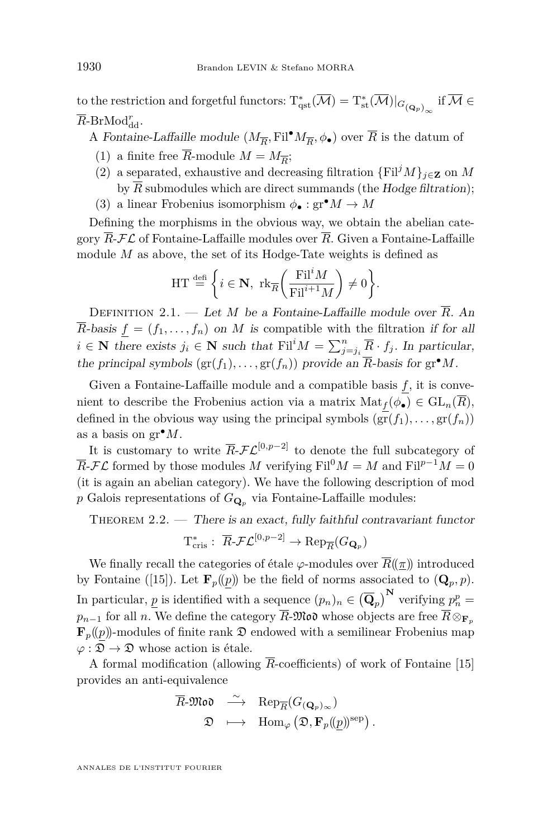to the restriction and forgetful functors:  $T^*_{qst}(\overline{\mathcal{M}}) = T^*_{st}(\overline{\mathcal{M}})|_{G_{({\mathbf{Q}}_p)}_\infty}$  if  $\overline{\mathcal{M}} \in$  $\overline{R}$ -BrMod $_{\text{dd}}^r$ .

A Fontaine-Laffaille module  $(M_{\overline{R}}, \text{Fil}^\bullet M_{\overline{R}}, \phi_\bullet)$  over  $\overline{R}$  is the datum of

- (1) a finite free *R*-module  $M = M_{\overline{R}}$ ;
- (2) a separated, exhaustive and decreasing filtration  $\{Fil^{j}M\}_{j\in\mathbf{Z}}$  on M by  $\overline{R}$  submodules which are direct summands (the Hodge filtration);
- (3) a linear Frobenius isomorphism  $\phi_{\bullet} : \text{gr}^{\bullet} M \to M$

Defining the morphisms in the obvious way, we obtain the abelian category  $\overline{R}$ - $\mathcal{FL}$  of Fontaine-Laffaille modules over  $\overline{R}$ . Given a Fontaine-Laffaille module *M* as above, the set of its Hodge-Tate weights is defined as

$$
HT \stackrel{\text{def}}{=} \left\{ i \in \mathbf{N}, \text{ rk}_{\overline{R}}\left(\frac{\text{Fil}^i M}{\text{Fil}^{i+1} M}\right) \neq 0 \right\}.
$$

DEFINITION 2.1. — Let *M* be a Fontaine-Laffaille module over  $\overline{R}$ . An  $\overline{R}$ -basis  $f = (f_1, \ldots, f_n)$  on *M* is compatible with the filtration if for all  $i \in \mathbb{N}$  there exists  $j_i \in \mathbb{N}$  such that  $\text{Fil}^i M = \sum_{j=j_i}^n \overline{R} \cdot f_j$ . In particular, the principal symbols  $(\text{gr}(f_1), \ldots, \text{gr}(f_n))$  provide an  $\overline{R}$ -basis for  $\text{gr}^{\bullet}M$ .

Given a Fontaine-Laffaille module and a compatible basis *f*, it is convenient to describe the Frobenius action via a matrix  $\text{Mat}_f(\phi_{\bullet}) \in \text{GL}_n(\overline{R}),$ defined in the obvious way using the principal symbols  $(\text{gr}(f_1), \ldots, \text{gr}(f_n))$ as a basis on gr•*M*.

It is customary to write  $\overline{R}$ - $\mathcal{FL}^{[0,p-2]}$  to denote the full subcategory of  $\overline{R}$ - $\mathcal{FL}$  formed by those modules *M* verifying Fil<sup>0</sup>*M* = *M* and Fil<sup>*p*-1</sup>*M* = 0 (it is again an abelian category). We have the following description of mod p Galois representations of  $G_{\mathbf{Q}_p}$  via Fontaine-Laffaille modules:

THEOREM  $2.2.$  — There is an exact, fully faithful contravariant functor  $\equiv$   $-$ **s** $[0, p-2]$ 

$$
\mathrm{T}_{\mathrm{cris}}^*:\ \overline{R}\text{-}\mathcal{FL}^{[0,p-2]}\to \mathrm{Rep}_{\overline{R}}(G_{\mathbf{Q}_p})
$$

We finally recall the categories of étale  $\varphi$ -modules over  $\overline{R}(\!(\pi)\!)$  introduced by Fontaine ([\[15\]](#page-41-12)). Let  $\mathbf{F}_p((p))$  be the field of norms associated to  $(\mathbf{Q}_p, p)$ . In particular,  $p$  is identified with a sequence  $(p_n)_n \in (\overline{\mathbf{Q}}_p)^{\mathbf{N}}$  verifying  $p_n^p =$  $p_{n-1}$  for all *n*. We define the category  $\overline{R}$ -Mo whose objects are free  $\overline{R} \otimes_{\mathbf{F}_n}$  $\mathbf{F}_p(p)$ -modules of finite rank  $\mathfrak D$  endowed with a semilinear Frobenius map  $\varphi : \mathfrak{D} \to \mathfrak{D}$  whose action is étale.

A formal modification (allowing  $\overline{R}$ -coefficients) of work of Fontaine [\[15\]](#page-41-12) provides an anti-equivalence

$$
\begin{array}{rcl}\n\overline{R}\text{-}{\mathfrak{Mod}} & \xrightarrow{\sim} & \operatorname{Rep}_{\overline{R}}(G_{({\mathbf{Q}}_p)_{\infty}}) \\
& \mathfrak{D} & \longmapsto & \operatorname{Hom}_{\varphi}\big(\mathfrak{D},\mathbf{F}_p(\underline{p})\big)^{\operatorname{sep}}\big)\,.\n\end{array}
$$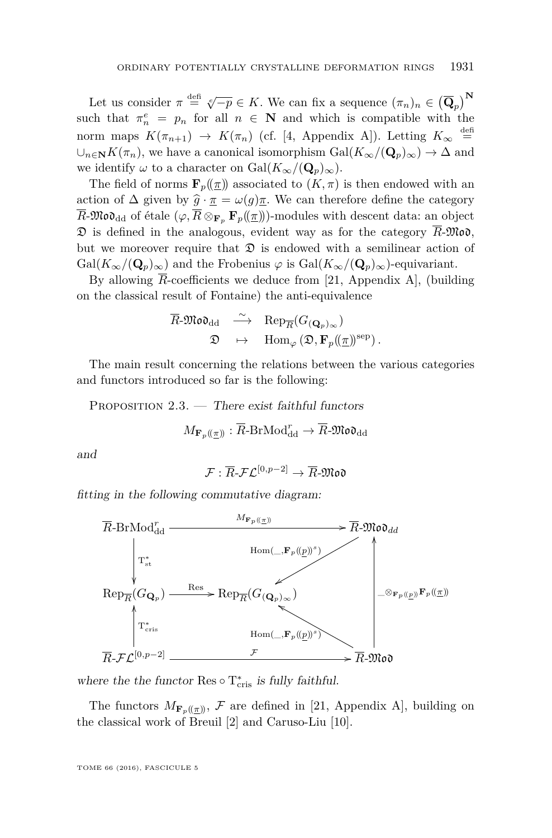Let us consider  $\pi \stackrel{\text{def}}{=} \sqrt[e]{-p} \in K$ . We can fix a sequence  $(\pi_n)_n \in (\overline{\mathbf{Q}}_p)^{\mathbf{N}}$ such that  $\pi_n^e = p_n$  for all  $n \in \mathbb{N}$  and which is compatible with the norm maps  $K(\pi_{n+1}) \rightarrow K(\pi_n)$  (cf. [\[4,](#page-41-8) Appendix A]). Letting  $K_{\infty} \stackrel{\text{def}}{=}$  $\cup_{n\in\mathbb{N}} K(\pi_n)$ , we have a canonical isomorphism  $Gal(K_\infty/(\mathbf{Q}_p)_\infty) \to \Delta$  and we identify  $\omega$  to a character on Gal $(K_{\infty}/(\mathbf{Q}_p)_{\infty})$ .

The field of norms  $\mathbf{F}_p(\underline{\tau})$  associated to  $(K,\tau)$  is then endowed with an action of  $\Delta$  given by  $\hat{g} \cdot \pi = \omega(g)\pi$ . We can therefore define the category  $\overline{R}$ -Mo $\mathfrak{d}_{\text{dd}}$  of étale  $(\varphi, \overline{R} \otimes_{\mathbf{F}_p} \mathbf{F}_p(\underline{\tau}))$ -modules with descent data: an object  $\mathfrak D$  is defined in the analogous, evident way as for the category  $\overline{R}$ - $\mathfrak{Mod}$ , but we moreover require that  $\mathfrak D$  is endowed with a semilinear action of  $Gal(K_{\infty}/(\mathbf{Q}_p)_{\infty})$  and the Frobenius  $\varphi$  is  $Gal(K_{\infty}/(\mathbf{Q}_p)_{\infty})$ -equivariant.

By allowing  $\overline{R}$ -coefficients we deduce from [\[21,](#page-42-7) Appendix A], (building on the classical result of Fontaine) the anti-equivalence

$$
\begin{array}{ccc}\n\overline{R}\text{-}{\mathfrak{Mod}_{\mathrm{dd}}}&\stackrel{\sim}{\longrightarrow}&\mathrm{Rep}_{\overline{R}}(G_{({\mathbf{Q}}_p)_{\infty}})\\
\mathfrak{D}&\mapsto&\mathrm{Hom}_{\varphi}\left(\mathfrak{D},\mathbf{F}_p(\hspace{-0.06cm}\langle \underline{\pi}\rangle\hspace{-0.06cm}\rangle^{\mathrm{sep}})\,.\\
\end{array}
$$

The main result concerning the relations between the various categories and functors introduced so far is the following:

<span id="page-9-0"></span>PROPOSITION  $2.3.$  — There exist faithful functors

$$
M_{\mathbf{F}_p(\underline{\pi})\!} : \overline{R}\text{-}\mathrm{BrMod}^r_{\mathrm{dd}} \to \overline{R}\text{-}\mathfrak{Mod}_{\mathrm{dd}}
$$

and

$$
\mathcal{F}:\overline{R}\text{-}\mathcal{FL}^{[0,p-2]}\to\overline{R}\text{-}\mathfrak{Mod}
$$

fitting in the following commutative diagram:



where the the functor  $\text{Res}\circ \text{T}_{\text{cris}}^*$  is fully faithful.

The functors  $M_{\mathbf{F}_p((\pi))}$ , F are defined in [\[21,](#page-42-7) Appendix A], building on the classical work of Breuil [\[2\]](#page-41-13) and Caruso-Liu [\[10\]](#page-41-14).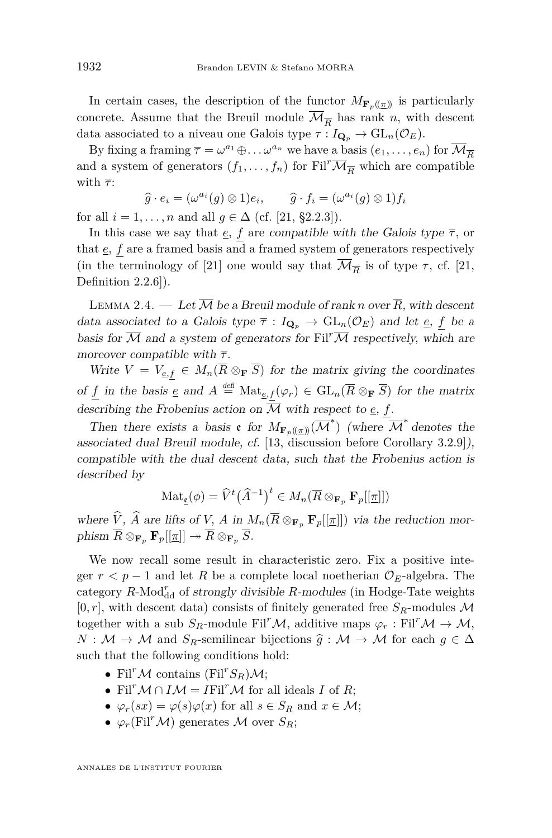In certain cases, the description of the functor  $M_{\mathbf{F}_p((\pi))}$  is particularly concrete. Assume that the Breuil module  $\mathcal{M}_{\overline{R}}$  has rank *n*, with descent data associated to a niveau one Galois type  $\tau: I_{\mathbf{Q}_p} \to \mathrm{GL}_n(\mathcal{O}_E)$ .

By fixing a framing  $\overline{\tau} = \omega^{a_1} \oplus \ldots \omega^{a_n}$  we have a basis  $(e_1, \ldots, e_n)$  for  $\overline{\mathcal{M}}_{\overline{R}}$ and a system of generators  $(f_1, \ldots, f_n)$  for Fil<sup>r</sup> $\overline{\mathcal{M}_{\overline{R}}}$  which are compatible with  $\bar{\tau}$ :

$$
\widehat{g} \cdot e_i = (\omega^{a_i}(g) \otimes 1)e_i, \qquad \widehat{g} \cdot f_i = (\omega^{a_i}(g) \otimes 1)f_i
$$

for all  $i = 1, ..., n$  and all  $g \in \Delta$  (cf. [\[21,](#page-42-7) §2.2.3]).

In this case we say that  $\underline{e}$ ,  $f$  are compatible with the Galois type  $\overline{\tau}$ , or that *e, f* are a framed basis and a framed system of generators respectively (in the terminology of [\[21\]](#page-42-7) one would say that  $\mathcal{M}_{\overline{R}}$  is of type  $\tau$ , cf. [\[21,](#page-42-7) Definition 2.2.6]).

<span id="page-10-0"></span>LEMMA 2.4. — Let  $\overline{\mathcal{M}}$  be a Breuil module of rank *n* over  $\overline{R}$ , with descent data associated to a Galois type  $\bar{\tau}: I_{\mathbf{Q}_p} \to \mathrm{GL}_n(\mathcal{O}_E)$  and let  $\underline{e}$ ,  $f$  be a basis for  $\overline{\mathcal{M}}$  and a system of generators for Fil<sup>r</sup> $\overline{\mathcal{M}}$  respectively, which are moreover compatible with *τ* .

Write  $V = V_{e,f} \in M_n(\overline{R} \otimes_{\mathbf{F}} \overline{S})$  for the matrix giving the coordinates of *f* in the basis *e* and  $A \stackrel{\text{def}}{=} \text{Mat}_{\underline{e},f}(\varphi_r) \in \text{GL}_n(\overline{R} \otimes_{\mathbf{F}} \overline{S})$  for the matrix describing the Frobenius action on  $\overline{\mathcal{M}}$  with respect to  $\underline{e}$ ,  $f$ .

Then there exists a basis  $\mathfrak{e}$  for  $M_{\mathbf{F}_p((\pi))}(\overline{\mathcal{M}}^*)$  (where  $\overline{\mathcal{M}}^*$  denotes the associated dual Breuil module, cf. [\[13,](#page-41-7) discussion before Corollary 3.2.9]), compatible with the dual descent data, such that the Frobenius action is described by

$$
\mathrm{Mat}_{\underline{\mathbf{c}}}(\phi) = \widehat{V}^t(\widehat{A}^{-1})^t \in M_n(\overline{R} \otimes_{\mathbf{F}_p} \mathbf{F}_p[[\underline{\pi}]])
$$

where  $\hat{V}$ ,  $\hat{A}$  are lifts of *V*,  $A$  in  $M_n(\overline{R} \otimes_{\mathbf{F}_p} \mathbf{F}_p[[\underline{\pi}]])$  via the reduction mor $phism \ \overline{R} \otimes_{\mathbf{F}_p} \mathbf{F}_p[[\pi]] \twoheadrightarrow \overline{R} \otimes_{\mathbf{F}_p} \overline{S}.$ 

We now recall some result in characteristic zero. Fix a positive integer  $r < p-1$  and let R be a complete local noetherian  $\mathcal{O}_E$ -algebra. The category  $R\text{-Mod}^r_{\text{dd}}$  of strongly divisible  $R\text{-modules}$  (in Hodge-Tate weights  $[0, r]$ , with descent data) consists of finitely generated free  $S_R$ -modules M together with a sub  $S_R$ -module Fil<sup>*r*</sup>M, additive maps  $\varphi_r$ : Fil<sup>*r*</sup>M  $\rightarrow$  M,  $N : \mathcal{M} \to \mathcal{M}$  and  $S_R$ -semilinear bijections  $\hat{g} : \mathcal{M} \to \mathcal{M}$  for each  $g \in \Delta$ such that the following conditions hold:

- Fil<sup>*r*</sup>M contains (Fil<sup>*r*</sup> $S_R$ )M;
- Fil<sup>*r*</sup>M  $\cap$  *IM* = *I*Fil<sup>*r*</sup>M for all ideals *I* of *R*;
- $\varphi_r(sx) = \varphi(s)\varphi(x)$  for all  $s \in S_R$  and  $x \in \mathcal{M}$ ;
- $\varphi_r(\text{Fil}^r \mathcal{M})$  generates M over  $S_R$ ;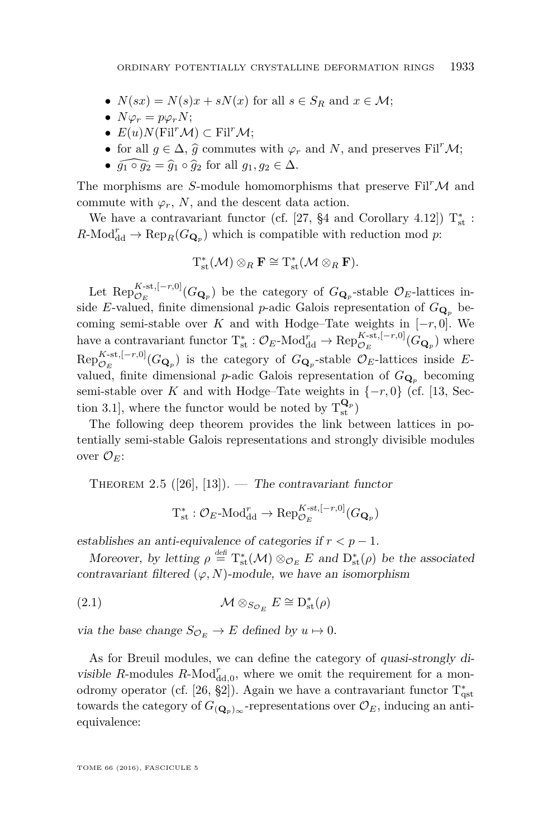- $N(sx) = N(s)x + sN(x)$  for all  $s \in S_R$  and  $x \in M$ ;
- $N\varphi_r = p\varphi_r N;$
- $E(u)N$ (Fil<sup>r</sup>M) ⊂ Fil<sup>r</sup>M;
- for all  $g \in \Delta$ ,  $\hat{g}$  commutes with  $\varphi_r$  and *N*, and preserves Fil<sup>r</sup>M;
- $\widehat{q_1 \circ q_2} = \widehat{q}_1 \circ \widehat{q}_2$  for all  $q_1, q_2 \in \Delta$ .

The morphisms are *S*-module homomorphisms that preserve  $\text{Fil}^r \mathcal{M}$  and commute with  $\varphi_r$ , *N*, and the descent data action.

We have a contravariant functor (cf. [\[27,](#page-42-8) §4 and Corollary 4.12])  $T_{\text{st}}^{*}$ :  $R\text{-Mod}^r_{\text{dd}} \to \text{Rep}_R(G_{\mathbf{Q}_p})$  which is compatible with reduction mod *p*:

$$
T_{st}^*(\mathcal{M})\otimes_R \mathbf{F} \cong T_{st}^*(\mathcal{M} \otimes_R \mathbf{F}).
$$

Let  $\text{Rep}_{\mathcal{O}_E}^{K\text{-st},[-r,0]}(G_{\mathbf{Q}_p})$  be the category of  $G_{\mathbf{Q}_p}$ -stable  $\mathcal{O}_E$ -lattices inside *E*-valued, finite dimensional *p*-adic Galois representation of  $G_{\mathbf{Q}_p}$  becoming semi-stable over *K* and with Hodge–Tate weights in  $[-r, 0]$ . We have a contravariant functor  $T_{st}^* : \mathcal{O}_E$ -Mod<sup>r</sup><sub>dd</sub>  $\to \text{Rep}_{\mathcal{O}_E}^{K-st,[-r,0]}(G_{\mathbf{Q}_p})$  where  $Rep_{\mathcal{O}_E}^{K-st,[-r,0]}(G_{\mathbf{Q}_p})$  is the category of  $G_{\mathbf{Q}_p}$ -stable  $\mathcal{O}_E$ -lattices inside Evalued, finite dimensional *p*-adic Galois representation of  $G_{\mathbf{Q}_p}$  becoming semi-stable over *K* and with Hodge–Tate weights in  $\{-r, 0\}$  (cf. [\[13,](#page-41-7) Section 3.1], where the functor would be noted by  $T_{st}^{Q_p}$ 

The following deep theorem provides the link between lattices in potentially semi-stable Galois representations and strongly divisible modules over  $\mathcal{O}_E$ :

<span id="page-11-0"></span>THEOREM 2.5 ([\[26\]](#page-42-9), [\[13\]](#page-41-7)). — The contravariant functor

$$
\mathrm{T}_{\mathrm{st}}^* : \mathcal{O}_E\text{-Mod}_{\mathrm{dd}}^r \to \mathrm{Rep}_{\mathcal{O}_E}^{K\text{-st},[-r,0]}(G_{\mathbf{Q}_p})
$$

establishes an anti-equivalence of categories if  $r < p - 1$ .

Moreover, by letting  $\rho \stackrel{\text{def}}{=} T_{\text{st}}^*(\mathcal{M}) \otimes_{\mathcal{O}_E} E$  and  $D_{\text{st}}^*(\rho)$  be the associated contravariant filtered  $(\varphi, N)$ -module, we have an isomorphism

(2.1) 
$$
\mathcal{M} \otimes_{S_{\mathcal{O}_E}} E \cong D^*_{\text{st}}(\rho)
$$

via the base change  $S_{\mathcal{O}_E} \to E$  defined by  $u \mapsto 0$ .

As for Breuil modules, we can define the category of quasi-strongly divisible  $R$ -modules  $R$ -Mod $_{\text{dd},0}^r$ , where we omit the requirement for a mon-odromy operator (cf. [\[26,](#page-42-9) §2]). Again we have a contravariant functor  $T_{qst}^*$ towards the category of  $G_{(\mathbf{Q}_p)_{\infty}}$ -representations over  $\mathcal{O}_E$ , inducing an antiequivalence: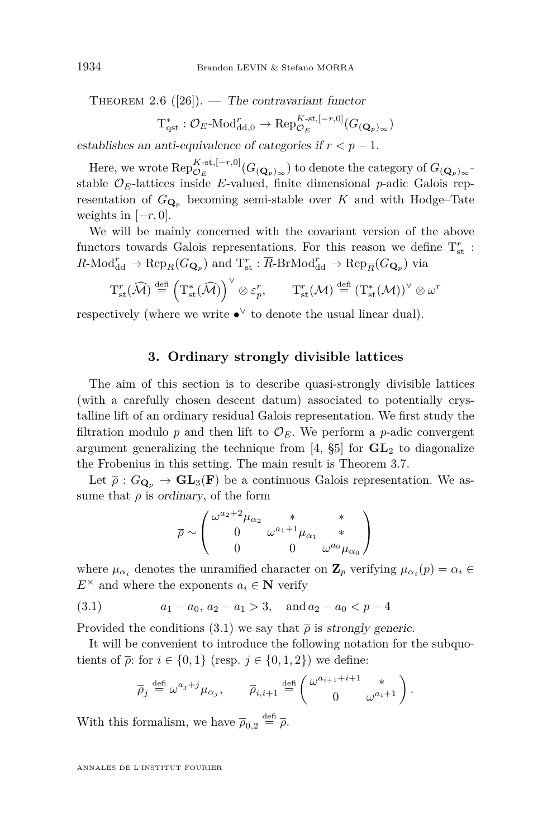THEOREM 2.6  $([26])$  $([26])$  $([26])$ . — The contravariant functor

$$
\mathrm{T}_{\mathrm{qst}}^* : \mathcal{O}_E\text{-}\mathrm{Mod}_{\mathrm{dd},0}^r \to \mathrm{Rep}_{\mathcal{O}_E}^{K\text{-}\mathrm{st},[-r,0]}(G_{(\mathbf{Q}_p)_{\infty}})
$$

establishes an anti-equivalence of categories if  $r < p - 1$ .

Here, we wrote  $Rep_{\mathcal{O}_E}^{K\text{-st},[-r,0]}(G_{(\mathbf{Q}_p)_{\infty}})$  to denote the category of  $G_{(\mathbf{Q}_p)_{\infty}}$ stable  $\mathcal{O}_E$ -lattices inside *E*-valued, finite dimensional *p*-adic Galois representation of  $G_{\mathbf{Q}_p}$  becoming semi-stable over *K* and with Hodge–Tate weights in  $[-r, 0]$ .

We will be mainly concerned with the covariant version of the above functors towards Galois representations. For this reason we define  $T_{\text{st}}^r$ :  $R\text{-Mod}_{\text{dd}}^r \to \text{Rep}_R(G_{\mathbf{Q}_p})$  and  $T_{\text{st}}^r : \overline{R}\text{-BrMod}_{\text{dd}}^r \to \text{Rep}_{\overline{R}}(G_{\mathbf{Q}_p})$  via

$$
T_{st}^r(\widehat{\mathcal{M}}) \stackrel{\text{def}}{=} \left(T_{st}^*(\widehat{\mathcal{M}})\right)^{\vee} \otimes \varepsilon_p^r, \qquad T_{st}^r(\mathcal{M}) \stackrel{\text{def}}{=} \left(T_{st}^*(\mathcal{M})\right)^{\vee} \otimes \omega^r
$$

respectively (where we write  $\bullet^{\vee}$  to denote the usual linear dual).

#### **3. Ordinary strongly divisible lattices**

The aim of this section is to describe quasi-strongly divisible lattices (with a carefully chosen descent datum) associated to potentially crystalline lift of an ordinary residual Galois representation. We first study the filtration modulo  $p$  and then lift to  $\mathcal{O}_E$ . We perform a  $p$ -adic convergent argument generalizing the technique from  $[4, \S5]$  $[4, \S5]$  for  $GL_2$  to diagonalize the Frobenius in this setting. The main result is Theorem [3.7.](#page-18-0)

Let  $\bar{\rho}: G_{\mathbf{Q}_p} \to \mathbf{GL}_3(\mathbf{F})$  be a continuous Galois representation. We assume that  $\bar{\rho}$  is ordinary, of the form

$$
\overline{\rho}\sim\left(\begin{matrix} \omega^{a_2+2}\mu_{\alpha_2}&*&*\\ 0&\omega^{a_1+1}\mu_{\alpha_1}&*\\ 0&0&\omega^{a_0}\mu_{\alpha_0} \end{matrix}\right)
$$

where  $\mu_{\alpha_i}$  denotes the unramified character on  $\mathbf{Z}_p$  verifying  $\mu_{\alpha_i}(p) = \alpha_i \in$  $E^{\times}$  and where the exponents  $a_i \in \mathbb{N}$  verify

(3.1) 
$$
a_1 - a_0, a_2 - a_1 > 3
$$
, and  $a_2 - a_0 < p - 4$ 

Provided the conditions [\(3.1\)](#page-12-0) we say that  $\bar{\rho}$  is strongly generic.

It will be convenient to introduce the following notation for the subquotients of  $\overline{\rho}$ : for  $i \in \{0,1\}$  (resp.  $j \in \{0,1,2\}$ ) we define:

<span id="page-12-0"></span>
$$
\overline{\rho}_j \stackrel{\text{def}}{=} \omega^{a_j+j} \mu_{\alpha_j}, \qquad \overline{\rho}_{i,i+1} \stackrel{\text{def}}{=} \begin{pmatrix} \omega^{a_{i+1}+i+1} & * \\ 0 & \omega^{a_i+1} \end{pmatrix}.
$$

With this formalism, we have  $\bar{\rho}_{0,2} \stackrel{\text{def}}{=} \bar{\rho}$ .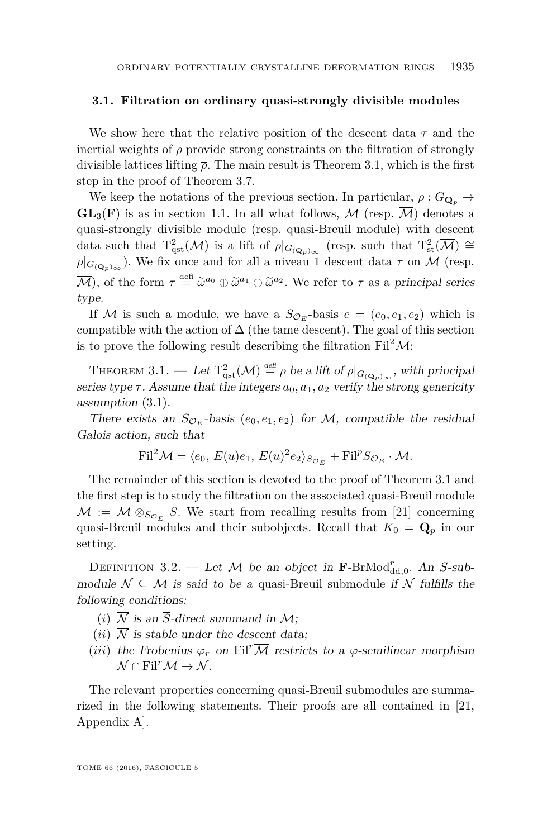#### **3.1. Filtration on ordinary quasi-strongly divisible modules**

We show here that the relative position of the descent data *τ* and the inertial weights of  $\bar{\rho}$  provide strong constraints on the filtration of strongly divisible lattices lifting  $\bar{\rho}$ . The main result is Theorem [3.1,](#page-13-0) which is the first step in the proof of Theorem [3.7.](#page-18-0)

We keep the notations of the previous section. In particular,  $\bar{\rho}: G_{\mathbf{Q}_p} \to$  $GL_3(F)$  is as in section [1.1.](#page-5-0) In all what follows, M (resp.  $\overline{\mathcal{M}}$ ) denotes a quasi-strongly divisible module (resp. quasi-Breuil module) with descent data such that  $T_{\text{qst}}^2(\mathcal{M})$  is a lift of  $\overline{\rho}|_{G_{({\mathbf{Q}}_p)}_{\infty}}$  (resp. such that  $T_{\text{st}}^2(\overline{\mathcal{M}}) \cong$  $\overline{\rho}|_{G_{({\bf Q}_p)}_{\infty}}$ ). We fix once and for all a niveau 1 descent data  $\tau$  on M (resp.  $\overline{\mathcal{M}}$ ), of the form  $\tau \stackrel{\text{def}}{=} \widetilde{\omega}^{a_0} \oplus \widetilde{\omega}^{a_1} \oplus \widetilde{\omega}^{a_2}$ . We refer to  $\tau$  as a principal series type.

If M is such a module, we have a  $S_{\mathcal{O}_E}$ -basis  $\underline{e} = (e_0, e_1, e_2)$  which is compatible with the action of  $\Delta$  (the tame descent). The goal of this section is to prove the following result describing the filtration  ${\rm Fil}^2{\cal M}.$ 

<span id="page-13-0"></span>THEOREM 3.1. — Let  $T_{\text{qst}}^2(\mathcal{M}) \stackrel{\text{def}}{=} \rho$  be a lift of  $\overline{\rho}|_{G_{({\bf Q}_p)_{\infty}}},$  with principal series type  $\tau$ . Assume that the integers  $a_0, a_1, a_2$  verify the strong genericity assumption [\(3.1\)](#page-12-0).

There exists an  $S_{\mathcal{O}_E}$ -basis  $(e_0, e_1, e_2)$  for M, compatible the residual Galois action, such that

$$
\mathrm{Fil}^2 \mathcal{M} = \langle e_0, E(u)e_1, E(u)^2 e_2 \rangle_{S_{\mathcal{O}_E}} + \mathrm{Fil}^p S_{\mathcal{O}_E} \cdot \mathcal{M}.
$$

The remainder of this section is devoted to the proof of Theorem [3.1](#page-13-0) and the first step is to study the filtration on the associated quasi-Breuil module  $M := M \otimes_{S_{\mathcal{O}_E}} S$ . We start from recalling results from [\[21\]](#page-42-7) concerning quasi-Breuil modules and their subobjects. Recall that  $K_0 = \mathbf{Q}_p$  in our setting.

DEFINITION 3.2. — Let  $\overline{\mathcal{M}}$  be an object in **F**-BrMod<sup>r</sup><sub>dd,0</sub>. An  $\overline{S}$ -submodule  $\overline{\mathcal{N}} \subseteq \overline{\mathcal{M}}$  is said to be a quasi-Breuil submodule if  $\overline{\mathcal{N}}$  fulfills the following conditions:

- (*i*)  $\overline{\mathcal{N}}$  is an  $\overline{\mathcal{S}}$ -direct summand in  $\mathcal{M}$ ;
- (*ii*)  $\overline{N}$  is stable under the descent data;
- (*iii*) the Frobenius  $\varphi_r$  on Fil<sup>*r*</sup>M restricts to a  $\varphi$ -semilinear morphism  $\overline{\mathcal{N}} \cap \text{Fil}^r \overline{\mathcal{M}} \to \overline{\mathcal{N}}.$

The relevant properties concerning quasi-Breuil submodules are summarized in the following statements. Their proofs are all contained in [\[21,](#page-42-7) Appendix A].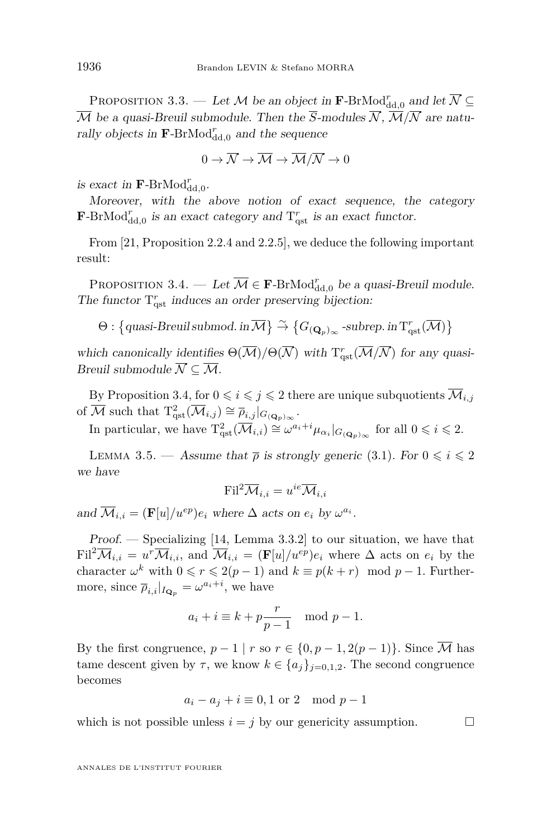PROPOSITION 3.3. — Let  $\mathcal M$  be an object in  $\mathbf F\text{-BrMod}^r_{\mathrm{dd},0}$  and let  $\overline{\mathcal N} \subseteq$  $\overline{\mathcal{M}}$  be a quasi-Breuil submodule. Then the  $\overline{S}$ -modules  $\overline{\mathcal{N}}, \overline{\mathcal{M}}/\overline{\mathcal{N}}$  are naturally objects in  $\mathbf{F}\text{-BrMod}_{\mathrm{dd},0}^r$  and the sequence

$$
0 \to \overline{\mathcal{N}} \to \overline{\mathcal{M}} \to \overline{\mathcal{M}}/\overline{\mathcal{N}} \to 0
$$

is exact in  $\mathbf{F}\text{-BrMod}_{\text{dd},0}^r$ .

Moreover, with the above notion of exact sequence, the category **F**-BrMod $^r_{\text{dd},0}$  is an exact category and  $T^r_{\text{qst}}$  is an exact functor.

From [\[21,](#page-42-7) Proposition 2.2.4 and 2.2.5], we deduce the following important result:

<span id="page-14-0"></span>PROPOSITION 3.4. — Let  $\overline{\mathcal{M}} \in \mathbf{F}\text{-BrMod}_{\mathrm{dd},0}^r$  be a quasi-Breuil module. The functor  $T_{\text{qst}}^r$  induces an order preserving bijection:

 $\Theta$  :  $\left\{ \text{quasi-Breuil submod. in } \overline{\mathcal{M}} \right\} \stackrel{\sim}{\rightarrow} \left\{ G_{(\mathbf{Q}_p)_{\infty}}\text{-subrep. in } T_{\mathrm{qst}}^r(\overline{\mathcal{M}}) \right\}$ 

which canonically identifies  $\Theta(\overline{\mathcal{M}})/\Theta(\overline{\mathcal{N}})$  with  $T^r_{\text{qst}}(\overline{\mathcal{M}}/\overline{\mathcal{N}})$  for any quasi-Breuil submodule  $\overline{\mathcal{N}} \subseteq \overline{\mathcal{M}}$ .

By Proposition [3.4,](#page-14-0) for  $0 \leq i \leq j \leq 2$  there are unique subquotients  $\overline{\mathcal{M}}_{i,j}$ of  $\overline{\mathcal{M}}$  such that  $T_{\text{qst}}^2(\overline{\mathcal{M}}_{i,j}) \cong \overline{\rho}_{i,j}|_{G_{(\mathbf{Q}_p)}_{\infty}}$ .

In particular, we have  $T_{\text{qst}}^2(\overline{\mathcal{M}}_{i,i}) \cong \omega^{a_i + i} \mu_{\alpha_i}|_{G_{(\mathbf{Q}_p)}\infty}$  for all  $0 \leq i \leq 2$ .

<span id="page-14-1"></span>LEMMA 3.5. — Assume that  $\bar{\rho}$  is strongly generic [\(3.1\)](#page-12-0). For  $0 \leq i \leq 2$ we have

$$
\text{Fil}^2 \overline{\mathcal{M}}_{i,i} = u^{ie} \overline{\mathcal{M}}_{i,i}
$$

and  $\overline{\mathcal{M}}_{i,i} = (\mathbf{F}[u]/u^{ep})e_i$  where  $\Delta$  acts on  $e_i$  by  $\omega^{a_i}$ .

Proof. — Specializing [\[14,](#page-41-9) Lemma 3.3.2] to our situation, we have that  $\text{Fil}^2 \overline{\mathcal{M}}_{i,i} = u^r \overline{\mathcal{M}}_{i,i}$ , and  $\overline{\mathcal{M}}_{i,i} = (\mathbf{F}[u]/u^{ep})e_i$  where  $\Delta$  acts on  $e_i$  by the character  $\omega^k$  with  $0 \le r \le 2(p-1)$  and  $k \equiv p(k+r) \mod p-1$ . Furthermore, since  $\overline{\rho}_{i,i}|_{I_{\mathbf{Q}_p}} = \omega^{a_i + i}$ , we have

$$
a_i + i \equiv k + p \frac{r}{p-1} \mod p - 1.
$$

By the first congruence,  $p-1 | r$  so  $r \in \{0, p-1, 2(p-1)\}$ . Since  $\overline{\mathcal{M}}$  has tame descent given by  $\tau$ , we know  $k \in \{a_j\}_{j=0,1,2}$ . The second congruence becomes

$$
a_i - a_j + i \equiv 0, 1 \text{ or } 2 \mod p - 1
$$

which is not possible unless  $i = j$  by our genericity assumption.  $\Box$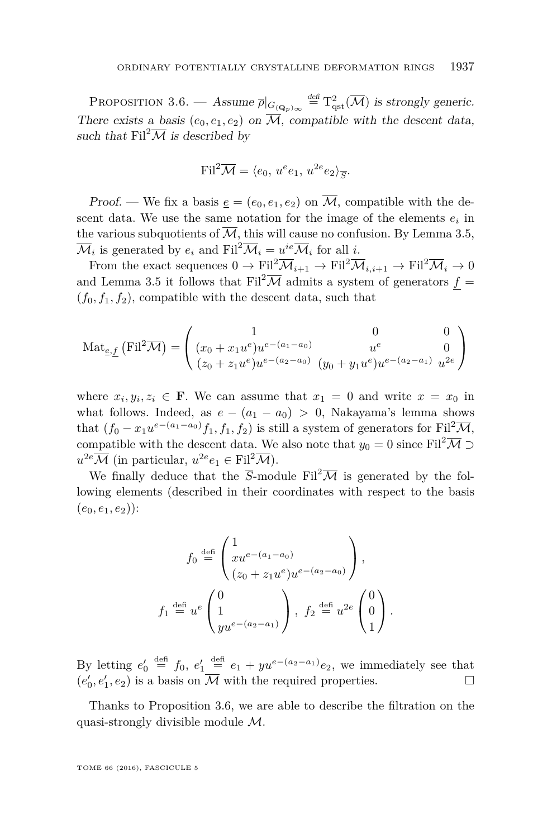<span id="page-15-0"></span>PROPOSITION 3.6. — Assume  $\overline{\rho}|_{G(\mathbf{Q}_p)_{\infty}} \stackrel{\text{def}}{=} {\mathrm{T}}_{\mathrm{qst}}^2(\overline{\mathcal{M}})$  is strongly generic. There exists a basis  $(e_0, e_1, e_2)$  on  $\overline{\mathcal{M}}$ , compatible with the descent data, such that  $\text{Fil}^2\overline{\mathcal{M}}$  is described by

$$
\text{Fil}^2 \overline{\mathcal{M}} = \langle e_0, u^e e_1, u^{2e} e_2 \rangle_{\overline{S}}.
$$

Proof. — We fix a basis  $e = (e_0, e_1, e_2)$  on  $\overline{M}$ , compatible with the descent data. We use the same notation for the image of the elements  $e_i$  in the various subquotients of  $\overline{\mathcal{M}}$ , this will cause no confusion. By Lemma [3.5,](#page-14-1)  $\overline{\mathcal{M}}_i$  is generated by  $e_i$  and  $\text{Fil}^2 \overline{\mathcal{M}}_i = u^{ie} \overline{\mathcal{M}}_i$  for all *i*.

From the exact sequences  $0 \to \text{Fil}^2 \overline{\mathcal{M}}_{i+1} \to \text{Fil}^2 \overline{\mathcal{M}}_{i,i+1} \to \text{Fil}^2 \overline{\mathcal{M}}_i \to 0$ and Lemma [3.5](#page-14-1) it follows that  $\text{Fil}^2\overline{\mathcal{M}}$  admits a system of generators  $f =$  $(f_0, f_1, f_2)$ , compatible with the descent data, such that

Mat<sub>e,f</sub> (Fil<sup>2</sup>
$$
\overline{\mathcal{M}}
$$
) = 
$$
\begin{pmatrix} 1 & 0 & 0 \ (x_0 + x_1 u^e) u^{e-(a_1-a_0)} & u^e & 0 \ (z_0 + z_1 u^e) u^{e-(a_2-a_0)} & (y_0 + y_1 u^e) u^{e-(a_2-a_1)} & u^{2e} \end{pmatrix}
$$

where  $x_i, y_i, z_i \in \mathbf{F}$ . We can assume that  $x_1 = 0$  and write  $x = x_0$  in what follows. Indeed, as  $e - (a_1 - a_0) > 0$ , Nakayama's lemma shows that  $(f_0 - x_1u^{e-(a_1-a_0)}f_1, f_1, f_2)$  is still a system of generators for Fil<sup>2</sup>M, compatible with the descent data. We also note that  $y_0 = 0$  since Fil<sup>2</sup>M ⊃  $u^{2e} \overline{\mathcal{M}}$  (in particular,  $u^{2e} e_1 \in \text{Fil}^2 \overline{\mathcal{M}}$ ).

We finally deduce that the  $\overline{S}$ -module Fil<sup>2</sup> $\overline{\mathcal{M}}$  is generated by the following elements (described in their coordinates with respect to the basis  $(e_0, e_1, e_2)$ :

$$
f_0 \stackrel{\text{def}}{=} \begin{pmatrix} 1 \\ xu^{e-(a_1-a_0)} \\ (z_0+z_1u^e)u^{e-(a_2-a_0)} \end{pmatrix},
$$
  

$$
f_1 \stackrel{\text{def}}{=} u^e \begin{pmatrix} 0 \\ 1 \\ yu^{e-(a_2-a_1)} \end{pmatrix}, f_2 \stackrel{\text{def}}{=} u^{2e} \begin{pmatrix} 0 \\ 0 \\ 1 \end{pmatrix}.
$$

By letting  $e'_0 \stackrel{\text{def}}{=} f_0, e'_1 \stackrel{\text{def}}{=} e_1 + yu^{e-(a_2-a_1)}e_2$ , we immediately see that  $(e'_0, e'_1, e_2)$  is a basis on  $\overline{\mathcal{M}}$  with the required properties.

Thanks to Proposition [3.6,](#page-15-0) we are able to describe the filtration on the quasi-strongly divisible module M.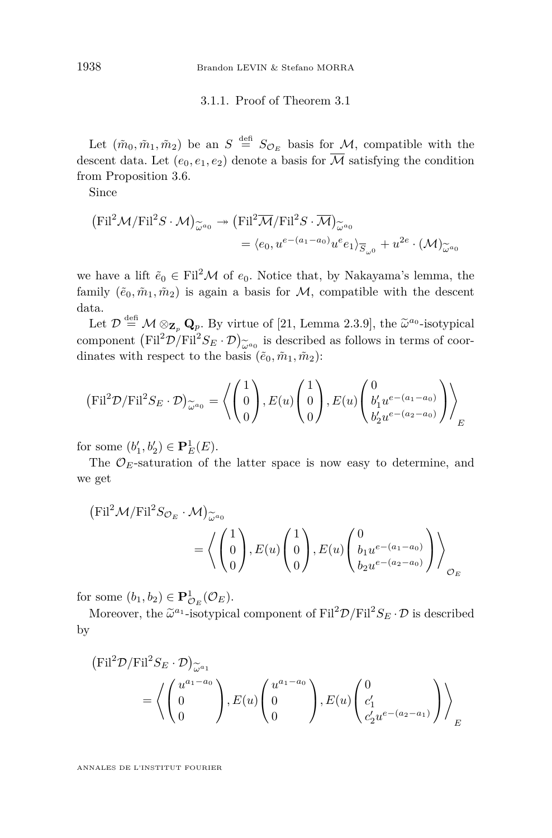3.1.1. Proof of Theorem [3.1](#page-13-0)

Let  $(\tilde{m}_0, \tilde{m}_1, \tilde{m}_2)$  be an  $S \stackrel{\text{def}}{=} S_{\mathcal{O}_E}$  basis for  $\mathcal{M}$ , compatible with the descent data. Let  $(e_0, e_1, e_2)$  denote a basis for  $\overline{\mathcal{M}}$  satisfying the condition from Proposition [3.6.](#page-15-0)

Since

$$
\begin{aligned} \left(\mathrm{Fil}^2 \mathcal{M}/\mathrm{Fil}^2 S \cdot \mathcal{M}\right)_{\widetilde{\omega}^{a_0}} &\to \left(\mathrm{Fil}^2 \overline{\mathcal{M}}/\mathrm{Fil}^2 S \cdot \overline{\mathcal{M}}\right)_{\widetilde{\omega}^{a_0}}\\ &= \langle e_0, u^{e-(a_1 - a_0)} u^e e_1 \rangle_{\overline{S}_{\omega^0}} + u^{2e} \cdot (\mathcal{M})_{\widetilde{\omega}^{a_0}} \end{aligned}
$$

we have a lift  $\tilde{e}_0 \in \text{Fil}^2 \mathcal{M}$  of  $e_0$ . Notice that, by Nakayama's lemma, the family  $(\tilde{e}_0, \tilde{m}_1, \tilde{m}_2)$  is again a basis for  $M$ , compatible with the descent data.

Let  $\mathcal{D} \stackrel{\text{def}}{=} \mathcal{M} \otimes_{\mathbf{Z}_p} \mathbf{Q}_p$ . By virtue of [\[21,](#page-42-7) Lemma 2.3.9], the  $\tilde{\omega}^{a_0}$ -isotypical<br>management (Ei<sup>12</sup> $\mathcal{D}/\text{Eil}^2$ <sup>C</sup>  $\mathcal{D}$ ) is described as follows in targe of seem. component  $(\text{Fil}^2 \mathcal{D}/\text{Fil}^2 S_E \cdot \mathcal{D})_{\widetilde{\omega}^{a_0}}$  is described as follows in terms of coordinates with respect to the basis  $(\tilde{e}_0, \tilde{m}_1, \tilde{m}_2)$ :

$$
(\mathrm{Fil}^2 \mathcal{D}/\mathrm{Fil}^2 S_E \cdot \mathcal{D})_{\widetilde{\omega}^{a_0}} = \left\langle \begin{pmatrix} 1 \\ 0 \\ 0 \end{pmatrix}, E(u) \begin{pmatrix} 1 \\ 0 \\ 0 \end{pmatrix}, E(u) \begin{pmatrix} 0 \\ b'_1 u^{e-(a_1-a_0)} \\ b'_2 u^{e-(a_2-a_0)} \end{pmatrix} \right\rangle_E
$$

for some  $(b'_1, b'_2) \in {\bf P}_E^1(E)$ .

The  $\mathcal{O}_E$ -saturation of the latter space is now easy to determine, and we get

$$
\begin{aligned} \left(\mathrm{Fil}^2 \mathcal{M}/\mathrm{Fil}^2 S_{\mathcal{O}_E} \cdot \mathcal{M}\right)_{\widetilde{\omega}^{a_0}} \\ & = \left\langle \begin{pmatrix} 1 \\ 0 \\ 0 \end{pmatrix}, E(u) \begin{pmatrix} 1 \\ 0 \\ 0 \end{pmatrix}, E(u) \begin{pmatrix} 0 \\ b_1 u^{e-(a_1-a_0)} \\ b_2 u^{e-(a_2-a_0)} \end{pmatrix} \right\rangle_{\mathcal{O}_E} \end{aligned}
$$

for some  $(b_1, b_2) \in \mathbf{P}^1_{\mathcal{O}_E}(\mathcal{O}_E)$ .

Moreover, the  $\tilde{\omega}^{a_1}$ -isotypical component of  $\text{Fil}^2 \mathcal{D} / \text{Fil}^2 S_E \cdot \mathcal{D}$  is described by

$$
\begin{aligned} \left(\mathrm{Fil}^2 \mathcal{D}/\mathrm{Fil}^2 S_E \cdot \mathcal{D}\right)_{\widetilde{\omega}^{a_1}}\\ & = \left\langle \begin{pmatrix} u^{a_1 - a_0} \\ 0 \\ 0 \end{pmatrix}, E(u) \begin{pmatrix} u^{a_1 - a_0} \\ 0 \\ 0 \end{pmatrix}, E(u) \begin{pmatrix} 0 \\ c'_1 \\ c'_2 u^{e - (a_2 - a_1)} \end{pmatrix} \right\rangle_E \end{aligned}
$$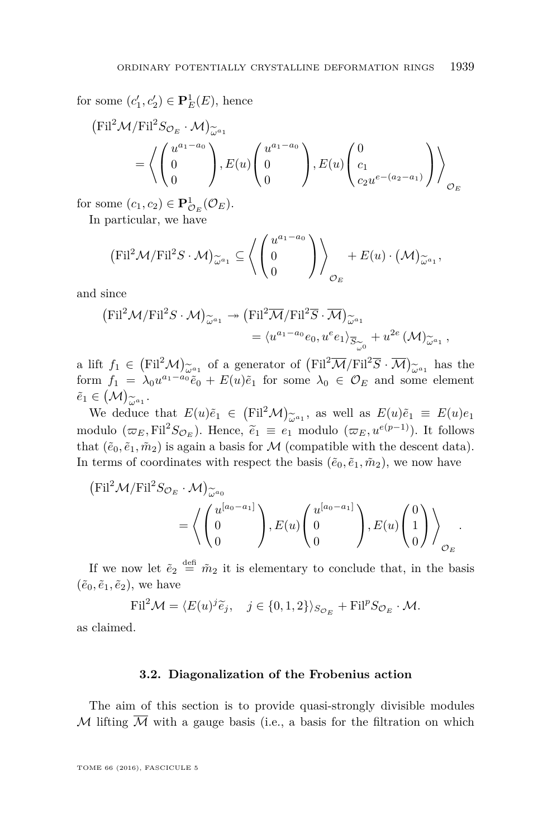for some  $(c'_1, c'_2) \in \mathbf{P}_E^1(E)$ , hence

$$
\begin{aligned} \left(\mathrm{Fil}^2 \mathcal{M}/\mathrm{Fil}^2 S_{\mathcal{O}_E} \cdot \mathcal{M}\right)_{\widetilde{\omega}^{a_1}} \\ &= \left\langle \begin{pmatrix} u^{a_1 - a_0} \\ 0 \\ 0 \end{pmatrix}, E(u) \begin{pmatrix} u^{a_1 - a_0} \\ 0 \\ 0 \end{pmatrix}, E(u) \begin{pmatrix} 0 \\ c_1 \\ c_2 u^{e - (a_2 - a_1)} \end{pmatrix} \right\rangle_{\mathcal{O}_E} \end{aligned}
$$

for some  $(c_1, c_2) \in \mathbf{P}^1_{\mathcal{O}_E}(\mathcal{O}_E)$ .

In particular, we have

$$
(\mathrm{Fil}^2 \mathcal{M}/\mathrm{Fil}^2 S \cdot \mathcal{M})_{\widetilde{\omega}^{a_1}} \subseteq \left\langle \begin{pmatrix} u^{a_1 - a_0} \\ 0 \\ 0 \end{pmatrix} \right\rangle_{\mathcal{O}_E} + E(u) \cdot (\mathcal{M})_{\widetilde{\omega}^{a_1}},
$$

and since

$$
\begin{aligned} \left(\mathrm{Fil}^2 \mathcal{M}/\mathrm{Fil}^2 S \cdot \mathcal{M}\right)_{\widetilde{\omega}^{a_1}} &\to \left(\mathrm{Fil}^2 \overline{\mathcal{M}}/\mathrm{Fil}^2 \overline{S} \cdot \overline{\mathcal{M}}\right)_{\widetilde{\omega}^{a_1}} \\ &= \langle u^{a_1 - a_0} e_0, u^e e_1 \rangle_{\overline{S}_{\widetilde{\omega}^0}} + u^{2e} \left(\mathcal{M}\right)_{\widetilde{\omega}^{a_1}}, \end{aligned}
$$

a lift  $f_1 \in (Fil^2\mathcal{M})_{\widetilde{\omega}^{a_1}}$  of a generator of  $(Fil^2\overline{\mathcal{M}}/Fil^2\overline{S} \cdot \overline{\mathcal{M}})_{\widetilde{\omega}^{a_1}}$  has the form  $f_1 = \lambda_0 u^{a_1 - a_0} \tilde{e}_0 + E(u)\tilde{e}_1$  for some  $\lambda_0 \in \mathcal{O}_E$  and some element form  $f_1 = \lambda_0 u^{a_1 - a_0} \tilde{e}_0 + E(u) \tilde{e}_1$  for some  $\lambda_0 \in \mathcal{O}_E$  and some element  $\tilde{e}_1 \in (\mathcal{M})_{\widetilde{\omega}^{a_1}}.$ 

We deduce that  $E(u)\tilde{e}_1 \in (\text{Fil}^2 \mathcal{M})_{\tilde{\omega}^{a_1}}$ , as well as  $E(u)\tilde{e}_1 \equiv E(u)e_1$ equality ( $\overline{\omega}_E$ , Fil<sup>2</sup>*S*<sub>O*E*</sub>). Hence,  $\tilde{e}_1 \equiv e_1$  modulo ( $\overline{\omega}_E$ ,  $u^{e(p-1)}$ ). It follows that ( $\tilde{e}_1 \tilde{e}_2 \tilde{e}_3$ ) is aggin a basis for *M* (compatible with the decent data) that  $(\tilde{e}_0, \tilde{e}_1, \tilde{m}_2)$  is again a basis for M (compatible with the descent data). In terms of coordinates with respect the basis  $(\tilde{e}_0, \tilde{e}_1, \tilde{m}_2)$ , we now have

$$
\begin{aligned} \left(\mathrm{Fil}^2 \mathcal{M}/\mathrm{Fil}^2 S_{\mathcal{O}_E} \cdot \mathcal{M}\right)_{\widetilde{\omega}^{a_0}}\\ = \left\langle \begin{pmatrix} u^{[a_0 - a_1]} \\ 0 \\ 0 \end{pmatrix}, E(u) \begin{pmatrix} u^{[a_0 - a_1]} \\ 0 \\ 0 \end{pmatrix}, E(u) \begin{pmatrix} 0 \\ 1 \\ 0 \end{pmatrix} \right\rangle_{\mathcal{O}_E} . \end{aligned}
$$

If we now let  $\tilde{e}_2 \stackrel{\text{def}}{=} \tilde{m}_2$  it is elementary to conclude that, in the basis  $(\tilde{e}_0, \tilde{e}_1, \tilde{e}_2)$ , we have

$$
\mathrm{Fil}^2 \mathcal{M} = \langle E(u)^j \widetilde{e}_j, \quad j \in \{0, 1, 2\} \rangle_{S_{\mathcal{O}_E}} + \mathrm{Fil}^p S_{\mathcal{O}_E} \cdot \mathcal{M}.
$$

as claimed.

#### **3.2. Diagonalization of the Frobenius action**

The aim of this section is to provide quasi-strongly divisible modules  $M$  lifting  $M$  with a gauge basis (i.e., a basis for the filtration on which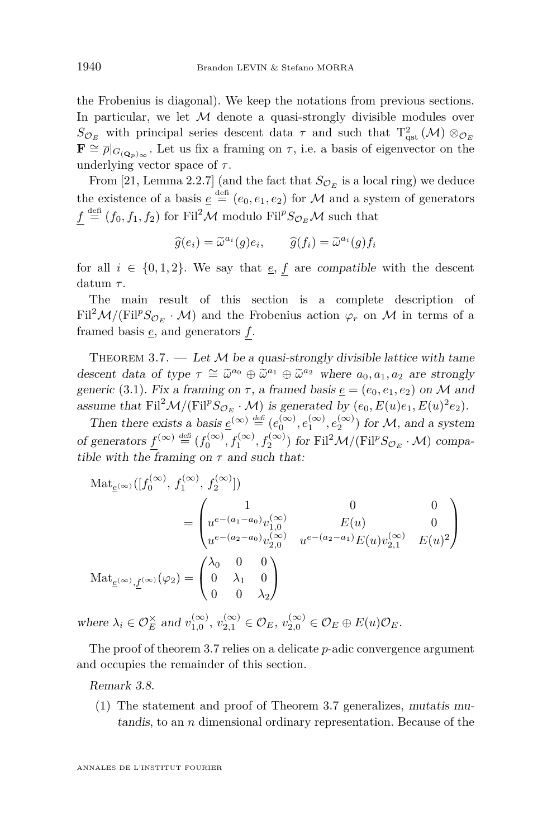the Frobenius is diagonal). We keep the notations from previous sections. In particular, we let  $M$  denote a quasi-strongly divisible modules over  $S_{\mathcal{O}_E}$  with principal series descent data  $\tau$  and such that  $T_{\text{qst}}^2(\mathcal{M}) \otimes_{\mathcal{O}_E}$  $\mathbf{F} \cong \overline{\rho}|_{G(\mathbf{Q}_p)_{\infty}}$ . Let us fix a framing on  $\tau$ , i.e. a basis of eigenvector on the underlying vector space of *τ* .

From [\[21,](#page-42-7) Lemma 2.2.7] (and the fact that  $S_{\mathcal{O}_E}$  is a local ring) we deduce the existence of a basis  $\underline{e} \stackrel{\text{def}}{=} (e_0, e_1, e_2)$  for M and a system of generators  $f \stackrel{\text{def}}{=} (f_0, f_1, f_2)$  for Fil<sup>2</sup>M modulo Fil<sup>p</sup>S<sub>O<sub>E</sub>M such that</sub>

$$
\widehat{g}(e_i) = \widetilde{\omega}^{a_i}(g)e_i, \qquad \widehat{g}(f_i) = \widetilde{\omega}^{a_i}(g)f_i
$$

for all  $i \in \{0, 1, 2\}$ . We say that  $\underline{e}$ , f are compatible with the descent datum *τ* .

The main result of this section is a complete description of  $\text{Fil}^2\mathcal{M}/(\text{Fil}^pS_{\mathcal{O}_E}\cdot\mathcal{M})$  and the Frobenius action  $\varphi_r$  on M in terms of a framed basis *e*, and generators *f*.

<span id="page-18-0"></span>THEOREM 3.7.  $-$  Let M be a quasi-strongly divisible lattice with tame descent data of type  $\tau \cong \tilde{\omega}^{a_0} \oplus \tilde{\omega}^{a_1} \oplus \tilde{\omega}^{a_2}$  where  $a_0, a_1, a_2$  are strongly generic [\(3.1\)](#page-12-0). Fix a framing on  $\tau$ , a framed basis  $\underline{e} = (e_0, e_1, e_2)$  on M and assume that  $\text{Fil}^2 \mathcal{M}/(\text{Fil}^p S_{\mathcal{O}_E} \cdot \mathcal{M})$  is generated by  $(e_0, E(u)e_1, E(u)^2 e_2)$ .

Then there exists a basis  $\underline{e}^{(\infty)} \stackrel{\text{def}}{=} (e_0^{(\infty)}, e_1^{(\infty)}, e_2^{(\infty)})$  for *M*, and a system of generators  $\underline{f}^{(\infty)} \stackrel{\text{def}}{=} (f_0^{(\infty)}, f_1^{(\infty)}, f_2^{(\infty)})$  for Fil<sup>2</sup> $\mathcal{M}/(\text{Fil}^p S_{\mathcal{O}_E} \cdot \mathcal{M})$  compatible with the framing on  $\tau$  and such that:

$$
\begin{split} \text{Mat}_{\underline{e}^{(\infty)}}([f_0^{(\infty)}, f_1^{(\infty)}, f_2^{(\infty)}]) \\ & = \begin{pmatrix} 1 & 0 & 0 \\ u^{e-(a_1-a_0)}v_{1,0}^{(\infty)} & E(u) & 0 \\ u^{e-(a_2-a_0)}v_{2,0}^{(\infty)} & u^{e-(a_2-a_1)}E(u)v_{2,1}^{(\infty)} & E(u)^2 \end{pmatrix} \\ \text{Mat}_{\underline{e}^{(\infty)}, \underline{f}^{(\infty)}}(\varphi_2) &= \begin{pmatrix} \lambda_0 & 0 & 0 \\ 0 & \lambda_1 & 0 \\ 0 & 0 & \lambda_2 \end{pmatrix} \end{split}
$$

where  $\lambda_i \in \mathcal{O}_E^{\times}$  and  $v_{1,0}^{(\infty)}$ ,  $v_{2,1}^{(\infty)} \in \mathcal{O}_E$ ,  $v_{2,0}^{(\infty)} \in \mathcal{O}_E \oplus E(u)\mathcal{O}_E$ .

The proof of theorem [3.7](#page-18-0) relies on a delicate *p*-adic convergence argument and occupies the remainder of this section.

Remark 3.8.

(1) The statement and proof of Theorem [3.7](#page-18-0) generalizes, mutatis mutandis, to an *n* dimensional ordinary representation. Because of the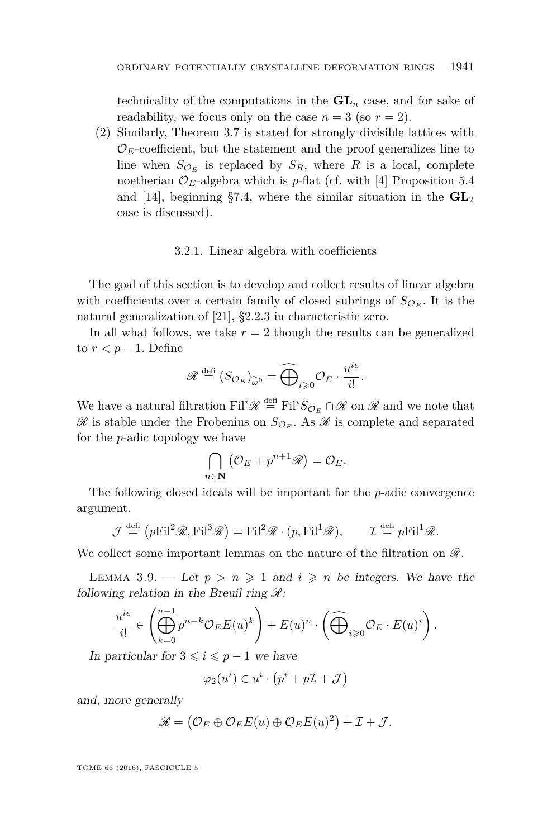technicality of the computations in the  $GL_n$  case, and for sake of readability, we focus only on the case  $n = 3$  (so  $r = 2$ ).

(2) Similarly, Theorem [3.7](#page-18-0) is stated for strongly divisible lattices with  $\mathcal{O}_E$ -coefficient, but the statement and the proof generalizes line to line when  $S_{\mathcal{O}_E}$  is replaced by  $S_R$ , where *R* is a local, complete noetherian  $\mathcal{O}_E$ -algebra which is *p*-flat (cf. with [\[4\]](#page-41-8) Proposition 5.4 and [\[14\]](#page-41-9), beginning §7.4, where the similar situation in the  $GL_2$ case is discussed).

#### 3.2.1. Linear algebra with coefficients

The goal of this section is to develop and collect results of linear algebra with coefficients over a certain family of closed subrings of  $S_{\mathcal{O}_E}$ . It is the natural generalization of [\[21\]](#page-42-7), §2.2.3 in characteristic zero.

In all what follows, we take  $r = 2$  though the results can be generalized to  $r < p - 1$ . Define

$$
\mathscr{R} \stackrel{\text{def}}{=} (S_{\mathcal{O}_E})_{\widetilde{\omega}^0} = \widehat{\bigoplus}_{i \geq 0} \mathcal{O}_E \cdot \frac{u^{ie}}{i!}.
$$

We have a natural filtration  $\text{Fil}^i\mathscr{R} \stackrel{\text{def}}{=} \text{Fil}^iS_{\mathcal{O}_E} \cap \mathscr{R}$  on  $\mathscr{R}$  and we note that  $\mathscr R$  is stable under the Frobenius on  $S_{\mathcal{O}_E}$ . As  $\mathscr R$  is complete and separated for the *p*-adic topology we have

$$
\bigcap_{n\in\mathbf{N}}\left(\mathcal{O}_E+p^{n+1}\mathscr{R}\right)=\mathcal{O}_E.
$$

The following closed ideals will be important for the *p*-adic convergence argument.

$$
\mathcal{J} \stackrel{\text{def}}{=} (p\text{Fil}^2 \mathcal{R}, \text{Fil}^3 \mathcal{R}) = \text{Fil}^2 \mathcal{R} \cdot (p, \text{Fil}^1 \mathcal{R}), \qquad \mathcal{I} \stackrel{\text{def}}{=} p\text{Fil}^1 \mathcal{R}.
$$

We collect some important lemmas on the nature of the filtration on  $\mathscr{R}$ .

<span id="page-19-0"></span>LEMMA 3.9. — Let  $p > n \geq 1$  and  $i \geq n$  be integers. We have the following relation in the Breuil ring  $\mathcal{R}$ :

$$
\frac{u^{ie}}{i!} \in \left(\bigoplus_{k=0}^{n-1} p^{n-k} \mathcal{O}_E E(u)^k\right) + E(u)^n \cdot \left(\widehat{\bigoplus}_{i\geqslant 0} \mathcal{O}_E \cdot E(u)^i\right).
$$

In particular for  $3 \leq i \leq p-1$  we have

$$
\varphi_2(u^i) \in u^i \cdot \left(p^i + p\mathcal{I} + \mathcal{J}\right)
$$

and, more generally

$$
\mathscr{R} = (\mathcal{O}_E \oplus \mathcal{O}_E E(u) \oplus \mathcal{O}_E E(u)^2) + \mathcal{I} + \mathcal{J}.
$$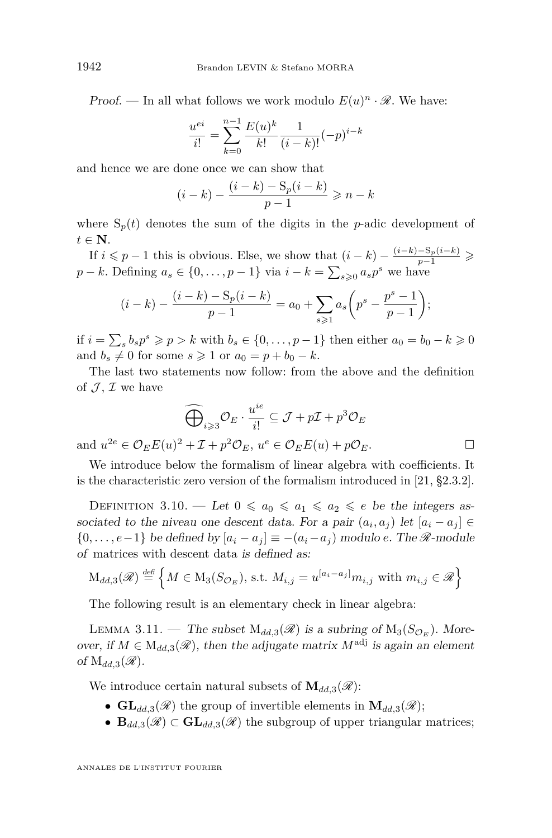Proof. — In all what follows we work modulo  $E(u)^n \cdot \mathcal{R}$ . We have:

$$
\frac{u^{ei}}{i!} = \sum_{k=0}^{n-1} \frac{E(u)^k}{k!} \frac{1}{(i-k)!} (-p)^{i-k}
$$

and hence we are done once we can show that

$$
(i - k) - \frac{(i - k) - S_p(i - k)}{p - 1} \ge n - k
$$

where  $S_p(t)$  denotes the sum of the digits in the *p*-adic development of *t* ∈ **N**.

If *i* ≤ *p* − 1 this is obvious. Else, we show that  $(i - k) - \frac{(i-k) - S_p(i-k)}{p-1}$  ≥ *p* − *k*. Defining  $a_s \in \{0, \ldots, p-1\}$  via  $i - k = \sum_{s \geq 0} a_s p^s$  we have

$$
(i-k) - \frac{(i-k) - \mathrm{S}_p(i-k)}{p-1} = a_0 + \sum_{s \ge 1} a_s \left( p^s - \frac{p^s - 1}{p-1} \right);
$$

if  $i = \sum_{s} b_s p^s \geqslant p > k$  with  $b_s \in \{0, \ldots, p-1\}$  then either  $a_0 = b_0 - k \geqslant 0$ and  $b_s \neq 0$  for some  $s \geq 1$  or  $a_0 = p + b_0 - k$ .

The last two statements now follow: from the above and the definition of  $\mathcal{J}, \mathcal{I}$  we have

$$
\widehat{\bigoplus}_{i \geq 3} \mathcal{O}_E \cdot \frac{u^{ie}}{i!} \subseteq \mathcal{J} + p\mathcal{I} + p^3 \mathcal{O}_E
$$

and  $u^{2e} \in \mathcal{O}_E E(u)^2 + \mathcal{I} + p^2 \mathcal{O}_E, u^e \in \mathcal{O}_E E(u) + p \mathcal{O}_E.$ 

We introduce below the formalism of linear algebra with coefficients. It is the characteristic zero version of the formalism introduced in [\[21,](#page-42-7) §2.3.2].

DEFINITION 3.10. — Let  $0 \le a_0 \le a_1 \le a_2 \le e$  be the integers associated to the niveau one descent data. For a pair  $(a_i, a_j)$  let  $[a_i - a_j] \in$  $\{0, \ldots, e-1\}$  be defined by  $[a_i - a_j] \equiv -(a_i - a_j)$  modulo *e*. The  $\mathcal{R}$ -module of matrices with descent data is defined as:

$$
\mathcal{M}_{dd,3}(\mathscr{R}) \stackrel{\text{def}}{=} \left\{ M \in \mathcal{M}_3(S_{\mathcal{O}_E}), \text{ s.t. } M_{i,j} = u^{[a_i - a_j]} m_{i,j} \text{ with } m_{i,j} \in \mathscr{R} \right\}
$$

The following result is an elementary check in linear algebra:

LEMMA 3.11. — The subset  $M_{dd,3}(\mathscr{R})$  is a subring of  $M_3(S_{\mathcal{O}_E})$ . Moreover, if  $M \in M_{dd,3}(\mathcal{R})$ , then the adjugate matrix  $M^{adj}$  is again an element of  $M_{dd,3}(\mathscr{R})$ .

We introduce certain natural subsets of  $\mathbf{M}_{dd,3}(\mathscr{R})$ :

- $GL_{dd,3}(\mathscr{R})$  the group of invertible elements in  $\mathbf{M}_{dd,3}(\mathscr{R})$ ;
- $\mathbf{B}_{dd,3}(\mathscr{R}) \subset \mathbf{GL}_{dd,3}(\mathscr{R})$  the subgroup of upper triangular matrices;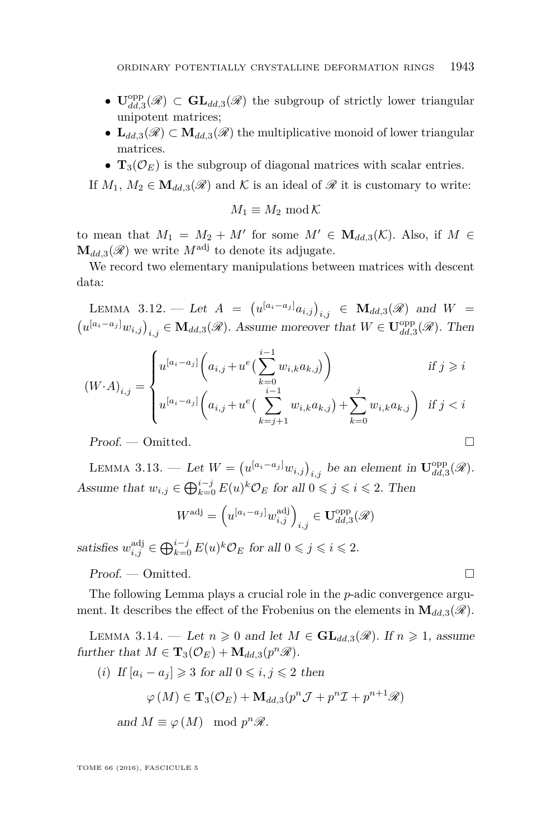- $\mathbf{U}_{dd,3}^{\text{opp}}(\mathscr{R}) \subset \mathbf{GL}_{dd,3}(\mathscr{R})$  the subgroup of strictly lower triangular unipotent matrices;
- $\mathbf{L}_{dd,3}(\mathscr{R}) \subset \mathbf{M}_{dd,3}(\mathscr{R})$  the multiplicative monoid of lower triangular matrices.
- $\mathbf{T}_3(\mathcal{O}_E)$  is the subgroup of diagonal matrices with scalar entries.

If  $M_1, M_2 \in \mathbf{M}_{dd,3}(\mathscr{R})$  and K is an ideal of  $\mathscr{R}$  it is customary to write:

$$
M_1 \equiv M_2 \bmod \mathcal{K}
$$

to mean that  $M_1 = M_2 + M'$  for some  $M' \in \mathbf{M}_{dd,3}(\mathcal{K})$ . Also, if  $M \in$  $\mathbf{M}_{dd,3}(\mathscr{R})$  we write  $M^{\text{adj}}$  to denote its adjugate.

We record two elementary manipulations between matrices with descent data:

<span id="page-21-1"></span> $\text{LEMMA } 3.12. - \text{ Let } A = (u^{[a_i - a_j]} a_{i,j})_{i,j} \in M_{dd,3}(\mathscr{R}) \text{ and } W =$  $(u^{[a_i-a_j]}w_{i,j})_{i,j} \in M_{dd,3}(\mathscr{R})$ . Assume moreover that  $W \in \mathbf{U}_{dd,3}^{\text{opp}}(\mathscr{R})$ . Then

$$
(W \cdot A)_{i,j} = \begin{cases} u^{[a_i - a_j]} \bigg( a_{i,j} + u^e \big( \sum_{k=0}^{i-1} w_{i,k} a_{k,j} \big) \bigg) & \text{if } j \geq i \\ u^{[a_i - a_j]} \bigg( a_{i,j} + u^e \big( \sum_{k=j+1}^{i-1} w_{i,k} a_{k,j} \big) + \sum_{k=0}^{j} w_{i,k} a_{k,j} \bigg) & \text{if } j < i \end{cases}
$$

Proof. — Omitted.

<span id="page-21-2"></span>LEMMA 3.13. — Let  $W = (u^{[a_i - a_j]} w_{i,j})_{i,j}$  be an element in  $\mathbf{U}_{dd,3}^{\text{opp}}(\mathscr{R})$ . Assume that  $w_{i,j} \in \bigoplus_{k=0}^{i-j} E(u)^k \mathcal{O}_E$  for all  $0 \leq j \leq i \leq 2$ . Then

$$
W^{\text{adj}} = \left(u^{[a_i - a_j]} w^{\text{adj}}_{i,j}\right)_{i,j} \in \mathbf{U}^{\text{opp}}_{dd,3}(\mathscr{R})
$$

satisfies  $w_{i,j}^{\text{adj}} \in \bigoplus_{k=0}^{i-j} E(u)^k \mathcal{O}_E$  for all  $0 \leqslant j \leqslant i \leqslant 2$ .

Proof. — Omitted.

The following Lemma plays a crucial role in the *p*-adic convergence argument. It describes the effect of the Frobenius on the elements in  $\mathbf{M}_{dd,3}(\mathscr{R})$ .

<span id="page-21-0"></span>LEMMA 3.14. — Let  $n \geq 0$  and let  $M \in GL_{dd,3}(\mathcal{R})$ . If  $n \geq 1$ , assume further that  $M \in \mathbf{T}_3(\mathcal{O}_E) + \mathbf{M}_{dd,3}(p^n\mathcal{R}).$ 

(*i*) If  $[a_i - a_j] \geq 3$  for all  $0 \leq i, j \leq 2$  then

$$
\varphi\left(M\right) \in \mathbf{T}_{3}(\mathcal{O}_{E}) + \mathbf{M}_{dd,3}(p^{n}\mathcal{J} + p^{n}\mathcal{I} + p^{n+1}\mathcal{R})
$$

and  $M \equiv \varphi(M) \mod p^n \mathscr{R}$ .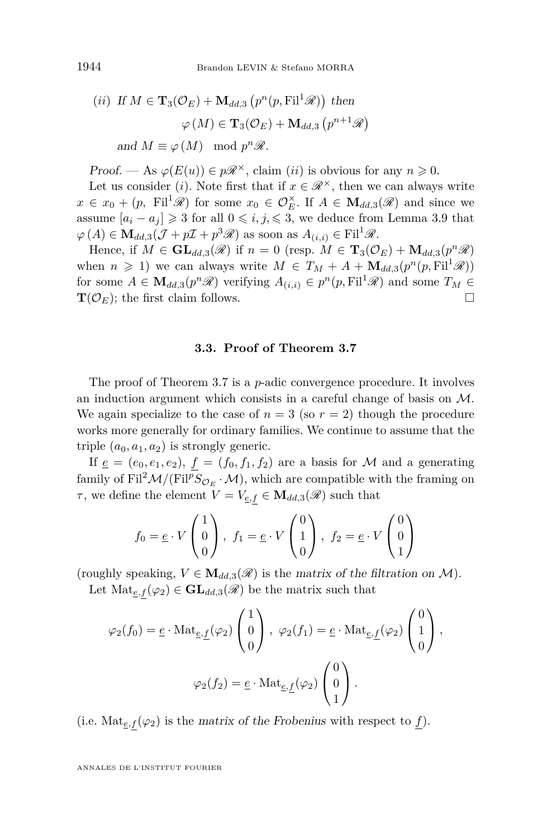(*ii*) If 
$$
M \in \mathbf{T}_3(\mathcal{O}_E) + \mathbf{M}_{dd,3} (p^n(p, \text{Fil}^1 \mathcal{R}))
$$
 then  
\n $\varphi(M) \in \mathbf{T}_3(\mathcal{O}_E) + \mathbf{M}_{dd,3} (p^{n+1} \mathcal{R})$   
\nand  $M \equiv \varphi(M)$  mod  $p^n \mathcal{R}$ .

Proof. — As  $\varphi(E(u)) \in p\mathscr{R}^{\times}$ , claim *(ii)* is obvious for any  $n \geq 0$ .

Let us consider (*i*). Note first that if  $x \in \mathcal{R}^{\times}$ , then we can always write  $x \in x_0 + (p, \text{Fil}^1 \mathscr{R})$  for some  $x_0 \in \mathcal{O}_E^{\times}$ . If  $A \in \mathbf{M}_{dd,3}(\mathscr{R})$  and since we assume  $[a_i - a_j] \geq 3$  for all  $0 \leq i, j \leq 3$ , we deduce from Lemma [3.9](#page-19-0) that  $\varphi(A) \in \mathbf{M}_{dd,3}(\mathcal{J} + p\mathcal{I} + p^3\mathcal{R})$  as soon as  $A_{(i,i)} \in \mathrm{Fil}^1\mathcal{R}$ .

Hence, if  $M \in \mathbf{GL}_{dd,3}(\mathscr{R})$  if  $n = 0$  (resp.  $M \in \mathbf{T}_3(\mathcal{O}_E) + \mathbf{M}_{dd,3}(p^n\mathscr{R})$ when  $n \geq 1$ ) we can always write  $M \in T_M + A + \mathbf{M}_{dd,3}(p^n(p, \mathrm{Fil}^1 \mathcal{R}))$ for some  $A \in \mathbf{M}_{dd,3}(p^n\mathscr{R})$  verifying  $A_{(i,i)} \in p^n(p,\mathrm{Fil}^1\mathscr{R})$  and some  $T_M \in$  $\mathbf{T}(\mathcal{O}_E)$ ; the first claim follows.

#### **3.3. Proof of Theorem [3.7](#page-18-0)**

The proof of Theorem [3.7](#page-18-0) is a *p*-adic convergence procedure. It involves an induction argument which consists in a careful change of basis on M. We again specialize to the case of  $n = 3$  (so  $r = 2$ ) though the procedure works more generally for ordinary families. We continue to assume that the triple  $(a_0, a_1, a_2)$  is strongly generic.

If  $\underline{e} = (e_0, e_1, e_2), f = (f_0, f_1, f_2)$  are a basis for M and a generating family of Fil<sup>2</sup> $M/(Fil^{p}S_{\mathcal{O}_{E}}\cdot\mathcal{M})$ , which are compatible with the framing on *τ*, we define the element  $V = V_{\underline{e},f} \in M_{dd,3}(\mathscr{R})$  such that

$$
f_0 = \underline{e} \cdot V \begin{pmatrix} 1 \\ 0 \\ 0 \end{pmatrix}, f_1 = \underline{e} \cdot V \begin{pmatrix} 0 \\ 1 \\ 0 \end{pmatrix}, f_2 = \underline{e} \cdot V \begin{pmatrix} 0 \\ 0 \\ 1 \end{pmatrix}
$$

(roughly speaking,  $V \in M_{dd,3}(\mathcal{R})$  is the matrix of the filtration on M).

Let  $\text{Mat}_{e,f}(\varphi_2) \in \mathbf{GL}_{dd,3}(\mathscr{R})$  be the matrix such that

$$
\varphi_2(f_0) = \underline{e} \cdot \text{Mat}_{\underline{e},\underline{f}}(\varphi_2) \begin{pmatrix} 1 \\ 0 \\ 0 \end{pmatrix}, \ \varphi_2(f_1) = \underline{e} \cdot \text{Mat}_{\underline{e},\underline{f}}(\varphi_2) \begin{pmatrix} 0 \\ 1 \\ 0 \end{pmatrix},
$$

$$
\varphi_2(f_2) = \underline{e} \cdot \text{Mat}_{\underline{e},\underline{f}}(\varphi_2) \begin{pmatrix} 0 \\ 0 \\ 1 \end{pmatrix}.
$$

(i.e.  $\text{Mat}_{e,f}(\varphi_2)$  is the matrix of the Frobenius with respect to f).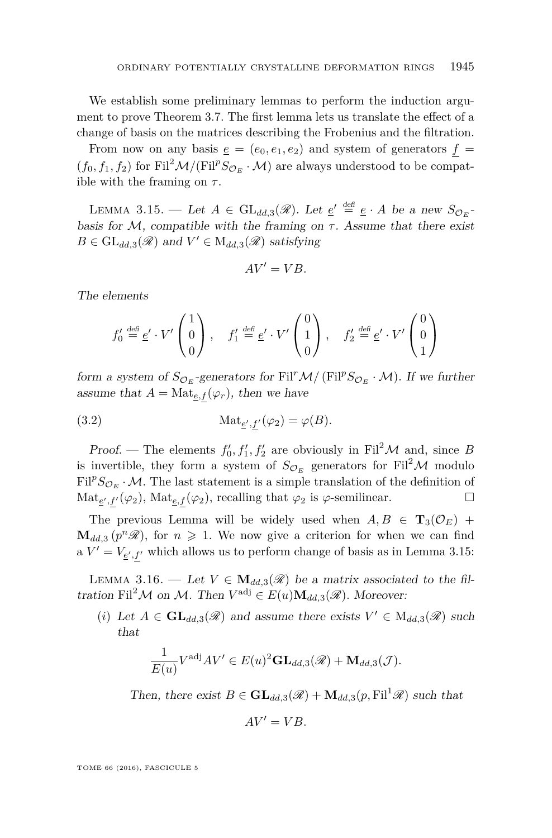We establish some preliminary lemmas to perform the induction argument to prove Theorem [3.7.](#page-18-0) The first lemma lets us translate the effect of a change of basis on the matrices describing the Frobenius and the filtration.

From now on any basis  $e = (e_0, e_1, e_2)$  and system of generators  $f =$  $(f_0, f_1, f_2)$  for Fil<sup>2</sup> $\mathcal{M}/($ Fil<sup>p</sup> $S_{\mathcal{O}_F} \cdot \mathcal{M})$  are always understood to be compatible with the framing on *τ* .

<span id="page-23-0"></span>LEMMA 3.15. — Let  $A \in GL_{dd,3}(\mathscr{R})$ . Let  $\underline{e}' \stackrel{\text{def}}{=} \underline{e} \cdot A$  be a new  $S_{\mathcal{O}_E}$ basis for  $M$ , compatible with the framing on  $\tau$ . Assume that there exist  $B \in GL_{dd,3}(\mathscr{R})$  and  $V' \in M_{dd,3}(\mathscr{R})$  satisfying

$$
AV' = VB.
$$

The elements

$$
f_0' \stackrel{\text{def}}{=} \underline{e}' \cdot V' \begin{pmatrix} 1 \\ 0 \\ 0 \end{pmatrix}, \quad f_1' \stackrel{\text{def}}{=} \underline{e}' \cdot V' \begin{pmatrix} 0 \\ 1 \\ 0 \end{pmatrix}, \quad f_2' \stackrel{\text{def}}{=} \underline{e}' \cdot V' \begin{pmatrix} 0 \\ 0 \\ 1 \end{pmatrix}
$$

form a system of  $S_{\mathcal{O}_E}$ -generators for Fil<sup>r</sup>M/(Fil<sup>p</sup> $S_{\mathcal{O}_E} \cdot \mathcal{M}$ ). If we further assume that  $A = Mat_{e,f}(\varphi_r)$ , then we have

(3.2) 
$$
\operatorname{Mat}_{\underline{e}',\underline{f}'}(\varphi_2) = \varphi(B).
$$

Proof. — The elements  $f'_0, f'_1, f'_2$  are obviously in Fil<sup>2</sup>M and, since *B* is invertible, they form a system of  $S_{\mathcal{O}_E}$  generators for Fil<sup>2</sup>M modulo  $Fil^{p}S_{\mathcal{O}_{E}}\cdot\mathcal{M}$ . The last statement is a simple translation of the definition of  $\text{Mat}_{\underline{e}',f'}(\varphi_2), \text{Mat}_{\underline{e},f}(\varphi_2), \text{ recalling that } \varphi_2 \text{ is } \varphi \text{-semilinear.}$ 

The previous Lemma will be widely used when  $A, B \in \mathbf{T}_3(\mathcal{O}_E)$  +  $\mathbf{M}_{dd,3}$   $(p^n\mathscr{R})$ , for  $n \geq 1$ . We now give a criterion for when we can find a  $V' = V_{e',f'}$  which allows us to perform change of basis as in Lemma [3.15:](#page-23-0)

<span id="page-23-1"></span>LEMMA 3.16. — Let  $V \in M_{dd,3}(\mathcal{R})$  be a matrix associated to the filtration Fil<sup>2</sup>M on M. Then  $V^{\text{adj}} \in E(u) \mathbf{M}_{dd,3}(\mathcal{R})$ . Moreover:

(*i*) Let  $A \in GL_{dd,3}(\mathscr{R})$  and assume there exists  $V' \in M_{dd,3}(\mathscr{R})$  such that

$$
\frac{1}{E(u)}V^{\text{adj}}AV' \in E(u)^2 \mathbf{GL}_{dd,3}(\mathscr{R}) + \mathbf{M}_{dd,3}(\mathcal{J}).
$$

Then, there exist  $B \in GL_{dd,3}(\mathscr{R}) + M_{dd,3}(p, \mathrm{Fil}^1\mathscr{R})$  such that

$$
AV' = VB.
$$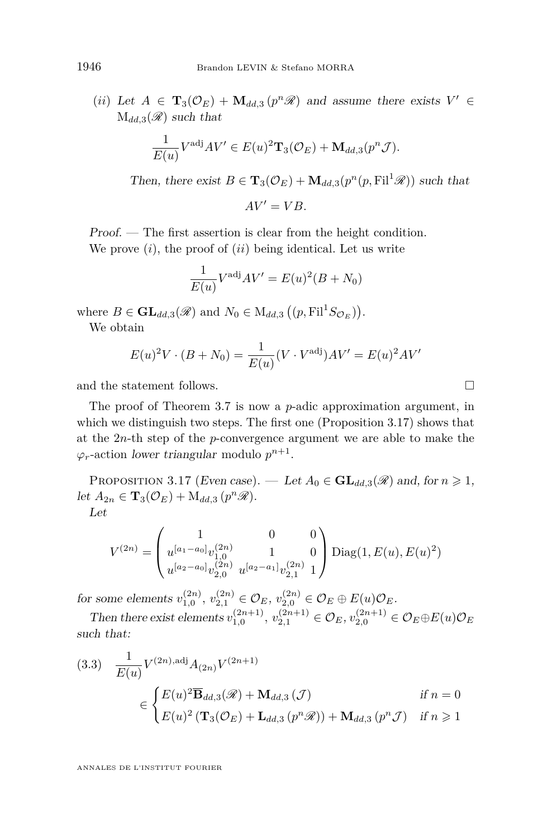(*ii*) Let  $A \in \mathbf{T}_3(\mathcal{O}_E) + \mathbf{M}_{dd,3}(p^n\mathcal{R})$  and assume there exists  $V' \in$  $M_{dd,3}(\mathscr{R})$  such that

$$
\frac{1}{E(u)}V^{\text{adj}}AV' \in E(u)^2 \mathbf{T}_3(\mathcal{O}_E) + \mathbf{M}_{dd,3}(p^n \mathcal{J}).
$$

Then, there exist  $B \in \mathbf{T}_3(\mathcal{O}_E) + \mathbf{M}_{dd,3}(p^n(p, \text{Fil}^1 \mathcal{R}))$  such that

 $AV' = VB$ .

Proof. — The first assertion is clear from the height condition.

We prove (*i*), the proof of (*ii*) being identical. Let us write

$$
\frac{1}{E(u)}V^{\text{adj}}AV' = E(u)^2(B+N_0)
$$

where  $B \in \mathbf{GL}_{dd,3}(\mathscr{R})$  and  $N_0 \in M_{dd,3}((p, \mathrm{Fil}^1 S_{\mathcal{O}_E}))$ .

We obtain

$$
E(u)^{2}V \cdot (B + N_{0}) = \frac{1}{E(u)}(V \cdot V^{adj})AV' = E(u)^{2}AV'
$$

and the statement follows.

The proof of Theorem [3.7](#page-18-0) is now a *p*-adic approximation argument, in which we distinguish two steps. The first one (Proposition [3.17\)](#page-24-0) shows that at the 2*n*-th step of the *p*-convergence argument we are able to make the  $\varphi_r$ -action lower triangular modulo  $p^{n+1}$ .

<span id="page-24-0"></span>PROPOSITION 3.17 (Even case). — Let  $A_0 \in \mathbf{GL}_{dd,3}(\mathcal{R})$  and, for  $n \geq 1$ , let  $A_{2n} \in \mathbf{T}_3(\mathcal{O}_E) + \mathrm{M}_{dd,3}(p^n\mathcal{R}).$ 

Let

$$
V^{(2n)} = \begin{pmatrix} 1 & 0 & 0 \ u^{[a_1 - a_0]} v_{1,0}^{(2n)} & 1 & 0 \ u^{[a_2 - a_0]} v_{2,0}^{(2n)} & u^{[a_2 - a_1]} v_{2,1}^{(2n)} & 1 \end{pmatrix} \text{Diag}(1, E(u), E(u)^2)
$$

for some elements  $v_{1,0}^{(2n)}$ ,  $v_{2,1}^{(2n)} \in \mathcal{O}_E$ ,  $v_{2,0}^{(2n)} \in \mathcal{O}_E \oplus E(u)\mathcal{O}_E$ .

Then there exist elements  $v_{1,0}^{(2n+1)}$ ,  $v_{2,1}^{(2n+1)} \in \mathcal{O}_E$ ,  $v_{2,0}^{(2n+1)} \in \mathcal{O}_E \oplus E(u)\mathcal{O}_E$ such that:

<span id="page-24-1"></span>
$$
(3.3) \frac{1}{E(u)} V^{(2n), \text{adj}} A_{(2n)} V^{(2n+1)}
$$
  

$$
\in \begin{cases} E(u)^2 \overline{\mathbf{B}}_{dd,3}(\mathscr{R}) + \mathbf{M}_{dd,3}(\mathcal{J}) & \text{if } n = 0 \\ E(u)^2 \left( \mathbf{T}_3(\mathcal{O}_E) + \mathbf{L}_{dd,3}(p^n \mathscr{R}) \right) + \mathbf{M}_{dd,3}(p^n \mathcal{J}) & \text{if } n \ge 1 \end{cases}
$$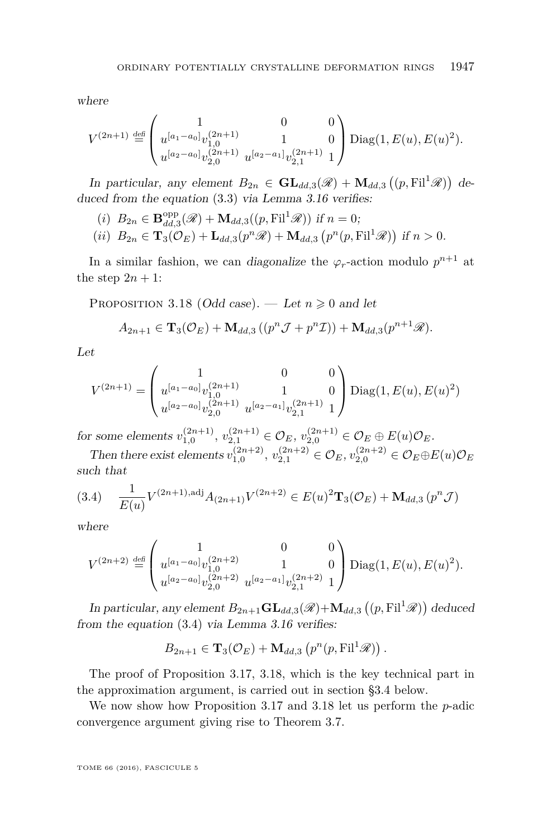where

$$
V^{(2n+1)} \stackrel{\text{def}}{=} \begin{pmatrix} 1 & 0 & 0 \\ u^{[a_1 - a_0]} v_{1,0}^{(2n+1)} & 1 & 0 \\ u^{[a_2 - a_0]} v_{2,0}^{(2n+1)} & u^{[a_2 - a_1]} v_{2,1}^{(2n+1)} & 1 \end{pmatrix} \text{Diag}(1, E(u), E(u)^2).
$$

In particular, any element  $B_{2n} \in \mathbf{GL}_{dd,3}(\mathscr{R}) + \mathbf{M}_{dd,3}((p, \mathrm{Fil}^1 \mathscr{R}))$  deduced from the equation [\(3.3\)](#page-24-1) via Lemma [3.16](#page-23-1) verifies:

(i) 
$$
B_{2n} \in \mathbf{B}_{dd,3}^{\text{opp}}(\mathscr{R}) + \mathbf{M}_{dd,3}((p, \text{Fil}^1 \mathscr{R}))
$$
 if  $n = 0$ ;  
(*ii*)  $B_{2n} \in \mathbf{T}_3(\mathcal{O}_E) + \mathbf{L}_{dd,3}(p^n \mathscr{R}) + \mathbf{M}_{dd,3}(p^n (p, \text{Fil}^1 \mathscr{R}))$  if  $n > 0$ .

In a similar fashion, we can diagonalize the  $\varphi_r$ -action modulo  $p^{n+1}$  at the step  $2n + 1$ :

<span id="page-25-1"></span>PROPOSITION 3.18 (Odd case). — Let  $n \geq 0$  and let

$$
A_{2n+1} \in \mathbf{T}_{3}(\mathcal{O}_{E}) + \mathbf{M}_{dd,3}((p^{n}\mathcal{J}+p^{n}\mathcal{I})) + \mathbf{M}_{dd,3}(p^{n+1}\mathcal{R}).
$$

Let

$$
V^{(2n+1)} = \begin{pmatrix} 1 & 0 & 0 \ u^{[a_1 - a_0]} v_{1,0}^{(2n+1)} & 1 & 0 \ u^{[a_2 - a_0]} v_{2,0}^{(2n+1)} & u^{[a_2 - a_1]} v_{2,1}^{(2n+1)} & 1 \end{pmatrix} \text{Diag}(1, E(u), E(u)^2)
$$

for some elements  $v_{1,0}^{(2n+1)}$ ,  $v_{2,1}^{(2n+1)} \in \mathcal{O}_E$ ,  $v_{2,0}^{(2n+1)} \in \mathcal{O}_E \oplus E(u)\mathcal{O}_E$ .

Then there exist elements  $v_{1,0}^{(2n+2)}$ ,  $v_{2,1}^{(2n+2)} \in \mathcal{O}_E$ ,  $v_{2,0}^{(2n+2)} \in \mathcal{O}_E \oplus E(u)\mathcal{O}_E$ such that

<span id="page-25-0"></span>
$$
(3.4) \quad \frac{1}{E(u)} V^{(2n+1), \text{adj}} A_{(2n+1)} V^{(2n+2)} \in E(u)^2 \mathbf{T}_3(\mathcal{O}_E) + \mathbf{M}_{dd,3}(p^n \mathcal{J})
$$

where

$$
V^{(2n+2)} \stackrel{\text{def}}{=} \begin{pmatrix} 1 & 0 & 0 \\ u^{[a_1-a_0]}v^{(2n+2)}_{1,0} & 1 & 0 \\ u^{[a_2-a_0]}v^{(2n+2)}_{2,0} & u^{[a_2-a_1]}v^{(2n+2)}_{2,1} & 1 \end{pmatrix} \text{Diag}(1, E(u), E(u)^2).
$$

In particular, any element  $B_{2n+1}$ **GL**<sub>dd,3</sub>( $\mathscr{R}$ )+**M**<sub>dd,3</sub>(( $p$ , Fil<sup>1</sup> $\mathscr{R}$ )) deduced from the equation [\(3.4\)](#page-25-0) via Lemma [3.16](#page-23-1) verifies:

$$
B_{2n+1} \in {\bf T}_3(\mathcal{O}_E) + {\bf M}_{dd,3}\left(p^n(p,\mathrm{Fil}^1\mathcal{R})\right).
$$

The proof of Proposition [3.17,](#page-24-0) [3.18,](#page-25-1) which is the key technical part in the approximation argument, is carried out in section [§3.4](#page-26-0) below.

We now show how Proposition [3.17](#page-24-0) and [3.18](#page-25-1) let us perform the *p*-adic convergence argument giving rise to Theorem [3.7.](#page-18-0)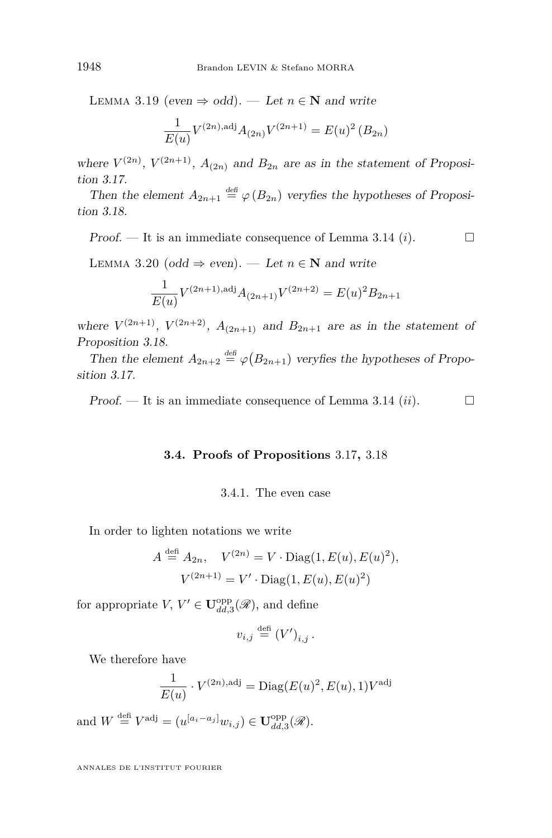LEMMA 3.19 (even  $\Rightarrow$  odd). — Let  $n \in \mathbb{N}$  and write

$$
\frac{1}{E(u)}V^{(2n),\text{adj}}A_{(2n)}V^{(2n+1)} = E(u)^2 (B_{2n})
$$

where  $V^{(2n)}$ ,  $V^{(2n+1)}$ ,  $A_{(2n)}$  and  $B_{2n}$  are as in the statement of Proposition [3.17.](#page-24-0)

Then the element  $A_{2n+1} \stackrel{\text{def}}{=} \varphi(B_{2n})$  veryfies the hypotheses of Proposition [3.18.](#page-25-1)

Proof.  $\Box$  It is an immediate consequence of Lemma [3.14](#page-21-0) (*i*).  $\Box$ 

LEMMA 3.20 (odd  $\Rightarrow$  even). — Let  $n \in \mathbb{N}$  and write

$$
\frac{1}{E(u)}V^{(2n+1),\text{adj}}A_{(2n+1)}V^{(2n+2)} = E(u)^{2}B_{2n+1}
$$

where  $V^{(2n+1)}$ ,  $V^{(2n+2)}$ ,  $A_{(2n+1)}$  and  $B_{2n+1}$  are as in the statement of Proposition [3.18.](#page-25-1)

Then the element  $A_{2n+2} \stackrel{\text{def}}{=} \varphi(B_{2n+1})$  veryfies the hypotheses of Proposition [3.17.](#page-24-0)

<span id="page-26-0"></span>Proof.  $\Box$  It is an immediate consequence of Lemma [3.14](#page-21-0) *(ii)*.  $\Box$ 

#### **3.4. Proofs of Propositions** 3*.*[17](#page-24-0)**,** 3*.*[18](#page-25-1)

#### 3.4.1. The even case

In order to lighten notations we write

$$
A \stackrel{\text{def}}{=} A_{2n}, \quad V^{(2n)} = V \cdot \text{Diag}(1, E(u), E(u)^2),
$$

$$
V^{(2n+1)} = V' \cdot \text{Diag}(1, E(u), E(u)^2)
$$

for appropriate *V*,  $V' \in \mathbf{U}_{dd,3}^{\text{opp}}(\mathscr{R})$ , and define

$$
v_{i,j} \stackrel{\text{defi}}{=} (V')_{i,j} \, .
$$

We therefore have

$$
\frac{1}{E(u)} \cdot V^{(2n),\text{adj}} = \text{Diag}(E(u)^2, E(u), 1)V^{\text{adj}}
$$

and  $W \stackrel{\text{def}}{=} V^{\text{adj}} = (u^{[a_i - a_j]} w_{i,j}) \in \mathbf{U}_{dd,3}^{\text{opp}}(\mathscr{R}).$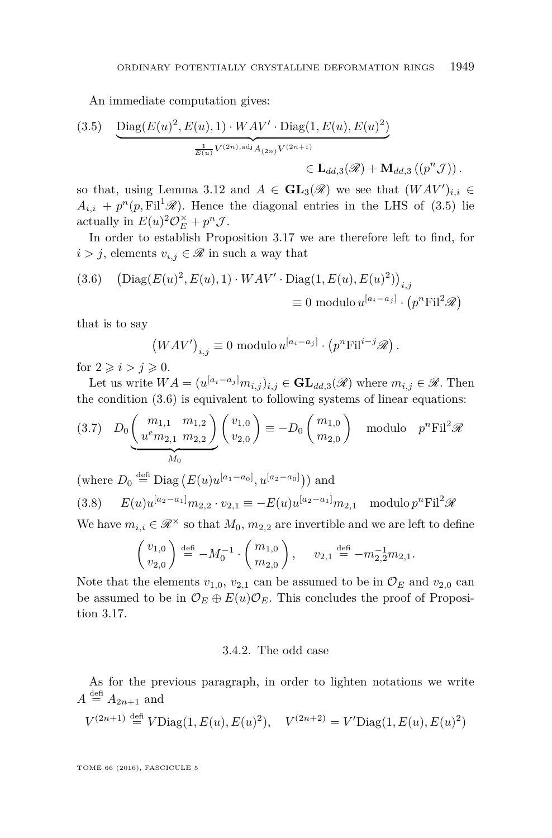An immediate computation gives:

<span id="page-27-0"></span>(3.5) 
$$
\underbrace{\text{Diag}(E(u)^{2}, E(u), 1) \cdot WAV' \cdot \text{Diag}(1, E(u), E(u)^{2})}_{\text{E(u)}V^{(2n), \text{adj}}A_{(2n)}V^{(2n+1)}} \in \mathbf{L}_{dd,3}(\mathscr{R}) + \mathbf{M}_{dd,3}((p^{n}\mathcal{J}))\,.
$$

so that, using Lemma [3.12](#page-21-1) and  $A \in GL_3(\mathcal{R})$  we see that  $(WAV')_{i,i} \in$  $A_{i,i} + p^{n}(p, \mathrm{Fil}^{1} \mathscr{R})$ . Hence the diagonal entries in the LHS of [\(3.5\)](#page-27-0) lie actually in  $E(u)^2 \mathcal{O}_E^{\times} + p^n \mathcal{J}$ .

In order to establish Proposition [3.17](#page-24-0) we are therefore left to find, for  $i > j$ , elements  $v_{i,j} \in \mathcal{R}$  in such a way that

<span id="page-27-1"></span>(3.6) 
$$
\left(\text{Diag}(E(u)^2, E(u), 1) \cdot WAV' \cdot \text{Diag}(1, E(u), E(u)^2)\right)_{i,j}
$$

$$
\equiv 0 \text{ modulo } u^{[a_i - a_j]} \cdot (p^n \text{Fil}^2 \mathscr{R})
$$

that is to say

$$
(WAV')_{i,j} \equiv 0 \text{ modulo } u^{[a_i - a_j]} \cdot (p^n \text{Fil}^{i-j} \mathcal{R}).
$$

for  $2 \geq i > j \geq 0$ .

Let us write  $WA = (u^{[a_i - a_j]}m_{i,j})_{i,j} \in \mathbf{GL}_{dd,3}(\mathscr{R})$  where  $m_{i,j} \in \mathscr{R}$ . Then the condition [\(3.6\)](#page-27-1) is equivalent to following systems of linear equations:

$$
(3.7) \quad D_0 \underbrace{\binom{m_{1,1}}{u^e m_{2,1} m_{2,2}}}_{M_0} \binom{v_{1,0}}{v_{2,0}} \equiv -D_0 \binom{m_{1,0}}{m_{2,0}} \quad \text{modulo} \quad p^n \text{Fil}^2 \mathcal{R}
$$

 $(\text{where } D_0 \stackrel{\text{def}}{=} \text{Diag}(E(u)u^{[a_1-a_0]}, u^{[a_2-a_0]}))$  and

(3.8) 
$$
E(u)u^{[a_2-a_1]}m_{2,2}\cdot v_{2,1} \equiv -E(u)u^{[a_2-a_1]}m_{2,1} \mod v^n
$$

We have  $m_{i,i} \in \mathcal{R}^{\times}$  so that  $M_0$ ,  $m_{2,2}$  are invertible and we are left to define

$$
\begin{pmatrix} v_{1,0} \\ v_{2,0} \end{pmatrix} \stackrel{\text{def}}{=} -M_0^{-1} \cdot \begin{pmatrix} m_{1,0} \\ m_{2,0} \end{pmatrix}, \quad v_{2,1} \stackrel{\text{def}}{=} -m_{2,2}^{-1} m_{2,1}.
$$

Note that the elements  $v_{1,0}$ ,  $v_{2,1}$  can be assumed to be in  $\mathcal{O}_E$  and  $v_{2,0}$  can be assumed to be in  $\mathcal{O}_E \oplus E(u)\mathcal{O}_E$ . This concludes the proof of Proposition [3.17.](#page-24-0)

#### 3.4.2. The odd case

As for the previous paragraph, in order to lighten notations we write  $A \stackrel{\text{def}}{=} A_{2n+1}$  and

$$
V^{(2n+1)} \stackrel{\text{def}}{=} V \text{Diag}(1, E(u), E(u)^2), \quad V^{(2n+2)} = V' \text{Diag}(1, E(u), E(u)^2)
$$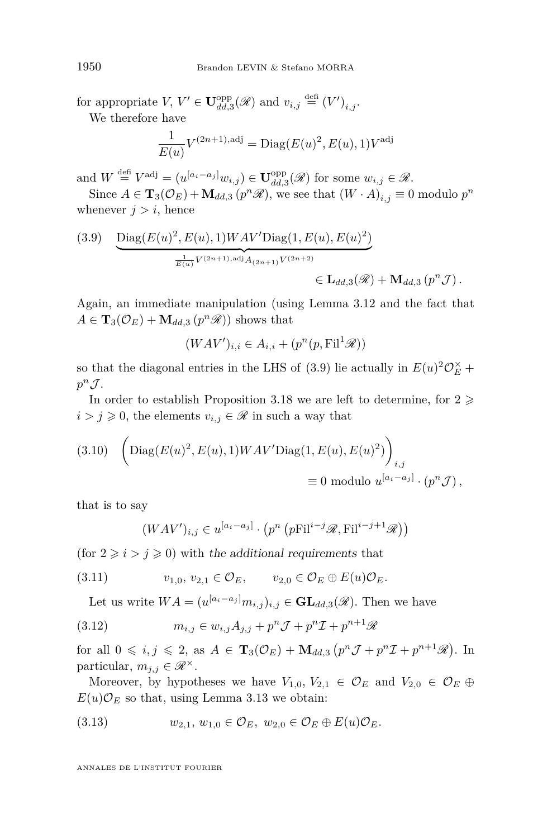for appropriate  $V, V' \in \mathbf{U}_{dd,3}^{\text{opp}}(\mathscr{R})$  and  $v_{i,j} \stackrel{\text{def}}{=} (V')_{i,j}$ . We therefore have

$$
\frac{1}{E(u)}V^{(2n+1),\text{adj}} = \text{Diag}(E(u)^2, E(u), 1)V^{\text{adj}}
$$

and  $W \stackrel{\text{def}}{=} V^{\text{adj}} = (u^{[a_i - a_j]} w_{i,j}) \in \mathbf{U}_{dd,3}^{\text{opp}}(\mathscr{R})$  for some  $w_{i,j} \in \mathscr{R}$ .

Since  $A \in \mathbf{T}_3(\mathcal{O}_E) + \mathbf{M}_{dd,3}(p^n\mathcal{R})$ , we see that  $(W \cdot A)_{i,j} \equiv 0$  modulo  $p^n$ whenever  $j > i$ , hence

<span id="page-28-0"></span>(3.9) 
$$
\underbrace{\text{Diag}(E(u)^2, E(u), 1)WAV' \text{Diag}(1, E(u), E(u)^2)}_{\overline{E(u)}V^{(2n+1), \text{adj}}A_{(2n+1)}V^{(2n+2)}} \in \mathbf{L}_{dd,3}(\mathscr{R}) + \mathbf{M}_{dd,3}(p^n \mathcal{J}).
$$

Again, an immediate manipulation (using Lemma [3.12](#page-21-1) and the fact that  $A \in \mathbf{T}_3(\mathcal{O}_E) + \mathbf{M}_{dd,3}(p^n\mathcal{R})$  shows that

$$
(WAV')_{i,i} \in A_{i,i} + (p^n(p, \mathrm{Fil}^1 \mathcal{R}))
$$

so that the diagonal entries in the LHS of [\(3.9\)](#page-28-0) lie actually in  $E(u)^2 \mathcal{O}_E^{\times}$  +  $p^n \mathcal{J}$ .

In order to establish Proposition [3.18](#page-25-1) we are left to determine, for  $2 \geq$  $i > j \geq 0$ , the elements  $v_{i,j} \in \mathcal{R}$  in such a way that

<span id="page-28-1"></span>(3.10) 
$$
\left( \text{Diag}(E(u)^2, E(u), 1)WAV' \text{Diag}(1, E(u), E(u)^2) \right)_{i,j}
$$

$$
\equiv 0 \text{ modulo } u^{[a_i - a_j]} \cdot (p^n \mathcal{J}),
$$

that is to say

<span id="page-28-2"></span>
$$
(WAV')_{i,j} \in u^{[a_i - a_j]} \cdot (p^n \left( p \text{Fil}^{i-j} \mathcal{R}, \text{Fil}^{i-j+1} \mathcal{R}) \right)
$$

(for  $2 \geq i > j \geq 0$ ) with the additional requirements that

(3.11) 
$$
v_{1,0}, v_{2,1} \in \mathcal{O}_E, \qquad v_{2,0} \in \mathcal{O}_E \oplus E(u)\mathcal{O}_E.
$$

<span id="page-28-3"></span>Let us write  $WA = (u^{[a_i - a_j]}m_{i,j})_{i,j} \in \mathbf{GL}_{dd,3}(\mathscr{R})$ . Then we have

(3.12) 
$$
m_{i,j} \in w_{i,j} A_{j,j} + p^n \mathcal{J} + p^n \mathcal{I} + p^{n+1} \mathcal{R}
$$

for all  $0 \leq i, j \leq 2$ , as  $A \in \mathbf{T}_3(\mathcal{O}_E) + \mathbf{M}_{dd,3}(p^n \mathcal{J} + p^n \mathcal{I} + p^{n+1} \mathcal{R})$ . In particular,  $m_{j,j} \in \mathscr{R}^{\times}$ .

Moreover, by hypotheses we have  $V_{1,0}, V_{2,1} \in \mathcal{O}_E$  and  $V_{2,0} \in \mathcal{O}_E \oplus$  $E(u)\mathcal{O}_E$  so that, using Lemma [3.13](#page-21-2) we obtain:

<span id="page-28-4"></span>(3.13) 
$$
w_{2,1}, w_{1,0} \in \mathcal{O}_E, w_{2,0} \in \mathcal{O}_E \oplus E(u)\mathcal{O}_E.
$$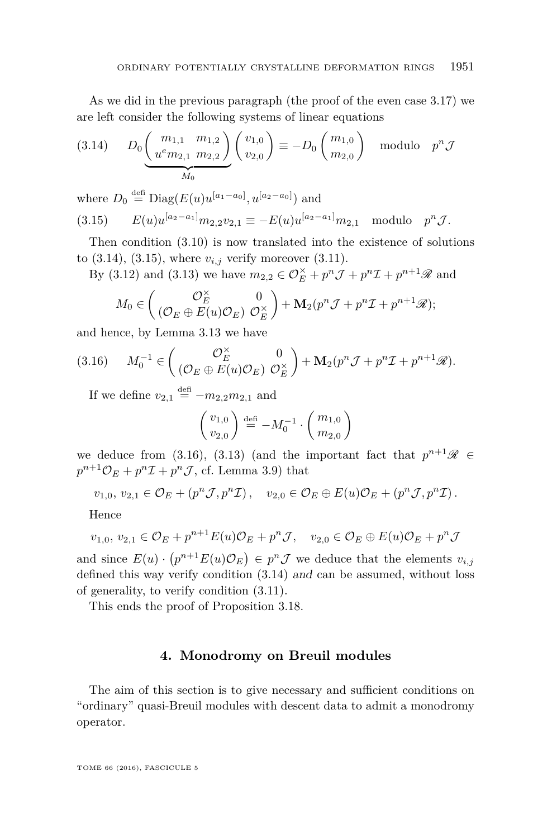As we did in the previous paragraph (the proof of the even case [3.17\)](#page-24-0) we are left consider the following systems of linear equations

<span id="page-29-0"></span>
$$
(3.14) \tD_0 \underbrace{\binom{m_{1,1} \cdot m_{1,2}}{u^e m_{2,1} \cdot m_{2,2}}}_{M_0} \binom{v_{1,0}}{v_{2,0}} \equiv -D_0 \binom{m_{1,0}}{m_{2,0}} \text{ modulo } p^n \mathcal{J}
$$

<span id="page-29-1"></span>where  $D_0 \stackrel{\text{defi}}{=} \text{Diag}(E(u)u^{[a_1-a_0]}, u^{[a_2-a_0]})$  and  $E(u)u^{[a_2-a_1]}m_{2,2}v_{2,1} \equiv -E(u)u^{[a_2-a_1]}m_{2,1} \text{ modulo } p^n \mathcal{J}.$ 

Then condition [\(3.10\)](#page-28-1) is now translated into the existence of solutions to  $(3.14)$ ,  $(3.15)$ , where  $v_{i,j}$  verify moreover  $(3.11)$ .

By [\(3.12\)](#page-28-3) and [\(3.13\)](#page-28-4) we have  $m_{2,2} \in \mathcal{O}_{E}^{\times} + p^{n} \mathcal{J} + p^{n} \mathcal{I} + p^{n+1} \mathcal{R}$  and

$$
M_0 \in \begin{pmatrix} \mathcal{O}_E^{\times} & 0 \\ (\mathcal{O}_E \oplus E(u)\mathcal{O}_E) & \mathcal{O}_E^{\times} \end{pmatrix} + \mathbf{M}_2(p^n \mathcal{J} + p^n \mathcal{I} + p^{n+1} \mathcal{R});
$$

and hence, by Lemma [3.13](#page-21-2) we have

<span id="page-29-2"></span>(3.16) 
$$
M_0^{-1} \in \begin{pmatrix} \mathcal{O}_E^{\times} & 0 \\ (\mathcal{O}_E \oplus E(u)\mathcal{O}_E) & \mathcal{O}_E^{\times} \end{pmatrix} + \mathbf{M}_2(p^n \mathcal{J} + p^n \mathcal{I} + p^{n+1} \mathcal{R}).
$$

If we define  $v_{2,1} \stackrel{\text{def}}{=} -m_{2,2}m_{2,1}$  and

$$
\begin{pmatrix} v_{1,0} \\ v_{2,0} \end{pmatrix} \stackrel{\text{def}}{=} -M_0^{-1} \cdot \begin{pmatrix} m_{1,0} \\ m_{2,0} \end{pmatrix}
$$

we deduce from [\(3.16\)](#page-29-2), [\(3.13\)](#page-28-4) (and the important fact that  $p^{n+1}\mathscr{R} \in$  $p^{n+1}\mathcal{O}_E + p^n\mathcal{I} + p^n\mathcal{J}$ , cf. Lemma [3.9\)](#page-19-0) that

 $v_{1,0}, v_{2,1} \in \mathcal{O}_E + (p^n \mathcal{J}, p^n \mathcal{I}), \quad v_{2,0} \in \mathcal{O}_E \oplus E(u) \mathcal{O}_E + (p^n \mathcal{J}, p^n \mathcal{I}).$ 

Hence

$$
v_{1,0}, v_{2,1} \in \mathcal{O}_E + p^{n+1} E(u) \mathcal{O}_E + p^n \mathcal{J}, v_{2,0} \in \mathcal{O}_E \oplus E(u) \mathcal{O}_E + p^n \mathcal{J}
$$

and since  $E(u) \cdot (p^{n+1}E(u)\mathcal{O}_E) \in p^n \mathcal{J}$  we deduce that the elements  $v_{i,j}$ defined this way verify condition [\(3.14\)](#page-29-0) and can be assumed, without loss of generality, to verify condition [\(3.11\)](#page-28-2).

This ends the proof of Proposition [3.18.](#page-25-1)

#### **4. Monodromy on Breuil modules**

The aim of this section is to give necessary and sufficient conditions on "ordinary" quasi-Breuil modules with descent data to admit a monodromy operator.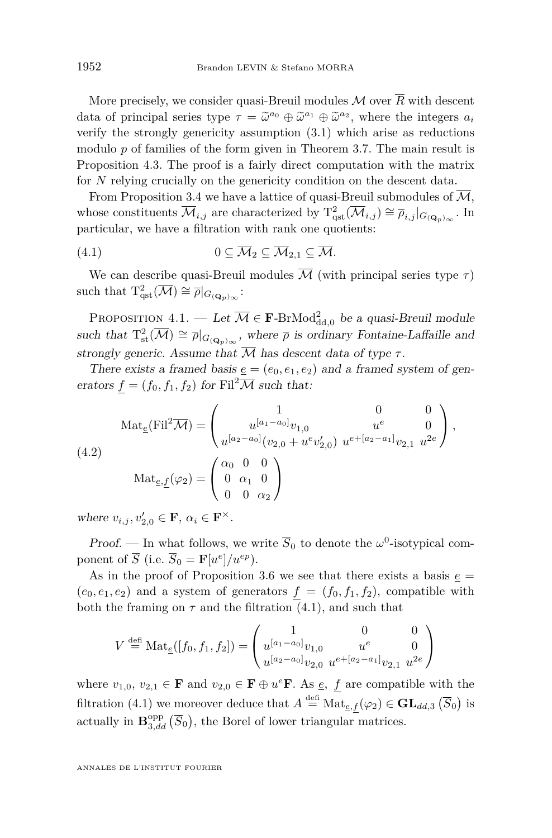More precisely, we consider quasi-Breuil modules  $\mathcal M$  over  $\overline{R}$  with descent data of principal series type  $\tau = \tilde{\omega}^{a_0} \oplus \tilde{\omega}^{a_1} \oplus \tilde{\omega}^{a_2}$ , where the integers  $a_i$ <br>which the strongly separative assumption (3.1) which axis as reductions verify the strongly genericity assumption [\(3.1\)](#page-12-0) which arise as reductions modulo *p* of families of the form given in Theorem [3.7.](#page-18-0) The main result is Proposition [4.3.](#page-31-0) The proof is a fairly direct computation with the matrix for *N* relying crucially on the genericity condition on the descent data.

From Proposition [3.4](#page-14-0) we have a lattice of quasi-Breuil submodules of  $\overline{\mathcal{M}}$ , whose constituents  $\overline{\mathcal{M}}_{i,j}$  are characterized by  $T_{\text{qst}}^2(\overline{\mathcal{M}}_{i,j}) \cong \overline{\rho}_{i,j}|_{G_{({\mathbf{Q}}_p)_{\infty}}}$ . In particular, we have a filtration with rank one quotients:

<span id="page-30-0"></span>
$$
(4.1) \t 0 \subseteq \overline{\mathcal{M}}_2 \subseteq \overline{\mathcal{M}}_{2,1} \subseteq \overline{\mathcal{M}}.
$$

We can describe quasi-Breuil modules  $\overline{\mathcal{M}}$  (with principal series type  $\tau$ ) such that  $T^2_{\text{qst}}(\overline{\mathcal{M}}) \cong \overline{\rho}|_{G_{({\mathbf{Q}}_p)_{\infty}}}$ :

<span id="page-30-1"></span>PROPOSITION  $4.1.$  — Let  $\overline{\mathcal{M}} \in \mathbf{F}\text{-BrMod}^2_{\mathrm{dd},0}$  be a quasi-Breuil module such that  $T_{st}^2(\overline{\mathcal{M}}) \cong \overline{\rho}|_{G_{(\mathbf{Q}_p)}_{\infty}},$  where  $\overline{\rho}$  is ordinary Fontaine-Laffaille and strongly generic. Assume that  $\overline{M}$  has descent data of type  $\tau$ .

There exists a framed basis  $\underline{e} = (e_0, e_1, e_2)$  and a framed system of generators  $f = (f_0, f_1, f_2)$  for Fil<sup>2</sup>M such that:

<span id="page-30-2"></span>(4.2) 
$$
\operatorname{Mat}_{\underline{e}}(\mathrm{Fil}^2 \overline{\mathcal{M}}) = \begin{pmatrix} 1 & 0 & 0 \\ u^{[a_1 - a_0]} v_{1,0} & u^e & 0 \\ u^{[a_2 - a_0]} (v_{2,0} + u^e v'_{2,0}) & u^{e + [a_2 - a_1]} v_{2,1} & u^{2e} \end{pmatrix},
$$

$$
\operatorname{Mat}_{\underline{e},\underline{f}}(\varphi_2) = \begin{pmatrix} \alpha_0 & 0 & 0 \\ 0 & \alpha_1 & 0 \\ 0 & 0 & \alpha_2 \end{pmatrix}
$$

where  $v_{i,j}, v'_{2,0} \in \mathbf{F}$ ,  $\alpha_i \in \mathbf{F}^{\times}$ .

Proof. — In what follows, we write  $\overline{S}_0$  to denote the  $\omega^0$ -isotypical component of  $\overline{S}$  (i.e.  $\overline{S}_0 = \mathbf{F}[u^e]/u^{ep}$ ).

As in the proof of Proposition [3.6](#page-15-0) we see that there exists a basis  $\underline{e}$  =  $(e_0, e_1, e_2)$  and a system of generators  $f = (f_0, f_1, f_2)$ , compatible with both the framing on  $\tau$  and the filtration  $(4.1)$ , and such that

$$
V \stackrel{\text{def}}{=} \text{Mat}_{\underline{e}}([f_0, f_1, f_2]) = \begin{pmatrix} 1 & 0 & 0 \\ u^{[a_1 - a_0]} v_{1,0} & u^e & 0 \\ u^{[a_2 - a_0]} v_{2,0} & u^{e + [a_2 - a_1]} v_{2,1} & u^{2e} \end{pmatrix}
$$

where  $v_{1,0}, v_{2,1} \in \mathbf{F}$  and  $v_{2,0} \in \mathbf{F} \oplus u^e\mathbf{F}$ . As  $\underline{e}$ , f are compatible with the filtration [\(4.1\)](#page-30-0) we moreover deduce that  $A \stackrel{\text{def}}{=} \text{Mat}_{e,f}(\varphi_2) \in \mathbf{GL}_{dd,3}(\overline{S}_0)$  is actually in  $\mathbf{B}_{3,dd}^{\text{opp}}(\overline{S}_0)$ , the Borel of lower triangular matrices.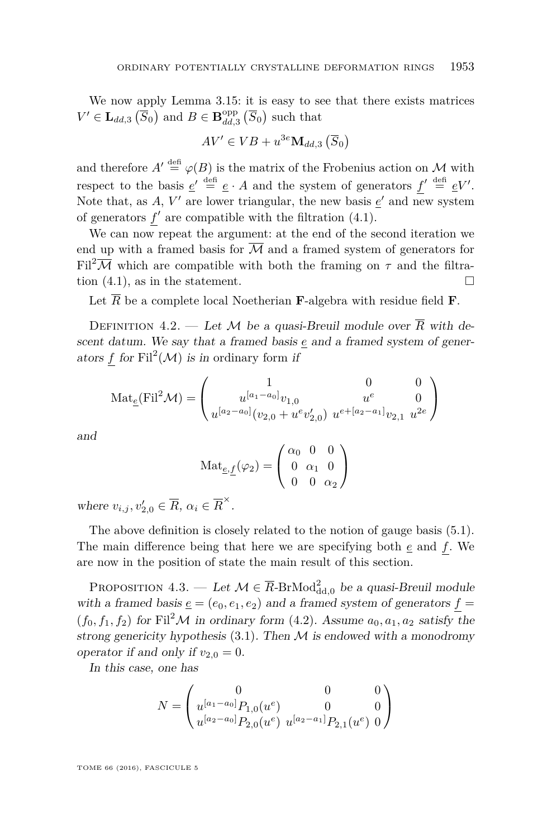We now apply Lemma [3.15:](#page-23-0) it is easy to see that there exists matrices  $V' \in L_{dd,3}(\overline{S}_0)$  and  $B \in \mathbf{B}_{dd,3}^{\text{opp}}(\overline{S}_0)$  such that

$$
AV' \in VB + u^{3e} \mathbf{M}_{dd,3} (\overline{S}_0)
$$

and therefore  $A' \stackrel{\text{def}}{=} \varphi(B)$  is the matrix of the Frobenius action on M with respect to the basis  $\underline{e}' \stackrel{\text{def}}{=} \underline{e} \cdot A$  and the system of generators  $f' \stackrel{\text{def}}{=} \underline{e}V'$ . Note that, as  $A$ ,  $V'$  are lower triangular, the new basis  $\underline{e}'$  and new system of generators  $f'$  are compatible with the filtration  $(4.1)$ .

We can now repeat the argument: at the end of the second iteration we end up with a framed basis for  $\overline{\mathcal{M}}$  and a framed system of generators for Fil<sup>2</sup> $\overline{\mathcal{M}}$  which are compatible with both the framing on  $\tau$  and the filtration  $(4.1)$ , as in the statement.

Let  $\overline{R}$  be a complete local Noetherian **F**-algebra with residue field **F**.

<span id="page-31-1"></span>DEFINITION 4.2. — Let M be a quasi-Breuil module over  $\overline{R}$  with descent datum. We say that a framed basis *e* and a framed system of generators  $f$  for  $\text{Fil}^2(\mathcal{M})$  is in ordinary form if

$$
\text{Mat}_{\underline{e}}(\text{Fil}^2 \mathcal{M}) = \begin{pmatrix} 1 & 0 & 0 \\ u^{[a_1 - a_0]} v_{1,0} & u^e & 0 \\ u^{[a_2 - a_0]} (v_{2,0} + u^e v_{2,0}') & u^{e + [a_2 - a_1]} v_{2,1} & u^{2e} \end{pmatrix}
$$

and

$$
\text{Mat}_{\underline{e},\underline{f}}(\varphi_2) = \begin{pmatrix} \alpha_0 & 0 & 0 \\ 0 & \alpha_1 & 0 \\ 0 & 0 & \alpha_2 \end{pmatrix}
$$

where  $v_{i,j}, v'_{2,0} \in \overline{R}$ ,  $\alpha_i \in \overline{R}^{\times}$ .

The above definition is closely related to the notion of gauge basis [\(5.1\)](#page-35-0). The main difference being that here we are specifying both *e* and *f*. We are now in the position of state the main result of this section.

<span id="page-31-0"></span>PROPOSITION 4.3. — Let  $\mathcal{M} \in \overline{R}$ -BrMod<sub>dd,0</sub> be a quasi-Breuil module with a framed basis  $\underline{e} = (e_0, e_1, e_2)$  and a framed system of generators  $f =$  $(f_0, f_1, f_2)$  for Fil<sup>2</sup>M in ordinary form [\(4.2\)](#page-31-1). Assume  $a_0, a_1, a_2$  satisfy the strong genericity hypothesis  $(3.1)$ . Then M is endowed with a monodromy operator if and only if  $v_{2,0} = 0$ .

In this case, one has

$$
N = \begin{pmatrix} 0 & 0 & 0 \\ u^{[a_1 - a_0]} P_{1,0}(u^e) & 0 & 0 \\ u^{[a_2 - a_0]} P_{2,0}(u^e) & u^{[a_2 - a_1]} P_{2,1}(u^e) & 0 \end{pmatrix}
$$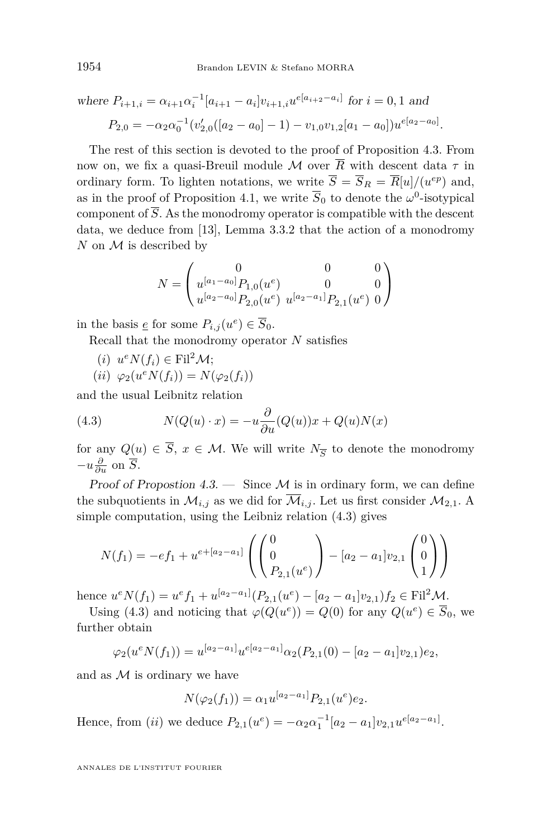where 
$$
P_{i+1,i} = \alpha_{i+1} \alpha_i^{-1} [a_{i+1} - a_i] v_{i+1,i} u^{e[a_{i+2} - a_i]}
$$
 for  $i = 0, 1$  and  
\n
$$
P_{2,0} = -\alpha_2 \alpha_0^{-1} (v'_{2,0}([a_2 - a_0] - 1) - v_{1,0} v_{1,2}[a_1 - a_0]) u^{e[a_2 - a_0]}.
$$

The rest of this section is devoted to the proof of Proposition [4.3.](#page-31-0) From now on, we fix a quasi-Breuil module M over  $\overline{R}$  with descent data  $\tau$  in ordinary form. To lighten notations, we write  $\overline{S} = \overline{S}_R = \overline{R}[u]/(u^{ep})$  and, as in the proof of Proposition [4.1,](#page-30-1) we write  $\overline{S}_0$  to denote the  $\omega^0$ -isotypical component of  $\overline{S}$ . As the monodromy operator is compatible with the descent data, we deduce from [\[13\]](#page-41-7), Lemma 3.3.2 that the action of a monodromy *N* on *M* is described by

$$
N = \begin{pmatrix} 0 & 0 & 0 \\ u^{[a_1 - a_0]} P_{1,0}(u^e) & 0 & 0 \\ u^{[a_2 - a_0]} P_{2,0}(u^e) & u^{[a_2 - a_1]} P_{2,1}(u^e) & 0 \end{pmatrix}
$$

in the basis <u>e</u> for some  $P_{i,j}(u^e) \in \overline{S}_0$ .

Recall that the monodromy operator *N* satisfies

- $(i)$   $u^e N(f_i) \in \text{Fil}^2 \mathcal{M};$
- <span id="page-32-0"></span> $(iii) \ \varphi_2(u^e N(f_i)) = N(\varphi_2(f_i))$

and the usual Leibnitz relation

(4.3) 
$$
N(Q(u) \cdot x) = -u \frac{\partial}{\partial u} (Q(u))x + Q(u)N(x)
$$

for any  $Q(u) \in S$ ,  $x \in M$ . We will write  $N_{\overline{S}}$  to denote the monodromy  $-u\frac{\partial}{\partial u}$  on  $\overline{S}$ .

Proof of Propostion [4.3.](#page-31-0)  $\equiv$  Since M is in ordinary form, we can define the subquotients in  $\mathcal{M}_{i,j}$  as we did for  $\overline{\mathcal{M}}_{i,j}$ . Let us first consider  $\mathcal{M}_{2,1}$ . A simple computation, using the Leibniz relation [\(4.3\)](#page-32-0) gives

$$
N(f_1) = -ef_1 + u^{e+[a_2-a_1]} \left( \begin{pmatrix} 0 \\ 0 \\ P_{2,1}(u^e) \end{pmatrix} - [a_2 - a_1]v_{2,1} \begin{pmatrix} 0 \\ 0 \\ 1 \end{pmatrix} \right)
$$

hence  $u^e N(f_1) = u^e f_1 + u^{[a_2 - a_1]} (P_{2,1}(u^e) - [a_2 - a_1] v_{2,1}) f_2 \in \text{Fil}^2 \mathcal{M}.$ 

Using [\(4.3\)](#page-32-0) and noticing that  $\varphi(Q(u^e)) = Q(0)$  for any  $Q(u^e) \in \overline{S}_0$ , we further obtain

$$
\varphi_2(u^e N(f_1)) = u^{[a_2 - a_1]} u^{e[a_2 - a_1]} \alpha_2(P_{2,1}(0) - [a_2 - a_1] v_{2,1}) e_2,
$$

and as  $\mathcal M$  is ordinary we have

$$
N(\varphi_2(f_1)) = \alpha_1 u^{[a_2 - a_1]} P_{2,1}(u^e) e_2.
$$

Hence, from (*ii*) we deduce  $P_{2,1}(u^e) = -\alpha_2 \alpha_1^{-1} [a_2 - a_1] v_{2,1} u^{e[a_2 - a_1]}$ .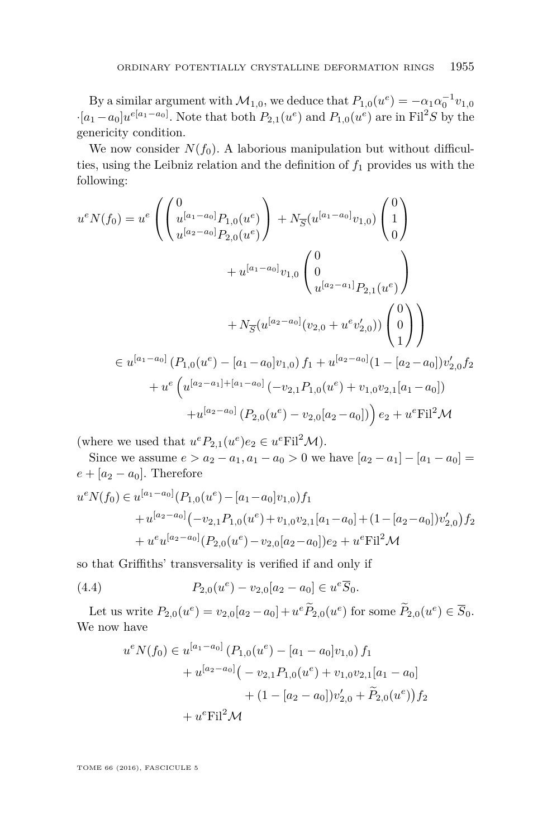By a similar argument with  $\mathcal{M}_{1,0}$ , we deduce that  $P_{1,0}(u^e) = -\alpha_1 \alpha_0^{-1} v_{1,0}$  $\cdot$  [*a*<sub>1</sub> − *a*<sub>0</sub>]*u*<sup>*e*[*a*<sub>1</sub> − *a*<sub>0</sub>]</sub>. Note that both *P*<sub>2</sub>,1</sub>(*u*<sup>*e*</sup>) and *P*<sub>1,0</sub>(*u*<sup>*e*</sup>) are in Fil<sup>2</sup>*S* by the</sup> genericity condition.

We now consider  $N(f_0)$ . A laborious manipulation but without difficulties, using the Leibniz relation and the definition of *f*<sup>1</sup> provides us with the following:

$$
u^{e}N(f_{0}) = u^{e} \left( \begin{pmatrix} 0 \\ u^{[a_{1}-a_{0}]} P_{1,0}(u^{e}) \\ u^{[a_{2}-a_{0}]} P_{2,0}(u^{e}) \end{pmatrix} + N_{\overline{S}} (u^{[a_{1}-a_{0}]} v_{1,0}) \begin{pmatrix} 0 \\ 1 \\ 0 \end{pmatrix} + u^{[a_{1}-a_{0}]} v_{1,0} \begin{pmatrix} 0 \\ 0 \\ u^{[a_{2}-a_{1}]} P_{2,1}(u^{e}) \end{pmatrix} + N_{\overline{S}} (u^{[a_{2}-a_{1}]} P_{2,1}(u^{e}) \begin{pmatrix} 0 \\ 0 \\ 1 \end{pmatrix} \right)
$$
  

$$
= u^{[a_{1}-a_{0}]} (P_{1,0}(u^{e}) - [a_{1}-a_{0}] v_{1,0}) f_{1} + u^{[a_{2}-a_{0}]} (1 - [a_{2}-a_{0}]) v'_{2,0} f_{2}
$$
  

$$
+ u^{e} \left( u^{[a_{2}-a_{1}]+[a_{1}-a_{0}]} (-v_{2,1} P_{1,0}(u^{e}) + v_{1,0} v_{2,1}[a_{1}-a_{0}]) \right)
$$
  

$$
+ u^{[a_{2}-a_{0}]} (P_{2,0}(u^{e}) - v_{2,0}[a_{2}-a_{0}]) \right) e_{2} + u^{e} \text{Fil}^{2} \mathcal{M}
$$

(where we used that  $u^e P_{2,1}(u^e)e_2 \in u^e \text{Fil}^2 \mathcal{M}$ ).

Since we assume  $e > a_2 - a_1, a_1 - a_0 > 0$  we have  $[a_2 - a_1] - [a_1 - a_0] =$  $e + [a_2 - a_0]$ . Therefore

$$
u^{e}N(f_{0}) \in u^{[a_{1}-a_{0}]}(P_{1,0}(u^{e}) - [a_{1}-a_{0}]v_{1,0})f_{1}+u^{[a_{2}-a_{0}]}(-v_{2,1}P_{1,0}(u^{e}) + v_{1,0}v_{2,1}[a_{1}-a_{0}] + (1 - [a_{2}-a_{0}])v'_{2,0})f_{2}+u^{e}u^{[a_{2}-a_{0}]}(P_{2,0}(u^{e}) - v_{2,0}[a_{2}-a_{0}])e_{2} + u^{e}Fil^{2}\mathcal{M}
$$

so that Griffiths' transversality is verified if and only if

(4.4) 
$$
P_{2,0}(u^e) - v_{2,0}[a_2 - a_0] \in u^e \overline{S}_0.
$$

Let us write  $P_{2,0}(u^e) = v_{2,0}[a_2 - a_0] + u^e \tilde{P}_{2,0}(u^e)$  for some  $\tilde{P}_{2,0}(u^e) \in \overline{S}_0$ . We now have

<span id="page-33-0"></span>
$$
u^{e}N(f_{0}) \in u^{[a_{1}-a_{0}]}(P_{1,0}(u^{e}) - [a_{1}-a_{0}]v_{1,0})f_{1}
$$
  
+ 
$$
u^{[a_{2}-a_{0}]}(-v_{2,1}P_{1,0}(u^{e}) + v_{1,0}v_{2,1}[a_{1}-a_{0}]
$$
  
+ 
$$
(1 - [a_{2}-a_{0}])v'_{2,0} + \widetilde{P}_{2,0}(u^{e}))f_{2}
$$
  
+ 
$$
u^{e}Fil^{2}\mathcal{M}
$$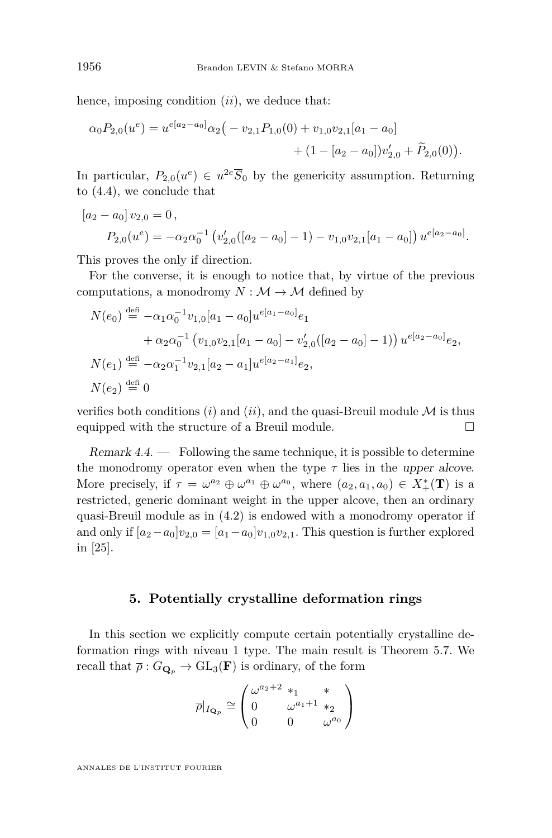hence, imposing condition (*ii*), we deduce that:

$$
\alpha_0 P_{2,0}(u^e) = u^{e[a_2 - a_0]} \alpha_2 \big( -v_{2,1} P_{1,0}(0) + v_{1,0} v_{2,1}[a_1 - a_0] + (1 - [a_2 - a_0]) v'_{2,0} + \widetilde{P}_{2,0}(0) \big).
$$

In particular,  $P_{2,0}(u^e) \in u^{2e} \overline{S}_0$  by the genericity assumption. Returning to [\(4.4\)](#page-33-0), we conclude that

$$
[a_2 - a_0] v_{2,0} = 0,
$$
  
\n
$$
P_{2,0}(u^e) = -\alpha_2 \alpha_0^{-1} \left( v'_{2,0}([a_2 - a_0] - 1) - v_{1,0} v_{2,1}[a_1 - a_0] \right) u^{e[a_2 - a_0]}.
$$

This proves the only if direction.

For the converse, it is enough to notice that, by virtue of the previous computations, a monodromy  $N : \mathcal{M} \to \mathcal{M}$  defined by

$$
N(e_0) \stackrel{\text{def}}{=} -\alpha_1 \alpha_0^{-1} v_{1,0}[a_1 - a_0] u^{e[a_1 - a_0]} e_1 + \alpha_2 \alpha_0^{-1} (v_{1,0} v_{2,1}[a_1 - a_0] - v'_{2,0}([a_2 - a_0] - 1)) u^{e[a_2 - a_0]} e_2, N(e_1) \stackrel{\text{def}}{=} -\alpha_2 \alpha_1^{-1} v_{2,1}[a_2 - a_1] u^{e[a_2 - a_1]} e_2, N(e_2) \stackrel{\text{def}}{=} 0
$$

verifies both conditions (*i*) and (*ii*), and the quasi-Breuil module  $\mathcal{M}$  is thus equipped with the structure of a Breuil module.

Remark  $4.4.$  — Following the same technique, it is possible to determine the monodromy operator even when the type  $\tau$  lies in the upper alcove. More precisely, if  $\tau = \omega^{a_2} \oplus \omega^{a_1} \oplus \omega^{a_0}$ , where  $(a_2, a_1, a_0) \in X^*_+(\mathbf{T})$  is a restricted, generic dominant weight in the upper alcove, then an ordinary quasi-Breuil module as in [\(4.2\)](#page-30-2) is endowed with a monodromy operator if and only if  $[a_2 - a_0]v_{2,0} = [a_1 - a_0]v_{1,0}v_{2,1}$ . This question is further explored in [\[25\]](#page-42-10).

#### **5. Potentially crystalline deformation rings**

In this section we explicitly compute certain potentially crystalline deformation rings with niveau 1 type. The main result is Theorem [5.7.](#page-40-0) We recall that  $\bar{\rho}: G_{\mathbf{Q}_p} \to GL_3(\mathbf{F})$  is ordinary, of the form

$$
\overline{\rho}|_{I_{\mathbf{Q}_p}} \cong \begin{pmatrix} \omega^{a_2+2} *_1 & * \\ 0 & \omega^{a_1+1} *_2 \\ 0 & 0 & \omega^{a_0} \end{pmatrix}
$$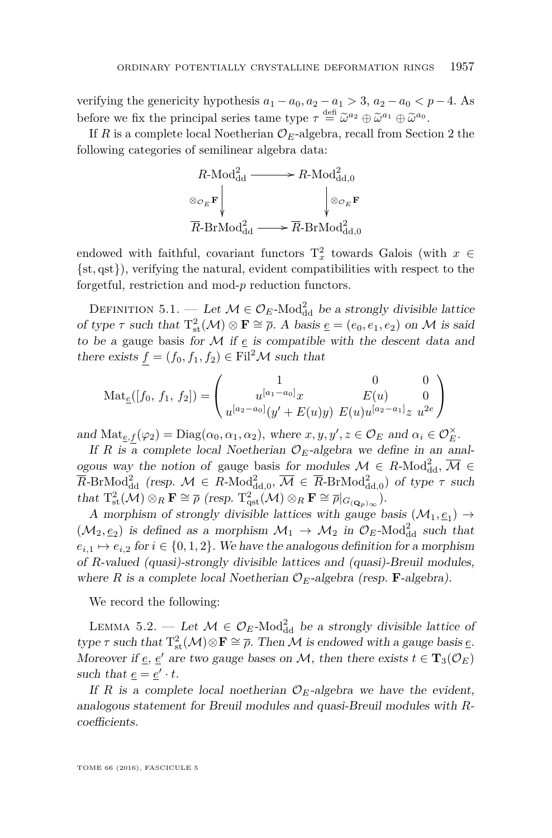verifying the genericity hypothesis  $a_1 - a_0$ ,  $a_2 - a_1 > 3$ ,  $a_2 - a_0 < p - 4$ . As before we fix the principal series tame type  $\tau \stackrel{\text{def}}{=} \tilde{\omega}^{a_2} \oplus \tilde{\omega}^{a_1} \oplus \tilde{\omega}^{a_0}$ .

If *R* is a complete local Noetherian  $\mathcal{O}_E$ -algebra, recall from Section [2](#page-6-0) the following categories of semilinear algebra data:



endowed with faithful, covariant functors  $T_x^2$  towards Galois (with  $x \in$ {st*,* qst}), verifying the natural, evident compatibilities with respect to the forgetful, restriction and mod-*p* reduction functors.

<span id="page-35-0"></span>DEFINITION 5.1. — Let  $\mathcal{M} \in \mathcal{O}_E$ -Mod<sup>2</sup><sub>dd</sub> be a strongly divisible lattice of type  $\tau$  such that  $T_{st}^2(\mathcal{M}) \otimes \mathbf{F} \cong \overline{\rho}$ . A basis  $\underline{e} = (e_0, e_1, e_2)$  on M is said to be a gauge basis for  $M$  if  $\epsilon$  is compatible with the descent data and there exists  $f = (f_0, f_1, f_2) \in \text{Fil}^2 \mathcal{M}$  such that

$$
\operatorname{Mat}_{\underline{e}}([f_0, f_1, f_2]) = \begin{pmatrix} 1 & 0 & 0 \\ u^{[a_1 - a_0]}x & E(u) & 0 \\ u^{[a_2 - a_0]}(y' + E(u)y) & E(u)u^{[a_2 - a_1]}z \ u^{2e} \end{pmatrix}
$$

and  $\text{Mat}_{\underline{e},\underline{f}}(\varphi_2) = \text{Diag}(\alpha_0, \alpha_1, \alpha_2)$ , where  $x, y, y', z \in \mathcal{O}_E$  and  $\alpha_i \in \mathcal{O}_E^{\times}$ .

If *R* is a complete local Noetherian  $\mathcal{O}_E$ -algebra we define in an analogous way the notion of gauge basis for modules  $M \in R\text{-Mod}_{\text{dd}}^2$ ,  $\overline{M} \in$  $\overline{R}$ -BrMod<sub>dd</sub> (resp.  $M \in R$ -Mod<sub>dd,0</sub>,  $\overline{M} \in \overline{R}$ -BrMod<sub>dd,0</sub>) of type  $\tau$  such that  $T_{st}^2(\mathcal{M}) \otimes_R \mathbf{F} \cong \overline{\rho}$  (resp.  $T_{qst}^2(\mathcal{M}) \otimes_R \mathbf{F} \cong \overline{\rho}|_{G_{(\mathbf{Q}_p)}(\mathbf{Q})}}$ ).

A morphism of strongly divisible lattices with gauge basis  $(\mathcal{M}_1, \underline{e}_1) \rightarrow$  $(\mathcal{M}_2, \underline{e}_2)$  is defined as a morphism  $\mathcal{M}_1 \to \mathcal{M}_2$  in  $\mathcal{O}_E$ -Mod<sub>dd</sub> such that  $e_{i,1} \mapsto e_{i,2}$  for  $i \in \{0,1,2\}$ . We have the analogous definition for a morphism of *R*-valued (quasi)-strongly divisible lattices and (quasi)-Breuil modules, where *R* is a complete local Noetherian  $\mathcal{O}_E$ -algebra (resp. **F**-algebra).

We record the following:

<span id="page-35-1"></span>LEMMA 5.2. — Let  $\mathcal{M} \in \mathcal{O}_E$ -Mod<sub>dd</sub> be a strongly divisible lattice of type  $\tau$  such that  $T_{st}^2(\mathcal{M}) \otimes \mathbf{F} \cong \overline{\rho}$ . Then  $\mathcal M$  is endowed with a gauge basis  $\underline{e}$ . Moreover if <u>e</u>, <u>e</u><sup> $\prime$ </sup> are two gauge bases on M, then there exists  $t \in \mathbf{T}_3(\mathcal{O}_E)$ such that  $\underline{e} = \underline{e}' \cdot t$ .

If *R* is a complete local noetherian  $\mathcal{O}_E$ -algebra we have the evident, analogous statement for Breuil modules and quasi-Breuil modules with *R*coefficients.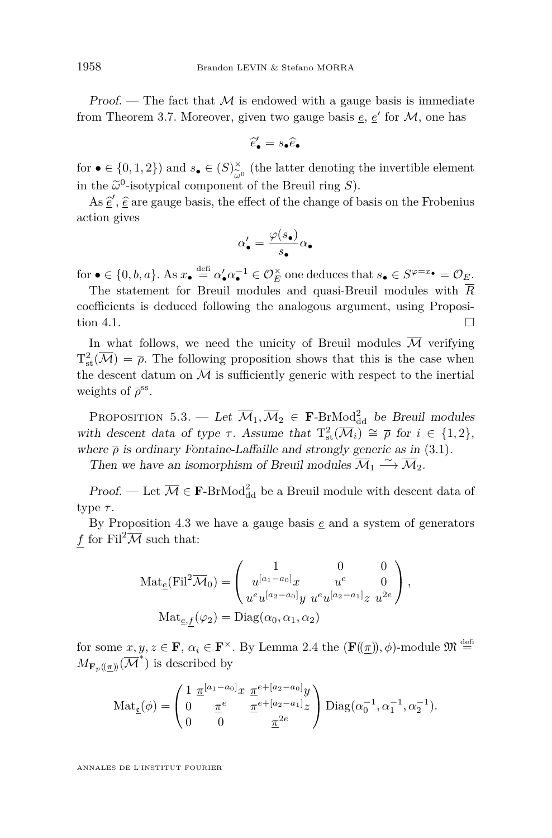Proof. — The fact that  $\mathcal M$  is endowed with a gauge basis is immediate from Theorem [3.7.](#page-18-0) Moreover, given two gauge basis  $\underline{e}$ ,  $\underline{e}'$  for  $\mathcal{M}$ , one has

$$
\widehat{e}'_{\bullet} = s_{\bullet} \widehat{e}_{\bullet}
$$

for  $\bullet \in \{0,1,2\}$  and  $s_{\bullet} \in (S)_{\sim 0}^{\times}$  (the latter denoting the invertible element in the  $\tilde{\omega}^0$ -isotypical component of the Breuil ring *S*).

As  $\hat{\underline{e}}'$ ,  $\hat{\underline{e}}$  are gauge basis, the effect of the change of basis on the Frobenius<br>tion gives action gives

$$
\alpha'_{\bullet} = \frac{\varphi(s_{\bullet})}{s_{\bullet}} \alpha_{\bullet}
$$

for  $\bullet \in \{0, b, a\}$ . As  $x_{\bullet} \stackrel{\text{def}}{=} \alpha'_{\bullet} \alpha_{\bullet}^{-1} \in \mathcal{O}_{E}^{\times}$  one deduces that  $s_{\bullet} \in S^{\varphi=x_{\bullet}} = \mathcal{O}_{E}$ .

The statement for Breuil modules and quasi-Breuil modules with  $\overline{R}$ coefficients is deduced following the analogous argument, using Proposi-tion [4.1.](#page-30-1)

In what follows, we need the unicity of Breuil modules  $\overline{\mathcal{M}}$  verifying  $T_{\text{st}}^2(\overline{\mathcal{M}}) = \overline{\rho}$ . The following proposition shows that this is the case when the descent datum on  $\overline{\mathcal{M}}$  is sufficiently generic with respect to the inertial weights of  $\bar{\rho}^{\rm ss}$ .

<span id="page-36-0"></span>PROPOSITION 5.3. — Let  $\overline{M}_1, \overline{M}_2 \in \mathbf{F}\text{-BrMod}^2_{\text{dd}}$  be Breuil modules with descent data of type  $\tau$ . Assume that  $T_{st}^2(\overline{\mathcal{M}}_i) \cong \overline{\rho}$  for  $i \in \{1,2\},\$ where  $\bar{\rho}$  is ordinary Fontaine-Laffaille and strongly generic as in [\(3.1\)](#page-12-0).

Then we have an isomorphism of Breuil modules  $\overline{\mathcal{M}}_1 \stackrel{\sim}{\longrightarrow} \overline{\mathcal{M}}_2$ .

Proof. — Let  $\overline{\mathcal{M}} \in \mathbf{F}\text{-BrMod}^2_{\text{dd}}$  be a Breuil module with descent data of type *τ* .

By Proposition [4.3](#page-31-0) we have a gauge basis *e* and a system of generators *f* for Fil<sup>2</sup> $\overline{\mathcal{M}}$  such that:

$$
\operatorname{Mat}_{\underline{e}}(\mathrm{Fil}^2 \overline{\mathcal{M}}_0) = \begin{pmatrix} 1 & 0 & 0 \\ u^{[a_1 - a_0]} x & u^e & 0 \\ u^e u^{[a_2 - a_0]} y & u^e u^{[a_2 - a_1]} z & u^{2e} \end{pmatrix},
$$

$$
\operatorname{Mat}_{\underline{e},f}(\varphi_2) = \operatorname{Diag}(\alpha_0, \alpha_1, \alpha_2)
$$

for some  $x, y, z \in \mathbf{F}$ ,  $\alpha_i \in \mathbf{F}^\times$ . By Lemma [2.4](#page-10-0) the  $(\mathbf{F}(\underline{\pi}), \phi)$ -module  $\mathfrak{M} \stackrel{\text{def}}{=}$  $M_{\mathbf{F}_p(\!(\underline{\pi})\!)}(\overline{\mathcal{M}}^*)$  is described by

$$
Mat_{\underline{\mathfrak{e}}}(\phi) = \begin{pmatrix} 1 & \underline{\pi}^{[a_1 - a_0]} x & \underline{\pi}^{e + [a_2 - a_0]} y \\ 0 & \underline{\pi}^e & \underline{\pi}^{e + [a_2 - a_1]} z \\ 0 & 0 & \underline{\pi}^{2e} \end{pmatrix} \text{Diag}(\alpha_0^{-1}, \alpha_1^{-1}, \alpha_2^{-1}).
$$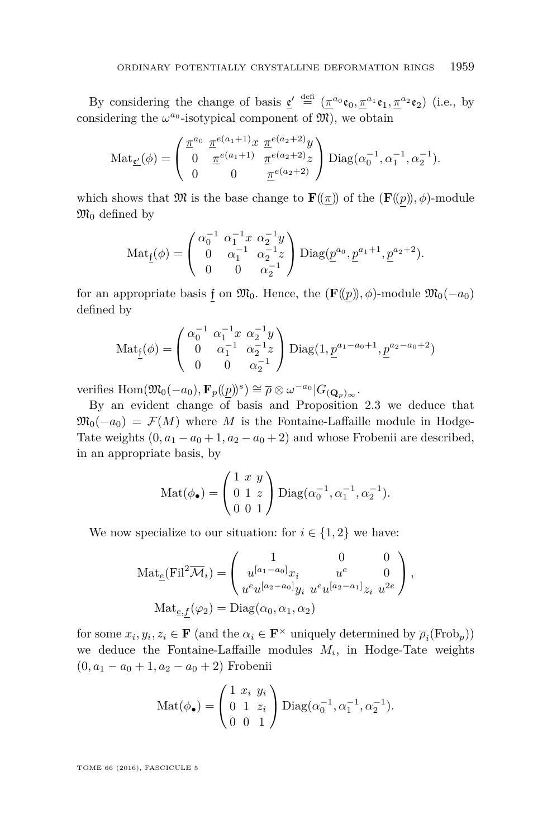By considering the change of basis  $\underline{\mathfrak{e}}' \stackrel{\text{def}}{=} (\underline{\pi}^{a_0} \mathfrak{e}_0, \underline{\pi}^{a_1} \mathfrak{e}_1, \underline{\pi}^{a_2} \mathfrak{e}_2)$  (i.e., by considering the  $\omega^{a_0}$ -isotypical component of  $\mathfrak{M}$ ), we obtain

$$
\operatorname{Mat}_{\underline{\mathfrak{c}'}}(\phi) = \begin{pmatrix} \frac{\pi^{a_0}}{a} & \frac{\pi^{e(a_1+1)}x}{a} & \frac{\pi^{e(a_2+2)}y}{a} \\ 0 & \frac{\pi^{e(a_1+1)}}{a} & \frac{\pi^{e(a_2+2)}z}{a} \end{pmatrix} \operatorname{Diag}(\alpha_0^{-1}, \alpha_1^{-1}, \alpha_2^{-1}).
$$

which shows that  $\mathfrak{M}$  is the base change to  $\mathbf{F}(\mathbf{r})$  of the  $(\mathbf{F}(\mathbf{r}))$ *,*  $\phi$ )-module  $\mathfrak{M}_0$  defined by

$$
Mat_{\underline{f}}(\phi) = \begin{pmatrix} \alpha_0^{-1} & \alpha_1^{-1}x & \alpha_2^{-1}y \\ 0 & \alpha_1^{-1} & \alpha_2^{-1}z \\ 0 & 0 & \alpha_2^{-1} \end{pmatrix} \text{Diag}(\underline{p}^{a_0}, \underline{p}^{a_1+1}, \underline{p}^{a_2+2}).
$$

for an appropriate basis f on  $\mathfrak{M}_0$ . Hence, the  $(\mathbf{F}(\pmb{\rho}), \phi)$ -module  $\mathfrak{M}_0(-a_0)$ defined by

$$
Mat_{\underline{f}}(\phi) = \begin{pmatrix} \alpha_0^{-1} & \alpha_1^{-1}x & \alpha_2^{-1}y \\ 0 & \alpha_1^{-1} & \alpha_2^{-1}z \\ 0 & 0 & \alpha_2^{-1} \end{pmatrix} \text{Diag}(1, \underline{p}^{a_1 - a_0 + 1}, \underline{p}^{a_2 - a_0 + 2})
$$

 $\text{verifies Hom}(\mathfrak{M}_0(-a_0), \mathbf{F}_p((\underline{p}))^s) \cong \overline{\rho} \otimes \omega^{-a_0} |G_{(\mathbf{Q}_p)_{\infty}}.$ 

By an evident change of basis and Proposition [2.3](#page-9-0) we deduce that  $\mathfrak{M}_0(-a_0) = \mathcal{F}(M)$  where M is the Fontaine-Laffaille module in Hodge-Tate weights  $(0, a_1 - a_0 + 1, a_2 - a_0 + 2)$  and whose Frobenii are described, in an appropriate basis, by

$$
Mat(\phi_{\bullet}) = \begin{pmatrix} 1 & x & y \\ 0 & 1 & z \\ 0 & 0 & 1 \end{pmatrix} \text{Diag}(\alpha_0^{-1}, \alpha_1^{-1}, \alpha_2^{-1}).
$$

We now specialize to our situation: for  $i \in \{1,2\}$  we have:

$$
\operatorname{Mat}_{\underline{e}}(\mathrm{Fil}^2 \overline{\mathcal{M}}_i) = \begin{pmatrix} 1 & 0 & 0 \\ u^{[a_1 - a_0]} x_i & u^e & 0 \\ u^e u^{[a_2 - a_0]} y_i & u^e u^{[a_2 - a_1]} z_i & u^{2e} \end{pmatrix},
$$
  

$$
\operatorname{Mat}_{\underline{e},\underline{f}}(\varphi_2) = \operatorname{Diag}(\alpha_0, \alpha_1, \alpha_2)
$$

for some  $x_i, y_i, z_i \in \mathbf{F}$  (and the  $\alpha_i \in \mathbf{F}^{\times}$  uniquely determined by  $\overline{\rho}_i(\text{Frob}_p)$ ) we deduce the Fontaine-Laffaille modules *M<sup>i</sup>* , in Hodge-Tate weights  $(0, a_1 - a_0 + 1, a_2 - a_0 + 2)$  Frobenii

$$
Mat(\phi_{\bullet}) = \begin{pmatrix} 1 & x_i & y_i \\ 0 & 1 & z_i \\ 0 & 0 & 1 \end{pmatrix} \text{Diag}(\alpha_0^{-1}, \alpha_1^{-1}, \alpha_2^{-1}).
$$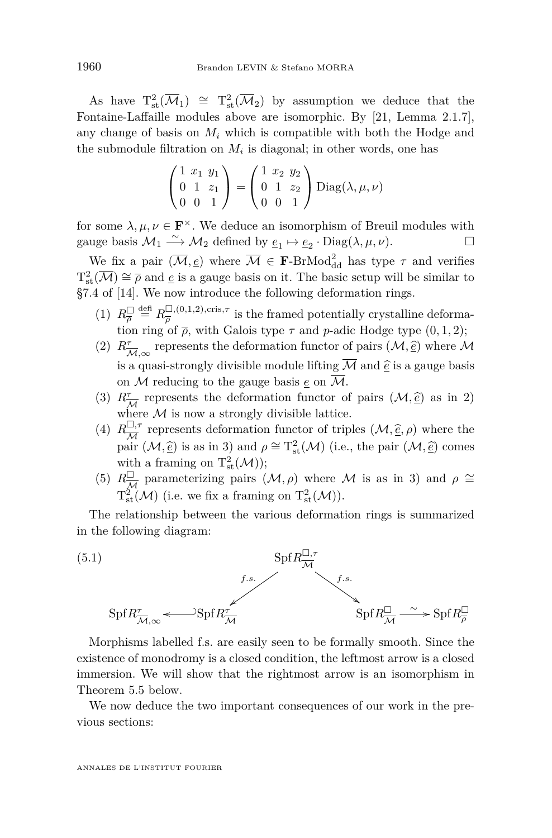As have  $T_{st}^2(\overline{\mathcal{M}}_1) \cong T_{st}^2(\overline{\mathcal{M}}_2)$  by assumption we deduce that the Fontaine-Laffaille modules above are isomorphic. By [\[21,](#page-42-7) Lemma 2.1.7], any change of basis on  $M_i$  which is compatible with both the Hodge and the submodule filtration on  $M_i$  is diagonal; in other words, one has

$$
\begin{pmatrix} 1 & x_1 & y_1 \\ 0 & 1 & z_1 \\ 0 & 0 & 1 \end{pmatrix} = \begin{pmatrix} 1 & x_2 & y_2 \\ 0 & 1 & z_2 \\ 0 & 0 & 1 \end{pmatrix} \text{Diag}(\lambda, \mu, \nu)
$$

for some  $\lambda, \mu, \nu \in \mathbf{F}^{\times}$ . We deduce an isomorphism of Breuil modules with gauge basis  $\mathcal{M}_1 \stackrel{\sim}{\longrightarrow} \mathcal{M}_2$  defined by  $\underline{e}_1 \mapsto \underline{e}_2 \cdot \text{Diag}(\lambda, \mu, \nu)$ .

We fix a pair  $(\overline{M}, \underline{e})$  where  $\overline{M} \in \mathbf{F}\text{-BrMod}^2_{\text{dd}}$  has type  $\tau$  and verifies  $T^2_{\text{st}}(\overline{\mathcal{M}}) \cong \overline{\rho}$  and  $\underline{e}$  is a gauge basis on it. The basic setup will be similar to §7.4 of [\[14\]](#page-41-9). We now introduce the following deformation rings.

- (1)  $R_{\overline{\rho}}^{\square} \stackrel{\text{def}}{=} R_{\overline{\rho}}^{\square,(0,1,2),\text{cris},\tau}$  $\frac{\Delta}{\rho}$ , (0,1,2), cris,<sup>7</sup> is the framed potentially crystalline deformation ring of  $\bar{\rho}$ , with Galois type  $\tau$  and  $p$ -adic Hodge type  $(0, 1, 2)$ ;
- (2)  $R^{\tau}_{\overline{\mathcal{M}}, \infty}$  represents the deformation functor of pairs  $(\mathcal{M}, \hat{e})$  where  $\mathcal{M}$ is a quasi-strongly divisible module lifting  $\overline{\mathcal{M}}$  and  $\widehat{\underline{e}}$  is a gauge basis on M reducing to the gauge basis  $e$  on  $\overline{\mathcal{M}}$ .
- (3)  $R^{\tau}_{\overline{\mathcal{M}}}$  represents the deformation functor of pairs  $(\mathcal{M}, \hat{\underline{e}})$  as in 2) where  $\mathcal M$  is now a strongly divisible lattice.
- $(4)$   $R^{\Box, \tau}_{\overline{14}}$  $\frac{\partial \mathcal{F}}{\partial t}$  represents deformation functor of triples  $(\mathcal{M}, \hat{\epsilon}, \rho)$  where the pair  $(\mathcal{M}, \hat{e})$  is as in 3) and  $\rho \cong T_{\text{st}}^2(\mathcal{M})$  (i.e., the pair  $(\mathcal{M}, \hat{e})$  comes with a framing on  $T^2_{st}(\mathcal{M}))$ ;
- (5)  $R_{\overline{\mathcal{M}}}^{\square}$  parameterizing pairs  $(\mathcal{M}, \rho)$  where  $\mathcal M$  is as in 3) and  $\rho \cong$  $T^2_{st}(\mathcal{M})$  (i.e. we fix a framing on  $T^2_{st}(\mathcal{M})$ ).

The relationship between the various deformation rings is summarized in the following diagram:

<span id="page-38-0"></span>

Morphisms labelled f.s. are easily seen to be formally smooth. Since the existence of monodromy is a closed condition, the leftmost arrow is a closed immersion. We will show that the rightmost arrow is an isomorphism in Theorem [5.5](#page-39-0) below.

We now deduce the two important consequences of our work in the previous sections: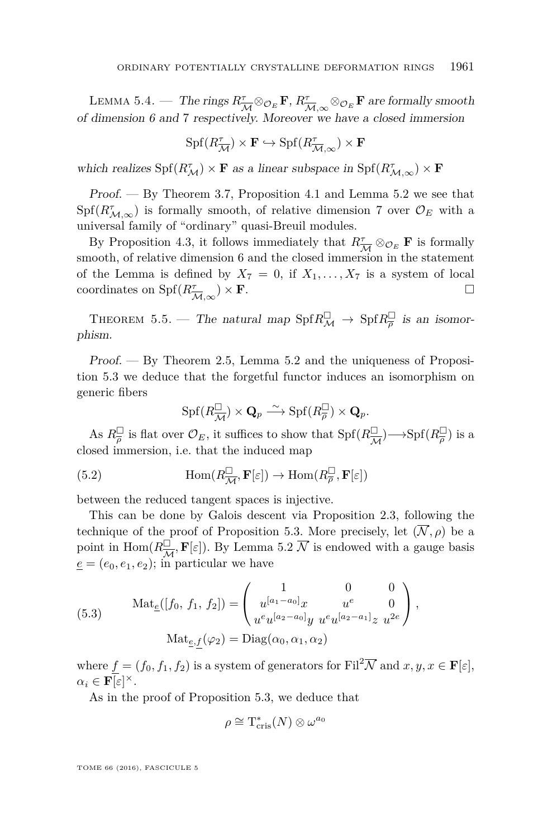<span id="page-39-2"></span>LEMMA 5.4. — The rings  $R_{\overline{\mathcal{M}}}^{\tau} \otimes_{\mathcal{O}_E} \mathbf{F}$ ,  $R_{\overline{\mathcal{M}}, \infty}^{\tau} \otimes_{\mathcal{O}_E} \mathbf{F}$  are formally smooth of dimension 6 and 7 respectively. Moreover we have a closed immersion

$$
\operatorname{Spf}(R^\tau_{\overline{\mathcal{M}}})\times \mathbf{F} \hookrightarrow \operatorname{Spf}(R^\tau_{\overline{\mathcal{M}}, \infty})\times \mathbf{F}
$$

which realizes  $\text{Spf}(R_M^{\tau}) \times \mathbf{F}$  as a linear subspace in  $\text{Spf}(R_M^{\tau}) \times \mathbf{F}$ 

Proof. — By Theorem [3.7,](#page-18-0) Proposition [4.1](#page-30-1) and Lemma [5.2](#page-35-1) we see that  $Spf(R<sup>\tau</sup><sub>M,\infty</sub>)$  is formally smooth, of relative dimension 7 over  $\mathcal{O}_E$  with a universal family of "ordinary" quasi-Breuil modules.

By Proposition [4.3,](#page-31-0) it follows immediately that  $R^{\tau}_{\overline{\mathcal{M}}} \otimes_{\mathcal{O}_E} \mathbf{F}$  is formally smooth, of relative dimension 6 and the closed immersion in the statement of the Lemma is defined by  $X_7 = 0$ , if  $X_1, \ldots, X_7$  is a system of local coordinates on  $\text{Spf}(R^{\tau}_{\overline{\mathcal{M}},\infty}) \times \mathbf{F}$ .

<span id="page-39-0"></span>THEOREM 5.5. — The natural map  $\text{Spf} R^{\square}_{\mathcal{M}} \to \text{Spf} R^{\square}_{\overline{\rho}}$  is an isomorphism.

Proof. — By Theorem [2.5,](#page-11-0) Lemma [5.2](#page-35-1) and the uniqueness of Proposition [5.3](#page-36-0) we deduce that the forgetful functor induces an isomorphism on generic fibers

<span id="page-39-1"></span>
$$
\operatorname{Spf}(R^{\square}_{\overline{\mathcal{M}}})\times \mathbf{Q}_{p} \stackrel{\sim}{\longrightarrow} \operatorname{Spf}(R^{\square}_{\overline{\rho}}) \times \mathbf{Q}_{p}.
$$

As  $R_{\overline{\rho}}^{\square}$  is flat over  $\mathcal{O}_E$ , it suffices to show that  $\text{Spf}(R_{\overline{\mathcal{M}}}^{\square}) \longrightarrow \text{Spf}(R_{\overline{\rho}}^{\square})$  is a closed immersion, i.e. that the induced map

(5.2) 
$$
\text{Hom}(R_{\overline{\mathcal{M}}}^{\square}, \mathbf{F}[\varepsilon]) \to \text{Hom}(R_{\overline{\rho}}^{\square}, \mathbf{F}[\varepsilon])
$$

between the reduced tangent spaces is injective.

This can be done by Galois descent via Proposition [2.3,](#page-9-0) following the technique of the proof of Proposition [5.3.](#page-36-0) More precisely, let  $(\overline{\mathcal{N}}, \rho)$  be a point in Hom $(R_{\overline{\mathcal{M}}}^{\square}, \mathbf{F}[\varepsilon])$ . By Lemma [5.2](#page-35-1)  $\overline{\mathcal{N}}$  is endowed with a gauge basis  $e = (e_0, e_1, e_2)$ ; in particular we have

(5.3) 
$$
\operatorname{Mat}_{\underline{e}}([f_0, f_1, f_2]) = \begin{pmatrix} 1 & 0 & 0 \\ u^{[a_1 - a_0]}x & u^e & 0 \\ u^e u^{[a_2 - a_0]}y & u^e u^{[a_2 - a_1]}z & u^{2e} \end{pmatrix},
$$

$$
\operatorname{Mat}_{\underline{e}, f}(\varphi_2) = \operatorname{Diag}(\alpha_0, \alpha_1, \alpha_2)
$$

where  $f = (f_0, f_1, f_2)$  is a system of generators for Fil<sup>2</sup>N and  $x, y, x \in \mathbf{F}[\varepsilon]$ ,  $\alpha_i \in \mathbf{F}[\varepsilon]^\times$ .

As in the proof of Proposition [5.3,](#page-36-0) we deduce that

$$
\rho \cong \mathrm{T}^*_{\mathrm{cris}}(N) \otimes \omega^{a_0}
$$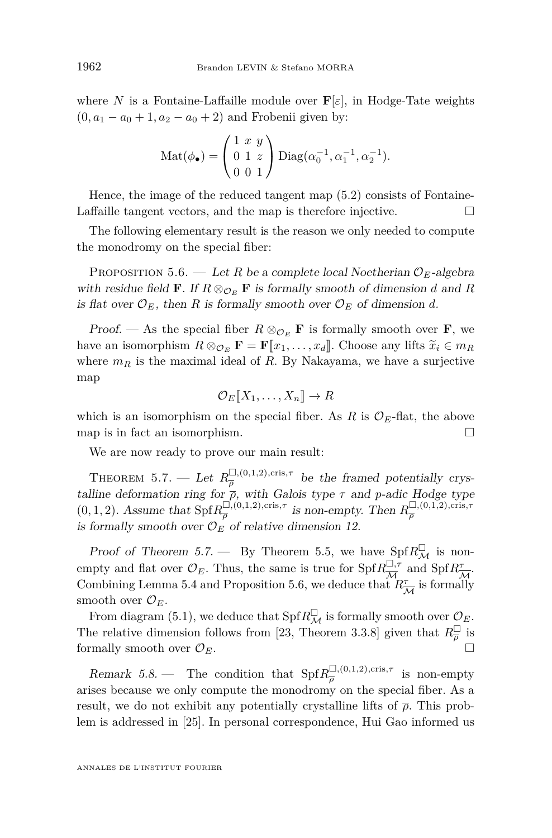where *N* is a Fontaine-Laffaille module over  $\mathbf{F}[\varepsilon]$ , in Hodge-Tate weights  $(0, a_1 - a_0 + 1, a_2 - a_0 + 2)$  and Frobenii given by:

$$
Mat(\phi_{\bullet}) = \begin{pmatrix} 1 & x & y \\ 0 & 1 & z \\ 0 & 0 & 1 \end{pmatrix} \text{Diag}(\alpha_0^{-1}, \alpha_1^{-1}, \alpha_2^{-1}).
$$

Hence, the image of the reduced tangent map [\(5.2\)](#page-39-1) consists of Fontaine-Laffaille tangent vectors, and the map is therefore injective.  $\Box$ 

The following elementary result is the reason we only needed to compute the monodromy on the special fiber:

<span id="page-40-1"></span>PROPOSITION 5.6. — Let *R* be a complete local Noetherian  $\mathcal{O}_E$ -algebra with residue field **F**. If  $R \otimes_{\mathcal{O}_E} \mathbf{F}$  is formally smooth of dimension *d* and *R* is flat over  $\mathcal{O}_E$ , then *R* is formally smooth over  $\mathcal{O}_E$  of dimension *d*.

Proof. — As the special fiber  $R \otimes_{\mathcal{O}_E} \mathbf{F}$  is formally smooth over **F**, we have an isomorphism  $R \otimes_{\mathcal{O}_E} \mathbf{F} = \mathbf{F}[\![x_1, \ldots, x_d]\!]$ . Choose any lifts  $\widetilde{x}_i \in m_R$ where  $m_R$  is the maximal ideal of  $R$ . By Nakayama, we have a surjective map

$$
\mathcal{O}_E[\![X_1,\ldots,X_n]\!]\to R
$$

which is an isomorphism on the special fiber. As  $R$  is  $\mathcal{O}_E$ -flat, the above map is in fact an isomorphism.  $\Box$ 

We are now ready to prove our main result:

<span id="page-40-0"></span> $\text{THEOREM 5.7.} \longrightarrow \text{Let } R_{\overline{a}}^{\square,(0,1,2),\text{cris},\tau}$  $\frac{\Box_{\gamma}(0,1,2),\text{cris},\gamma}{\overline{\rho}}$  be the framed potentially crystalline deformation ring for  $\bar{\rho}$ , with Galois type  $\tau$  and *p*-adic Hodge type  $(0, 1, 2)$ . Assume that  $\text{Spf} R_{\overline{a}}^{\square, (0,1,2), \text{cris}, \tau}$  $\frac{D}{\overline{\rho}}$ ,(0*,*1*,2*)*,cris<sub><i>τ*</sub></sub> is non-empty. Then  $R_{\overline{\rho}}^{\square,(0,1,2)}$ *,cris<sub><i>τ*</sub></sub> *ρ* is formally smooth over  $\mathcal{O}_E$  of relative dimension 12.

Proof of Theorem [5.7.](#page-40-0) — By Theorem [5.5,](#page-39-0) we have  $\text{Spf } R_M^{\square}$  is nonempty and flat over  $\mathcal{O}_E$ . Thus, the same is true for Spf $R_{\overline{M}}^{\square, \tau}$  $\frac{\Box, \tau}{\mathcal{M}}$  and  $\text{Spf}R^{\tau}_{\overline{\mathcal{M}}}$ . Combining Lemma [5.4](#page-39-2) and Proposition [5.6,](#page-40-1) we deduce that  $R^{\tau}_{\overline{\mathcal{M}}}$  is formally smooth over  $\mathcal{O}_E$ .

From diagram [\(5.1\)](#page-38-0), we deduce that  $\text{Spf} R^{\square}_{\mathcal{M}}$  is formally smooth over  $\mathcal{O}_E$ . The relative dimension follows from [\[23,](#page-42-11) Theorem 3.3.8] given that  $R_{\overline{\rho}}^{\square}$  is formally smooth over  $\mathcal{O}_E$ .

Remark 5.8. — The condition that  $\text{Spf}R_{\overline{\sigma}}^{\square,(0,1,2),\text{cris},\tau}$  $\frac{\Box}{\rho}$ , (0,1,2), cris, <sup>*T*</sup> is non-empty arises because we only compute the monodromy on the special fiber. As a result, we do not exhibit any potentially crystalline lifts of *ρ*. This problem is addressed in [\[25\]](#page-42-10). In personal correspondence, Hui Gao informed us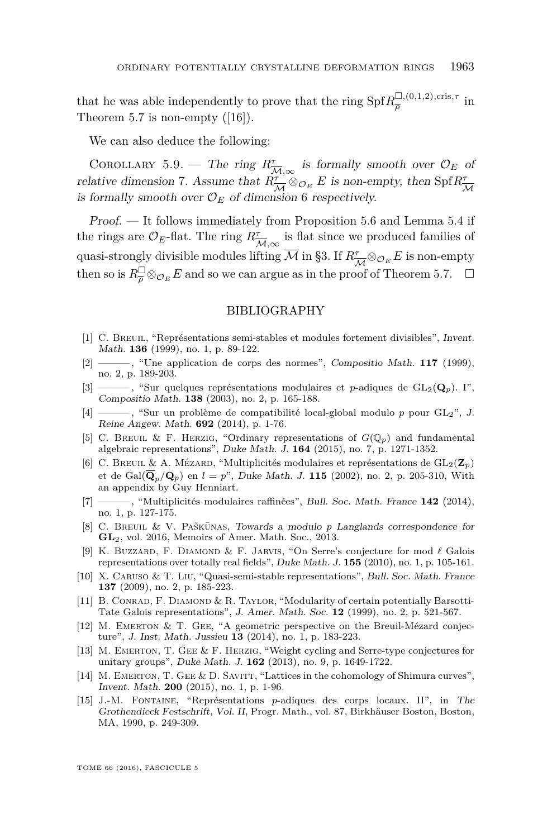that he was able independently to prove that the ring  $\text{Spf} R_{\overline{o}}^{\square,(0,1,2),\text{cris},\tau}$  $\frac{\Box}{\overline{\rho}}$ <sup>*,*(0,1,2), cris,7</sup> in Theorem [5.7](#page-40-0) is non-empty  $([16])$  $([16])$  $([16])$ .

We can also deduce the following:

COROLLARY 5.9. — The ring  $R^{\tau}_{\overline{\mathcal{M}}, \infty}$  is formally smooth over  $\mathcal{O}_E$  of relative dimension 7. Assume that  $R_{\overline{\mathcal{M}}}^{\tau} \otimes_{\mathcal{O}_E} E$  is non-empty, then  $\text{Spf}_{{\overline{\mathcal{M}}}}^{\tau}$ is formally smooth over  $\mathcal{O}_E$  of dimension 6 respectively.

Proof. — It follows immediately from Proposition [5.6](#page-40-1) and Lemma [5.4](#page-39-2) if the rings are  $\mathcal{O}_E$ -flat. The ring  $R^{\tau}_{\overline{\mathcal{M}}, \infty}$  is flat since we produced families of quasi-strongly divisible modules lifting  $\overline{\mathcal{M}}$  in §3. If  $R_{\overline{\mathcal{M}}}^{\tau} \otimes_{\mathcal{O}_E} E$  is non-empty then so is  $R_{\overline{\rho}}^{\square} \otimes_{\mathcal{O}_E} E$  and so we can argue as in the proof of Theorem [5.7.](#page-40-0)  $\square$ 

#### BIBLIOGRAPHY

- <span id="page-41-11"></span>[1] C. Breuil, "Représentations semi-stables et modules fortement divisibles", Invent. Math. **136** (1999), no. 1, p. 89-122.
- <span id="page-41-13"></span>[2] ——— , "Une application de corps des normes", Compositio Math. **117** (1999), no. 2, p. 189-203.
- <span id="page-41-1"></span>[3] ——, "Sur quelques représentations modulaires et *p*-adiques de  $GL_2(\mathbf{Q}_p)$ . I", Compositio Math. **138** (2003), no. 2, p. 165-188.
- <span id="page-41-8"></span>[4] ——— , "Sur un problème de compatibilité local-global modulo *p* pour GL2", J. Reine Angew. Math. **692** (2014), p. 1-76.
- <span id="page-41-3"></span>[5] C. BREUIL & F. HERZIG, "Ordinary representations of  $G(\mathbb{Q}_p)$  and fundamental algebraic representations", Duke Math. J. **164** (2015), no. 7, p. 1271-1352.
- <span id="page-41-4"></span>[6] C. BREUIL & A. MÉZARD, "Multiplicités modulaires et représentations de  $GL_2(\mathbb{Z}_p)$ et de Gal $(\overline{\bf Q}_p/{\bf Q}_p)$  en  $l = p$ ", Duke Math. J. 115 (2002), no. 2, p. 205-310, With an appendix by Guy Henniart.
- <span id="page-41-5"></span>[7] ——— , "Multiplicités modulaires raffinées", Bull. Soc. Math. France **142** (2014), no. 1, p. 127-175.
- <span id="page-41-2"></span>[8] C. BREUIL & V. PAŠKŪNAS, *Towards a modulo p Langlands correspondence for* **GL**2, vol. 2016, Memoirs of Amer. Math. Soc., 2013.
- <span id="page-41-0"></span>[9] K. BUZZARD, F. DIAMOND & F. JARVIS, "On Serre's conjecture for mod  $\ell$  Galois representations over totally real fields", Duke Math. J. **155** (2010), no. 1, p. 105-161.
- <span id="page-41-14"></span>[10] X. Caruso & T. Liu, "Quasi-semi-stable representations", Bull. Soc. Math. France **137** (2009), no. 2, p. 185-223.
- <span id="page-41-10"></span>[11] B. CONRAD, F. DIAMOND & R. TAYLOR, "Modularity of certain potentially Barsotti-Tate Galois representations", J. Amer. Math. Soc. **12** (1999), no. 2, p. 521-567.
- <span id="page-41-6"></span>[12] M. Emerton & T. Gee, "A geometric perspective on the Breuil-Mézard conjecture", J. Inst. Math. Jussieu **13** (2014), no. 1, p. 183-223.
- <span id="page-41-7"></span>[13] M. EMERTON, T. GEE & F. HERZIG, "Weight cycling and Serre-type conjectures for unitary groups", Duke Math. J. **162** (2013), no. 9, p. 1649-1722.
- <span id="page-41-9"></span>[14] M. EMERTON, T. GEE & D. SAVITT, "Lattices in the cohomology of Shimura curves", Invent. Math. **200** (2015), no. 1, p. 1-96.
- <span id="page-41-12"></span>[15] J.-M. Fontaine, "Représentations *p*-adiques des corps locaux. II", in The Grothendieck Festschrift, Vol. II, Progr. Math., vol. 87, Birkhäuser Boston, Boston, MA, 1990, p. 249-309.